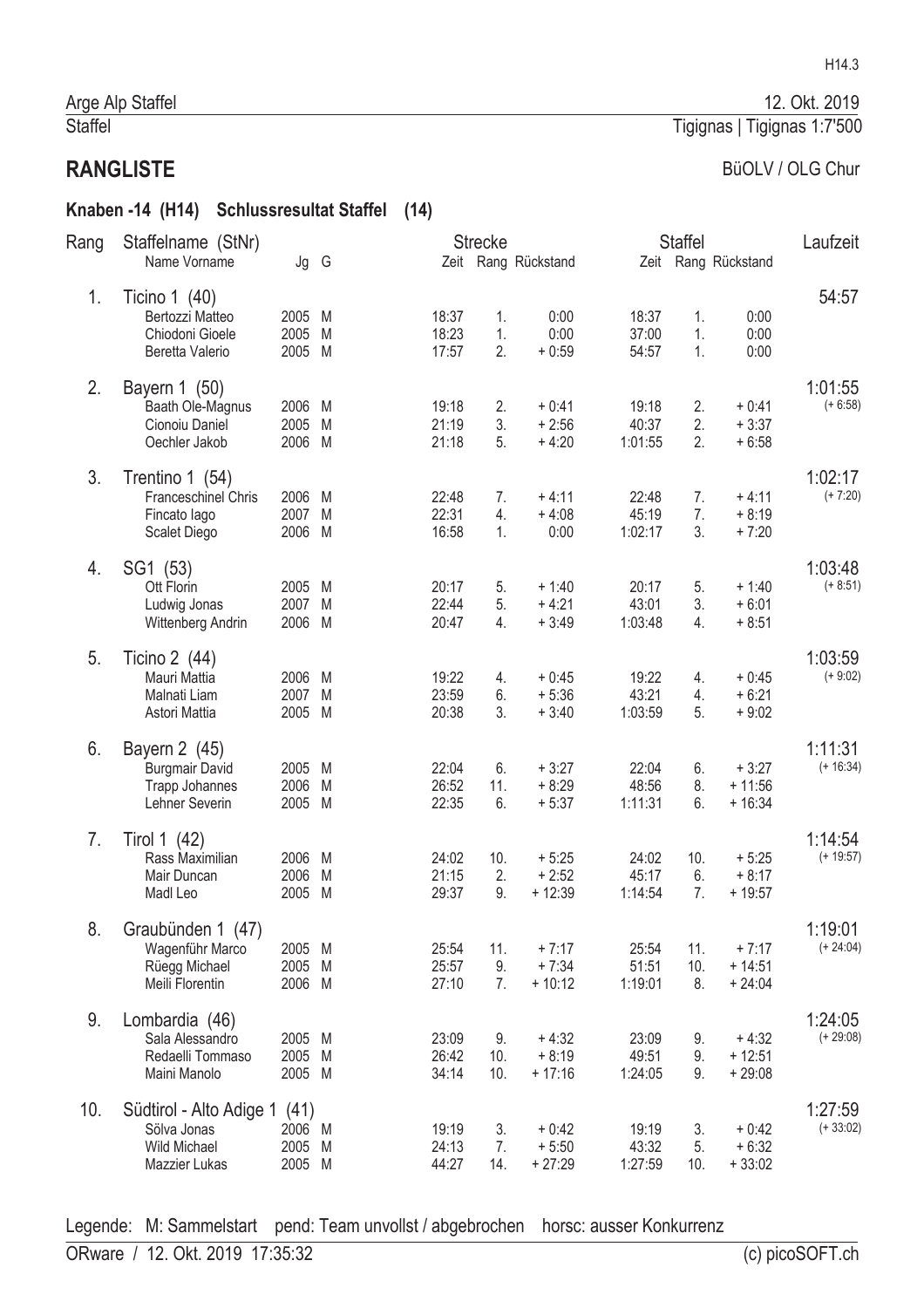#### BüOLV / OLG Chur

Tigignas | Tigignas 1:7'500

#### Knaben -14 (H14) Schlussresultat Staffel (14)

| Rang | Staffelname (StNr)                                                            |                                  |        |                         | <b>Strecke</b>   |                                |                           | <b>Staffel</b>   |                                 | Laufzeit               |
|------|-------------------------------------------------------------------------------|----------------------------------|--------|-------------------------|------------------|--------------------------------|---------------------------|------------------|---------------------------------|------------------------|
|      | Name Vorname                                                                  | Jg G                             |        |                         |                  | Zeit Rang Rückstand            |                           |                  | Zeit Rang Rückstand             |                        |
| 1.   | Ticino $1(40)$<br>Bertozzi Matteo<br>Chiodoni Gioele<br>Beretta Valerio       | 2005 M<br>2005<br>2005 M         | M      | 18:37<br>18:23<br>17:57 | 1.<br>1.<br>2.   | 0:00<br>0:00<br>$+0:59$        | 18:37<br>37:00<br>54:57   | 1.<br>1.<br>1.   | 0:00<br>0:00<br>0:00            | 54:57                  |
| 2.   | Bayern 1 (50)<br>Baath Ole-Magnus<br>Cionoiu Daniel<br>Oechler Jakob          | 2006 M<br>2005<br>2006 M         | M      | 19:18<br>21:19<br>21:18 | 2.<br>3.<br>5.   | $+0:41$<br>$+2:56$<br>$+4:20$  | 19:18<br>40:37<br>1:01:55 | 2.<br>2.<br>2.   | $+0:41$<br>$+3:37$<br>$+6:58$   | 1:01:55<br>$(+ 6:58)$  |
| 3.   | Trentino 1 (54)<br><b>Franceschinel Chris</b><br>Fincato lago<br>Scalet Diego | 2006 M<br>2007<br>2006 M         | M      | 22:48<br>22:31<br>16:58 | 7.<br>4.<br>1.   | $+4:11$<br>$+4:08$<br>0:00     | 22:48<br>45:19<br>1:02:17 | 7.<br>7.<br>3.   | $+4:11$<br>$+8:19$<br>$+7:20$   | 1:02:17<br>$(+ 7:20)$  |
| 4.   | SG1 (53)<br>Ott Florin<br>Ludwig Jonas<br>Wittenberg Andrin                   | 2005 M<br>2007 M<br>2006 M       |        | 20:17<br>22:44<br>20:47 | 5.<br>5.<br>4.   | $+1:40$<br>$+4:21$<br>$+3:49$  | 20:17<br>43:01<br>1:03:48 | 5.<br>3.<br>4.   | $+1:40$<br>$+6:01$<br>$+8:51$   | 1:03:48<br>$(+ 8:51)$  |
| 5.   | Ticino 2 (44)<br>Mauri Mattia<br>Malnati Liam<br>Astori Mattia                | 2006 M<br>2007<br>2005 M         | M      | 19:22<br>23:59<br>20:38 | 4.<br>6.<br>3.   | $+0:45$<br>$+5:36$<br>$+3:40$  | 19:22<br>43:21<br>1:03:59 | 4.<br>4.<br>5.   | $+0:45$<br>$+6:21$<br>$+9:02$   | 1:03:59<br>$(+ 9:02)$  |
| 6.   | Bayern 2 (45)<br><b>Burgmair David</b><br>Trapp Johannes<br>Lehner Severin    | 2005 M<br>2006<br>2005 M         | M      | 22:04<br>26:52<br>22:35 | 6.<br>11.<br>6.  | $+3:27$<br>$+8:29$<br>$+5:37$  | 22:04<br>48:56<br>1:11:31 | 6.<br>8.<br>6.   | $+3:27$<br>$+11:56$<br>$+16:34$ | 1:11:31<br>$(+ 16:34)$ |
| 7.   | Tirol 1 (42)<br>Rass Maximilian<br>Mair Duncan<br>Madl Leo                    | 2006 M<br>2006<br>2005           | M<br>M | 24:02<br>21:15<br>29:37 | 10.<br>2.<br>9.  | $+5:25$<br>$+2:52$<br>$+12:39$ | 24:02<br>45:17<br>1:14:54 | 10.<br>6.<br>7.  | $+5:25$<br>$+8:17$<br>$+19:57$  | 1:14:54<br>$(+ 19:57)$ |
| 8.   | Graubünden 1 (47)<br>Wagenführ Marco<br>Rüegg Michael<br>Meili Florentin      | 2005 M<br>2005 M<br>2006 M       |        | 25:54<br>25:57<br>27:10 | 11.<br>9.<br>7.  | $+7:17$<br>$+7:34$<br>$+10:12$ | 25:54<br>51:51<br>1:19:01 | 11.<br>10.<br>8. | $+7:17$<br>$+14:51$<br>$+24:04$ | 1:19:01<br>$(+ 24:04)$ |
| 9.   | Lombardia (46)<br>Sala Alessandro<br>Redaelli Tommaso<br>Maini Manolo         | 2005 M<br>2005 M<br>2005 M       |        | 23:09<br>26:42<br>34:14 | 9.<br>10.<br>10. | $+4:32$<br>$+8:19$<br>$+17:16$ | 23:09<br>49:51<br>1:24:05 | 9.<br>9.<br>9.   | $+4:32$<br>$+12:51$<br>$+29:08$ | 1:24:05<br>$(+ 29:08)$ |
| 10.  | Südtirol - Alto Adige 1<br>Sölva Jonas<br>Wild Michael<br>Mazzier Lukas       | (41)<br>2006 M<br>2005<br>2005 M | M      | 19:19<br>24:13<br>44:27 | 3.<br>7.<br>14.  | $+0:42$<br>$+5:50$<br>$+27:29$ | 19:19<br>43:32<br>1:27:59 | 3.<br>5.<br>10.  | $+0.42$<br>$+6:32$<br>$+33:02$  | 1:27:59<br>$(+33:02)$  |

Legende: M: Sammelstart pend: Team unvollst / abgebrochen horsc: ausser Konkurrenz

12. Okt. 2019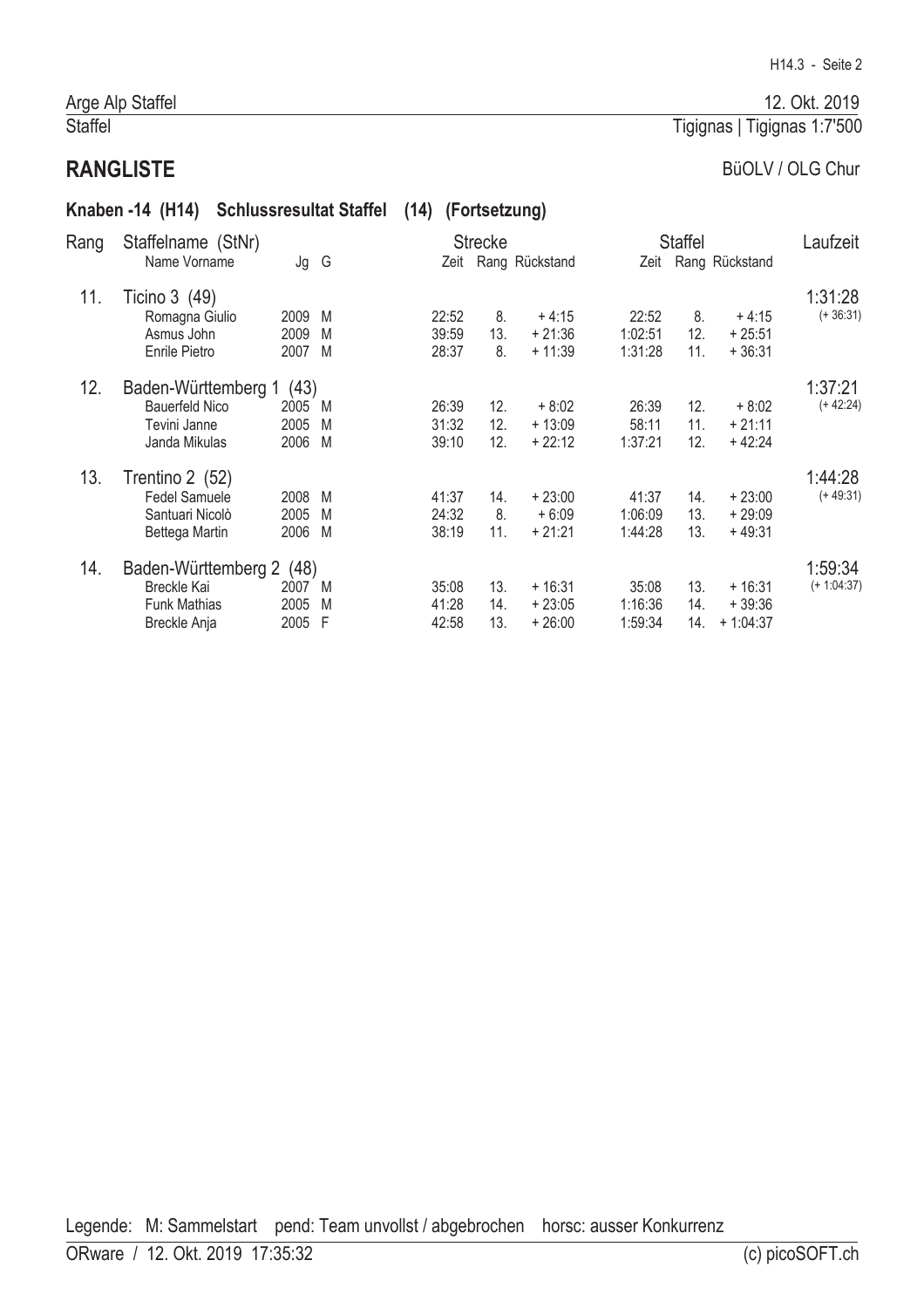# **RANGLISTE**

#### BüOLV / OLG Chur

Tigignas | Tigignas 1:7'500

#### Knaben -14 (H14) Schlussresultat Staffel (14) (Fortsetzung)

| Rang | Staffelname (StNr)    |      |   |       | <b>Strecke</b> |                     |         | <b>Staffel</b> |                     | Laufzeit      |
|------|-----------------------|------|---|-------|----------------|---------------------|---------|----------------|---------------------|---------------|
|      | Name Vorname          | Jg G |   |       |                | Zeit Rang Rückstand |         |                | Zeit Rang Rückstand |               |
| 11.  | Ticino 3 (49)         |      |   |       |                |                     |         |                |                     | 1:31:28       |
|      | Romagna Giulio        | 2009 | M | 22:52 | 8.             | $+4:15$             | 22:52   | 8.             | $+4:15$             | $(+36:31)$    |
|      | Asmus John            | 2009 | M | 39:59 | 13.            | $+21:36$            | 1:02:51 | 12.            | $+25:51$            |               |
|      | Enrile Pietro         | 2007 | M | 28:37 | 8.             | $+11:39$            | 1:31:28 | 11.            | $+36:31$            |               |
| 12.  | Baden-Württemberg 1   | (43) |   |       |                |                     |         |                |                     | 1:37:21       |
|      | <b>Bauerfeld Nico</b> | 2005 | M | 26:39 | 12.            | $+8:02$             | 26:39   | 12.            | $+8:02$             | $(+ 42:24)$   |
|      | Tevini Janne          | 2005 | M | 31:32 | 12.            | $+13:09$            | 58:11   | 11.            | $+21:11$            |               |
|      | Janda Mikulas         | 2006 | M | 39:10 | 12.            | $+22:12$            | 1:37:21 | 12.            | $+42:24$            |               |
| 13.  | Trentino 2 (52)       |      |   |       |                |                     |         |                |                     | 1:44:28       |
|      | Fedel Samuele         | 2008 | M | 41:37 | 14.            | $+23:00$            | 41:37   | 14.            | $+23:00$            | $(+49:31)$    |
|      | Santuari Nicolò       | 2005 | M | 24:32 | 8.             | $+6:09$             | 1:06:09 | 13.            | $+29:09$            |               |
|      | Bettega Martin        | 2006 | M | 38:19 | 11.            | $+21:21$            | 1:44:28 | 13.            | $+49:31$            |               |
| 14.  | Baden-Württemberg 2   | (48) |   |       |                |                     |         |                |                     | 1:59:34       |
|      | Breckle Kai           | 2007 | M | 35:08 | 13.            | $+16:31$            | 35:08   | 13.            | $+16:31$            | $(+ 1:04:37)$ |
|      | <b>Funk Mathias</b>   | 2005 | M | 41:28 | 14.            | $+23:05$            | 1:16:36 | 14.            | $+39:36$            |               |
|      | Breckle Anja          | 2005 | F | 42:58 | 13.            | $+26:00$            | 1:59:34 | 14.            | $+1:04:37$          |               |
|      |                       |      |   |       |                |                     |         |                |                     |               |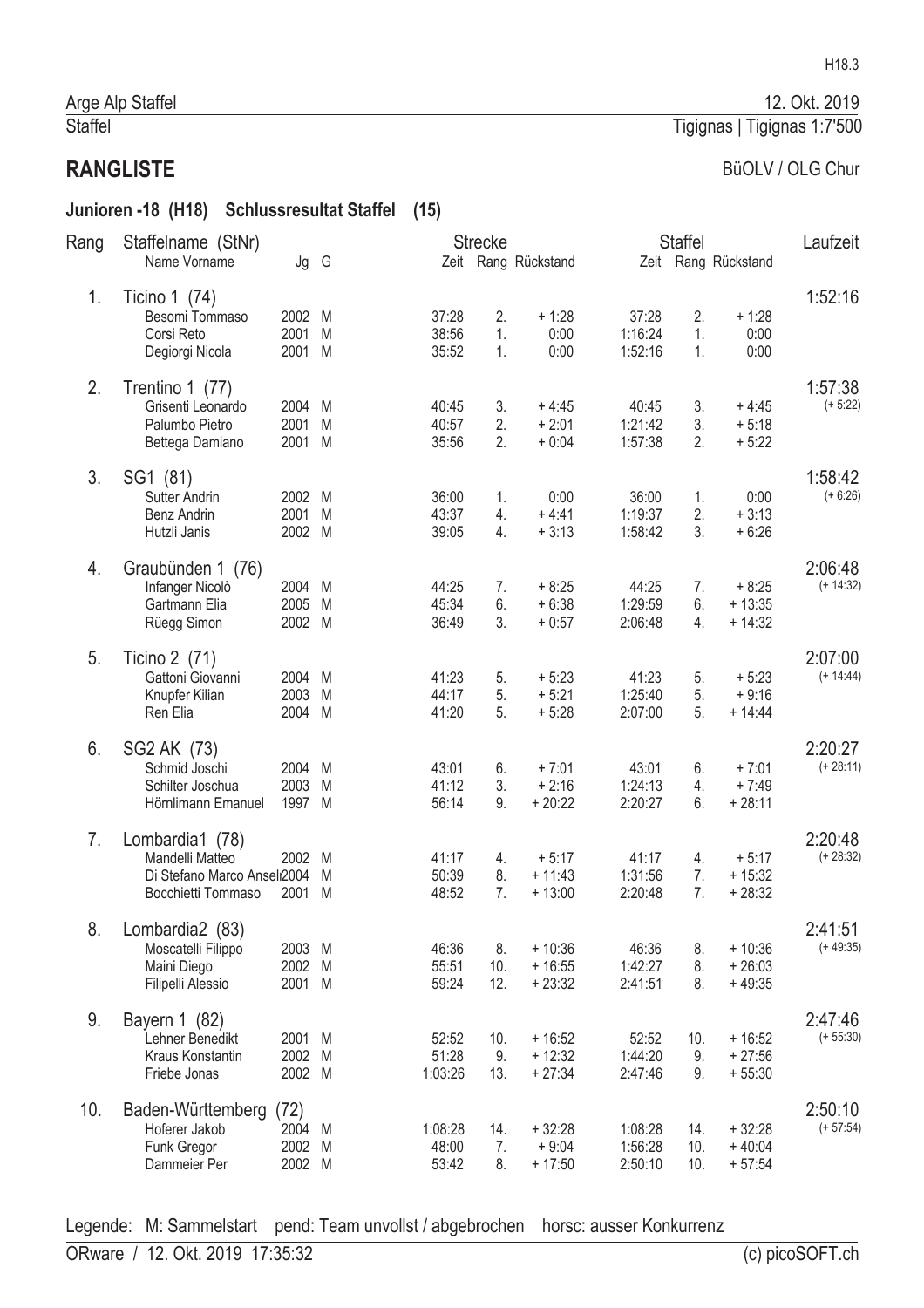#### Junioren -18 (H18) Schlussresultat Staffel (15)

| Name Vorname<br>Zeit Rang Rückstand<br>Zeit Rang Rückstand<br>Jg G<br>1.<br>Ticino 1 (74)<br>2002 M<br>37:28<br>2.<br>$+1:28$<br>37:28<br>2.<br>$+1:28$<br>Besomi Tommaso<br>2001<br>38:56<br>0:00<br>1:16:24<br>Corsi Reto<br>M<br>1.<br>1.<br>0:00<br>2001 M<br>35:52<br>1.<br>0:00<br>1:52:16<br>0:00<br>Degiorgi Nicola<br>1.<br>2.<br>Trentino 1 (77)<br>Grisenti Leonardo<br>2004 M<br>$+4:45$<br>40:45<br>3.<br>$+4:45$<br>40:45<br>3.<br>2.<br>$+2:01$<br>3.<br>40:57<br>1:21:42<br>$+5:18$<br>Palumbo Pietro<br>2001<br>M<br>35:56<br>2.<br>$+0:04$<br>1:57:38<br>2.<br>$+5:22$<br>2001 M<br>Bettega Damiano<br>3.<br>1:58:42<br>SG1 (81)<br>2002 M<br>36:00<br>0:00<br>36:00<br>0:00<br><b>Sutter Andrin</b><br>1.<br>1.<br>43:37<br>$+4:41$<br>1:19:37<br>2.<br>$+3:13$<br>2001 M<br>4.<br>Benz Andrin<br>2002 M<br>39:05<br>$+3:13$<br>1:58:42<br>3.<br>$+6:26$<br>Hutzli Janis<br>4.<br>Graubünden 1 (76)<br>4.<br>44:25<br>$+8:25$<br>44:25<br>$+8:25$<br>Infanger Nicolò<br>2004 M<br>7.<br>7.<br>45:34<br>2005<br>6.<br>$+6:38$<br>1:29:59<br>6.<br>$+13:35$<br>Gartmann Elia<br>M<br>3.<br>36:49<br>$+0:57$<br>2:06:48<br>4.<br>$+14:32$<br>Rüegg Simon<br>2002 M<br>5.<br>2:07:00<br>Ticino 2 (71)<br>$(+ 14:44)$<br>Gattoni Giovanni<br>41:23<br>41:23<br>$+5:23$<br>2004 M<br>$+5:23$<br>5.<br>5.<br>$+5:21$<br>2003<br>44:17<br>1:25:40<br>$+9:16$<br>Knupfer Kilian<br>M<br>5.<br>5.<br>41:20<br>5.<br>$+5:28$<br>2:07:00<br>5.<br>$+ 14:44$<br>Ren Elia<br>2004 M<br>6.<br>2:20:27<br>SG2 AK (73)<br>$(+ 28:11)$<br>2004 M<br>$+7:01$<br>43:01<br>$+7:01$<br>Schmid Joschi<br>43:01<br>6.<br>6.<br>2003<br>41:12<br>3.<br>$+2:16$<br>1:24:13<br>$+7:49$<br>Schilter Joschua<br>M<br>4.<br>$+20:22$<br>2:20:27<br>$+28:11$<br>Hörnlimann Emanuel<br>1997 M<br>56:14<br>9.<br>6.<br>2:20:48<br>7.<br>Lombardia1 (78)<br>41:17<br>$(+ 28:32)$<br>Mandelli Matteo<br>2002 M<br>41:17<br>$+5:17$<br>$+5:17$<br>4.<br>4.<br>1:31:56<br>Di Stefano Marco Ansel 2004<br>M<br>50:39<br>8.<br>$+11:43$<br>7.<br>$+15:32$<br>48:52<br>7.<br>$+28:32$<br>Bocchietti Tommaso<br>M<br>7.<br>$+13:00$<br>2:20:48<br>2001<br>Lombardia2 (83)<br>2:41:51<br>8.<br>$(+49:35)$<br>$+10:36$<br>46:36<br>$+10:36$<br>Moscatelli Filippo<br>2003 M<br>46:36<br>8.<br>8.<br>2002 M<br>55:51<br>10.<br>$+16:55$<br>1:42:27<br>8.<br>$+26:03$<br>Maini Diego<br>12.<br>$+23:32$<br>2:41:51<br>8.<br>Filipelli Alessio<br>2001 M<br>59:24<br>$+49:35$<br>9.<br>2:47:46<br>Bayern 1 (82)<br>$+16:52$<br>$(+ 55:30)$<br>2001 M<br>52:52<br>$+16:52$<br>52:52<br>Lehner Benedikt<br>10.<br>10.<br>$+12:32$<br>2002<br>51:28<br>9.<br>1:44:20<br>9.<br>$+27:56$<br>Kraus Konstantin<br>M<br>2002 M<br>1:03:26<br>$+27:34$<br>13.<br>2:47:46<br>9.<br>$+55:30$<br>Friebe Jonas<br>2:50:10<br>10.<br>(72)<br>Baden-Württemberg<br>2004 M | Rang | Staffelname (StNr) |  |         | <b>Strecke</b> |          |         | <b>Staffel</b> |          | Laufzeit    |
|---------------------------------------------------------------------------------------------------------------------------------------------------------------------------------------------------------------------------------------------------------------------------------------------------------------------------------------------------------------------------------------------------------------------------------------------------------------------------------------------------------------------------------------------------------------------------------------------------------------------------------------------------------------------------------------------------------------------------------------------------------------------------------------------------------------------------------------------------------------------------------------------------------------------------------------------------------------------------------------------------------------------------------------------------------------------------------------------------------------------------------------------------------------------------------------------------------------------------------------------------------------------------------------------------------------------------------------------------------------------------------------------------------------------------------------------------------------------------------------------------------------------------------------------------------------------------------------------------------------------------------------------------------------------------------------------------------------------------------------------------------------------------------------------------------------------------------------------------------------------------------------------------------------------------------------------------------------------------------------------------------------------------------------------------------------------------------------------------------------------------------------------------------------------------------------------------------------------------------------------------------------------------------------------------------------------------------------------------------------------------------------------------------------------------------------------------------------------------------------------------------------------------------------------------------------------------------------------------------------------------------------------------------------------------------------------------------------------------------------------------------------------------------------------------------------------------------|------|--------------------|--|---------|----------------|----------|---------|----------------|----------|-------------|
|                                                                                                                                                                                                                                                                                                                                                                                                                                                                                                                                                                                                                                                                                                                                                                                                                                                                                                                                                                                                                                                                                                                                                                                                                                                                                                                                                                                                                                                                                                                                                                                                                                                                                                                                                                                                                                                                                                                                                                                                                                                                                                                                                                                                                                                                                                                                                                                                                                                                                                                                                                                                                                                                                                                                                                                                                                 |      |                    |  |         |                |          |         |                |          |             |
|                                                                                                                                                                                                                                                                                                                                                                                                                                                                                                                                                                                                                                                                                                                                                                                                                                                                                                                                                                                                                                                                                                                                                                                                                                                                                                                                                                                                                                                                                                                                                                                                                                                                                                                                                                                                                                                                                                                                                                                                                                                                                                                                                                                                                                                                                                                                                                                                                                                                                                                                                                                                                                                                                                                                                                                                                                 |      |                    |  |         |                |          |         |                |          | 1:52:16     |
|                                                                                                                                                                                                                                                                                                                                                                                                                                                                                                                                                                                                                                                                                                                                                                                                                                                                                                                                                                                                                                                                                                                                                                                                                                                                                                                                                                                                                                                                                                                                                                                                                                                                                                                                                                                                                                                                                                                                                                                                                                                                                                                                                                                                                                                                                                                                                                                                                                                                                                                                                                                                                                                                                                                                                                                                                                 |      |                    |  |         |                |          |         |                |          |             |
|                                                                                                                                                                                                                                                                                                                                                                                                                                                                                                                                                                                                                                                                                                                                                                                                                                                                                                                                                                                                                                                                                                                                                                                                                                                                                                                                                                                                                                                                                                                                                                                                                                                                                                                                                                                                                                                                                                                                                                                                                                                                                                                                                                                                                                                                                                                                                                                                                                                                                                                                                                                                                                                                                                                                                                                                                                 |      |                    |  |         |                |          |         |                |          |             |
|                                                                                                                                                                                                                                                                                                                                                                                                                                                                                                                                                                                                                                                                                                                                                                                                                                                                                                                                                                                                                                                                                                                                                                                                                                                                                                                                                                                                                                                                                                                                                                                                                                                                                                                                                                                                                                                                                                                                                                                                                                                                                                                                                                                                                                                                                                                                                                                                                                                                                                                                                                                                                                                                                                                                                                                                                                 |      |                    |  |         |                |          |         |                |          |             |
|                                                                                                                                                                                                                                                                                                                                                                                                                                                                                                                                                                                                                                                                                                                                                                                                                                                                                                                                                                                                                                                                                                                                                                                                                                                                                                                                                                                                                                                                                                                                                                                                                                                                                                                                                                                                                                                                                                                                                                                                                                                                                                                                                                                                                                                                                                                                                                                                                                                                                                                                                                                                                                                                                                                                                                                                                                 |      |                    |  |         |                |          |         |                |          | 1:57:38     |
|                                                                                                                                                                                                                                                                                                                                                                                                                                                                                                                                                                                                                                                                                                                                                                                                                                                                                                                                                                                                                                                                                                                                                                                                                                                                                                                                                                                                                                                                                                                                                                                                                                                                                                                                                                                                                                                                                                                                                                                                                                                                                                                                                                                                                                                                                                                                                                                                                                                                                                                                                                                                                                                                                                                                                                                                                                 |      |                    |  |         |                |          |         |                |          | $(+ 5:22)$  |
|                                                                                                                                                                                                                                                                                                                                                                                                                                                                                                                                                                                                                                                                                                                                                                                                                                                                                                                                                                                                                                                                                                                                                                                                                                                                                                                                                                                                                                                                                                                                                                                                                                                                                                                                                                                                                                                                                                                                                                                                                                                                                                                                                                                                                                                                                                                                                                                                                                                                                                                                                                                                                                                                                                                                                                                                                                 |      |                    |  |         |                |          |         |                |          |             |
|                                                                                                                                                                                                                                                                                                                                                                                                                                                                                                                                                                                                                                                                                                                                                                                                                                                                                                                                                                                                                                                                                                                                                                                                                                                                                                                                                                                                                                                                                                                                                                                                                                                                                                                                                                                                                                                                                                                                                                                                                                                                                                                                                                                                                                                                                                                                                                                                                                                                                                                                                                                                                                                                                                                                                                                                                                 |      |                    |  |         |                |          |         |                |          |             |
|                                                                                                                                                                                                                                                                                                                                                                                                                                                                                                                                                                                                                                                                                                                                                                                                                                                                                                                                                                                                                                                                                                                                                                                                                                                                                                                                                                                                                                                                                                                                                                                                                                                                                                                                                                                                                                                                                                                                                                                                                                                                                                                                                                                                                                                                                                                                                                                                                                                                                                                                                                                                                                                                                                                                                                                                                                 |      |                    |  |         |                |          |         |                |          |             |
|                                                                                                                                                                                                                                                                                                                                                                                                                                                                                                                                                                                                                                                                                                                                                                                                                                                                                                                                                                                                                                                                                                                                                                                                                                                                                                                                                                                                                                                                                                                                                                                                                                                                                                                                                                                                                                                                                                                                                                                                                                                                                                                                                                                                                                                                                                                                                                                                                                                                                                                                                                                                                                                                                                                                                                                                                                 |      |                    |  |         |                |          |         |                |          | $(+ 6:26)$  |
|                                                                                                                                                                                                                                                                                                                                                                                                                                                                                                                                                                                                                                                                                                                                                                                                                                                                                                                                                                                                                                                                                                                                                                                                                                                                                                                                                                                                                                                                                                                                                                                                                                                                                                                                                                                                                                                                                                                                                                                                                                                                                                                                                                                                                                                                                                                                                                                                                                                                                                                                                                                                                                                                                                                                                                                                                                 |      |                    |  |         |                |          |         |                |          |             |
|                                                                                                                                                                                                                                                                                                                                                                                                                                                                                                                                                                                                                                                                                                                                                                                                                                                                                                                                                                                                                                                                                                                                                                                                                                                                                                                                                                                                                                                                                                                                                                                                                                                                                                                                                                                                                                                                                                                                                                                                                                                                                                                                                                                                                                                                                                                                                                                                                                                                                                                                                                                                                                                                                                                                                                                                                                 |      |                    |  |         |                |          |         |                |          |             |
|                                                                                                                                                                                                                                                                                                                                                                                                                                                                                                                                                                                                                                                                                                                                                                                                                                                                                                                                                                                                                                                                                                                                                                                                                                                                                                                                                                                                                                                                                                                                                                                                                                                                                                                                                                                                                                                                                                                                                                                                                                                                                                                                                                                                                                                                                                                                                                                                                                                                                                                                                                                                                                                                                                                                                                                                                                 |      |                    |  |         |                |          |         |                |          | 2:06:48     |
|                                                                                                                                                                                                                                                                                                                                                                                                                                                                                                                                                                                                                                                                                                                                                                                                                                                                                                                                                                                                                                                                                                                                                                                                                                                                                                                                                                                                                                                                                                                                                                                                                                                                                                                                                                                                                                                                                                                                                                                                                                                                                                                                                                                                                                                                                                                                                                                                                                                                                                                                                                                                                                                                                                                                                                                                                                 |      |                    |  |         |                |          |         |                |          | $(+ 14:32)$ |
|                                                                                                                                                                                                                                                                                                                                                                                                                                                                                                                                                                                                                                                                                                                                                                                                                                                                                                                                                                                                                                                                                                                                                                                                                                                                                                                                                                                                                                                                                                                                                                                                                                                                                                                                                                                                                                                                                                                                                                                                                                                                                                                                                                                                                                                                                                                                                                                                                                                                                                                                                                                                                                                                                                                                                                                                                                 |      |                    |  |         |                |          |         |                |          |             |
|                                                                                                                                                                                                                                                                                                                                                                                                                                                                                                                                                                                                                                                                                                                                                                                                                                                                                                                                                                                                                                                                                                                                                                                                                                                                                                                                                                                                                                                                                                                                                                                                                                                                                                                                                                                                                                                                                                                                                                                                                                                                                                                                                                                                                                                                                                                                                                                                                                                                                                                                                                                                                                                                                                                                                                                                                                 |      |                    |  |         |                |          |         |                |          |             |
|                                                                                                                                                                                                                                                                                                                                                                                                                                                                                                                                                                                                                                                                                                                                                                                                                                                                                                                                                                                                                                                                                                                                                                                                                                                                                                                                                                                                                                                                                                                                                                                                                                                                                                                                                                                                                                                                                                                                                                                                                                                                                                                                                                                                                                                                                                                                                                                                                                                                                                                                                                                                                                                                                                                                                                                                                                 |      |                    |  |         |                |          |         |                |          |             |
|                                                                                                                                                                                                                                                                                                                                                                                                                                                                                                                                                                                                                                                                                                                                                                                                                                                                                                                                                                                                                                                                                                                                                                                                                                                                                                                                                                                                                                                                                                                                                                                                                                                                                                                                                                                                                                                                                                                                                                                                                                                                                                                                                                                                                                                                                                                                                                                                                                                                                                                                                                                                                                                                                                                                                                                                                                 |      |                    |  |         |                |          |         |                |          |             |
|                                                                                                                                                                                                                                                                                                                                                                                                                                                                                                                                                                                                                                                                                                                                                                                                                                                                                                                                                                                                                                                                                                                                                                                                                                                                                                                                                                                                                                                                                                                                                                                                                                                                                                                                                                                                                                                                                                                                                                                                                                                                                                                                                                                                                                                                                                                                                                                                                                                                                                                                                                                                                                                                                                                                                                                                                                 |      |                    |  |         |                |          |         |                |          |             |
|                                                                                                                                                                                                                                                                                                                                                                                                                                                                                                                                                                                                                                                                                                                                                                                                                                                                                                                                                                                                                                                                                                                                                                                                                                                                                                                                                                                                                                                                                                                                                                                                                                                                                                                                                                                                                                                                                                                                                                                                                                                                                                                                                                                                                                                                                                                                                                                                                                                                                                                                                                                                                                                                                                                                                                                                                                 |      |                    |  |         |                |          |         |                |          |             |
|                                                                                                                                                                                                                                                                                                                                                                                                                                                                                                                                                                                                                                                                                                                                                                                                                                                                                                                                                                                                                                                                                                                                                                                                                                                                                                                                                                                                                                                                                                                                                                                                                                                                                                                                                                                                                                                                                                                                                                                                                                                                                                                                                                                                                                                                                                                                                                                                                                                                                                                                                                                                                                                                                                                                                                                                                                 |      |                    |  |         |                |          |         |                |          |             |
|                                                                                                                                                                                                                                                                                                                                                                                                                                                                                                                                                                                                                                                                                                                                                                                                                                                                                                                                                                                                                                                                                                                                                                                                                                                                                                                                                                                                                                                                                                                                                                                                                                                                                                                                                                                                                                                                                                                                                                                                                                                                                                                                                                                                                                                                                                                                                                                                                                                                                                                                                                                                                                                                                                                                                                                                                                 |      |                    |  |         |                |          |         |                |          |             |
|                                                                                                                                                                                                                                                                                                                                                                                                                                                                                                                                                                                                                                                                                                                                                                                                                                                                                                                                                                                                                                                                                                                                                                                                                                                                                                                                                                                                                                                                                                                                                                                                                                                                                                                                                                                                                                                                                                                                                                                                                                                                                                                                                                                                                                                                                                                                                                                                                                                                                                                                                                                                                                                                                                                                                                                                                                 |      |                    |  |         |                |          |         |                |          |             |
|                                                                                                                                                                                                                                                                                                                                                                                                                                                                                                                                                                                                                                                                                                                                                                                                                                                                                                                                                                                                                                                                                                                                                                                                                                                                                                                                                                                                                                                                                                                                                                                                                                                                                                                                                                                                                                                                                                                                                                                                                                                                                                                                                                                                                                                                                                                                                                                                                                                                                                                                                                                                                                                                                                                                                                                                                                 |      |                    |  |         |                |          |         |                |          |             |
|                                                                                                                                                                                                                                                                                                                                                                                                                                                                                                                                                                                                                                                                                                                                                                                                                                                                                                                                                                                                                                                                                                                                                                                                                                                                                                                                                                                                                                                                                                                                                                                                                                                                                                                                                                                                                                                                                                                                                                                                                                                                                                                                                                                                                                                                                                                                                                                                                                                                                                                                                                                                                                                                                                                                                                                                                                 |      |                    |  |         |                |          |         |                |          |             |
|                                                                                                                                                                                                                                                                                                                                                                                                                                                                                                                                                                                                                                                                                                                                                                                                                                                                                                                                                                                                                                                                                                                                                                                                                                                                                                                                                                                                                                                                                                                                                                                                                                                                                                                                                                                                                                                                                                                                                                                                                                                                                                                                                                                                                                                                                                                                                                                                                                                                                                                                                                                                                                                                                                                                                                                                                                 |      |                    |  |         |                |          |         |                |          |             |
|                                                                                                                                                                                                                                                                                                                                                                                                                                                                                                                                                                                                                                                                                                                                                                                                                                                                                                                                                                                                                                                                                                                                                                                                                                                                                                                                                                                                                                                                                                                                                                                                                                                                                                                                                                                                                                                                                                                                                                                                                                                                                                                                                                                                                                                                                                                                                                                                                                                                                                                                                                                                                                                                                                                                                                                                                                 |      |                    |  |         |                |          |         |                |          |             |
|                                                                                                                                                                                                                                                                                                                                                                                                                                                                                                                                                                                                                                                                                                                                                                                                                                                                                                                                                                                                                                                                                                                                                                                                                                                                                                                                                                                                                                                                                                                                                                                                                                                                                                                                                                                                                                                                                                                                                                                                                                                                                                                                                                                                                                                                                                                                                                                                                                                                                                                                                                                                                                                                                                                                                                                                                                 |      |                    |  |         |                |          |         |                |          |             |
|                                                                                                                                                                                                                                                                                                                                                                                                                                                                                                                                                                                                                                                                                                                                                                                                                                                                                                                                                                                                                                                                                                                                                                                                                                                                                                                                                                                                                                                                                                                                                                                                                                                                                                                                                                                                                                                                                                                                                                                                                                                                                                                                                                                                                                                                                                                                                                                                                                                                                                                                                                                                                                                                                                                                                                                                                                 |      |                    |  |         |                |          |         |                |          |             |
|                                                                                                                                                                                                                                                                                                                                                                                                                                                                                                                                                                                                                                                                                                                                                                                                                                                                                                                                                                                                                                                                                                                                                                                                                                                                                                                                                                                                                                                                                                                                                                                                                                                                                                                                                                                                                                                                                                                                                                                                                                                                                                                                                                                                                                                                                                                                                                                                                                                                                                                                                                                                                                                                                                                                                                                                                                 |      |                    |  |         |                |          |         |                |          |             |
|                                                                                                                                                                                                                                                                                                                                                                                                                                                                                                                                                                                                                                                                                                                                                                                                                                                                                                                                                                                                                                                                                                                                                                                                                                                                                                                                                                                                                                                                                                                                                                                                                                                                                                                                                                                                                                                                                                                                                                                                                                                                                                                                                                                                                                                                                                                                                                                                                                                                                                                                                                                                                                                                                                                                                                                                                                 |      |                    |  |         |                |          |         |                |          |             |
|                                                                                                                                                                                                                                                                                                                                                                                                                                                                                                                                                                                                                                                                                                                                                                                                                                                                                                                                                                                                                                                                                                                                                                                                                                                                                                                                                                                                                                                                                                                                                                                                                                                                                                                                                                                                                                                                                                                                                                                                                                                                                                                                                                                                                                                                                                                                                                                                                                                                                                                                                                                                                                                                                                                                                                                                                                 |      |                    |  |         |                |          |         |                |          |             |
|                                                                                                                                                                                                                                                                                                                                                                                                                                                                                                                                                                                                                                                                                                                                                                                                                                                                                                                                                                                                                                                                                                                                                                                                                                                                                                                                                                                                                                                                                                                                                                                                                                                                                                                                                                                                                                                                                                                                                                                                                                                                                                                                                                                                                                                                                                                                                                                                                                                                                                                                                                                                                                                                                                                                                                                                                                 |      |                    |  |         |                |          |         |                |          |             |
|                                                                                                                                                                                                                                                                                                                                                                                                                                                                                                                                                                                                                                                                                                                                                                                                                                                                                                                                                                                                                                                                                                                                                                                                                                                                                                                                                                                                                                                                                                                                                                                                                                                                                                                                                                                                                                                                                                                                                                                                                                                                                                                                                                                                                                                                                                                                                                                                                                                                                                                                                                                                                                                                                                                                                                                                                                 |      |                    |  |         |                |          |         |                |          |             |
|                                                                                                                                                                                                                                                                                                                                                                                                                                                                                                                                                                                                                                                                                                                                                                                                                                                                                                                                                                                                                                                                                                                                                                                                                                                                                                                                                                                                                                                                                                                                                                                                                                                                                                                                                                                                                                                                                                                                                                                                                                                                                                                                                                                                                                                                                                                                                                                                                                                                                                                                                                                                                                                                                                                                                                                                                                 |      |                    |  |         |                |          |         |                |          |             |
|                                                                                                                                                                                                                                                                                                                                                                                                                                                                                                                                                                                                                                                                                                                                                                                                                                                                                                                                                                                                                                                                                                                                                                                                                                                                                                                                                                                                                                                                                                                                                                                                                                                                                                                                                                                                                                                                                                                                                                                                                                                                                                                                                                                                                                                                                                                                                                                                                                                                                                                                                                                                                                                                                                                                                                                                                                 |      |                    |  |         |                |          |         |                |          |             |
|                                                                                                                                                                                                                                                                                                                                                                                                                                                                                                                                                                                                                                                                                                                                                                                                                                                                                                                                                                                                                                                                                                                                                                                                                                                                                                                                                                                                                                                                                                                                                                                                                                                                                                                                                                                                                                                                                                                                                                                                                                                                                                                                                                                                                                                                                                                                                                                                                                                                                                                                                                                                                                                                                                                                                                                                                                 |      |                    |  |         |                |          |         |                |          |             |
|                                                                                                                                                                                                                                                                                                                                                                                                                                                                                                                                                                                                                                                                                                                                                                                                                                                                                                                                                                                                                                                                                                                                                                                                                                                                                                                                                                                                                                                                                                                                                                                                                                                                                                                                                                                                                                                                                                                                                                                                                                                                                                                                                                                                                                                                                                                                                                                                                                                                                                                                                                                                                                                                                                                                                                                                                                 |      | Hoferer Jakob      |  | 1:08:28 | 14.            | $+32:28$ | 1:08:28 | 14.            | $+32:28$ | $(+ 57:54)$ |
| $+9:04$<br>Funk Gregor<br>2002<br>M<br>48:00<br>7.<br>1:56:28<br>10.<br>$+40:04$                                                                                                                                                                                                                                                                                                                                                                                                                                                                                                                                                                                                                                                                                                                                                                                                                                                                                                                                                                                                                                                                                                                                                                                                                                                                                                                                                                                                                                                                                                                                                                                                                                                                                                                                                                                                                                                                                                                                                                                                                                                                                                                                                                                                                                                                                                                                                                                                                                                                                                                                                                                                                                                                                                                                                |      |                    |  |         |                |          |         |                |          |             |
| Dammeier Per<br>2002 M<br>53:42<br>8.<br>$+17:50$<br>2:50:10<br>10.<br>$+57:54$                                                                                                                                                                                                                                                                                                                                                                                                                                                                                                                                                                                                                                                                                                                                                                                                                                                                                                                                                                                                                                                                                                                                                                                                                                                                                                                                                                                                                                                                                                                                                                                                                                                                                                                                                                                                                                                                                                                                                                                                                                                                                                                                                                                                                                                                                                                                                                                                                                                                                                                                                                                                                                                                                                                                                 |      |                    |  |         |                |          |         |                |          |             |

Legende: M: Sammelstart pend: Team unvollst / abgebrochen horsc: ausser Konkurrenz

12. Okt. 2019

Tigignas | Tigignas 1:7'500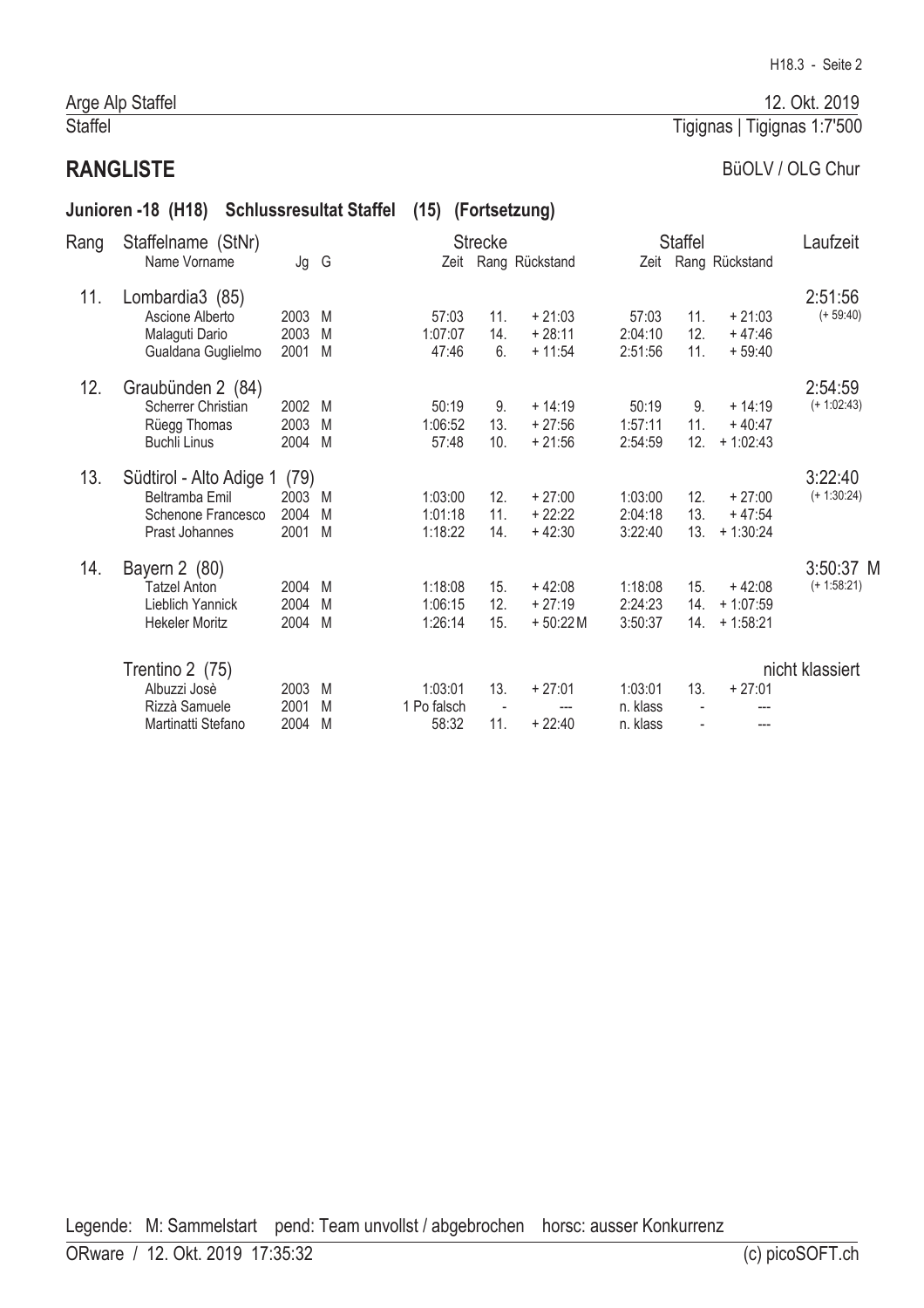#### Arge Alp Staffel Staffel

# **RANGLISTE**

## BüOLV / OLG Chur

|      | Junioren -18 (H18)                                                                |                              | <b>Schlussresultat Staffel</b> |                                 | (15) (Fortsetzung)                     |                                   |                                 |                                 |                                      |                            |
|------|-----------------------------------------------------------------------------------|------------------------------|--------------------------------|---------------------------------|----------------------------------------|-----------------------------------|---------------------------------|---------------------------------|--------------------------------------|----------------------------|
| Rang | Staffelname (StNr)<br>Name Vorname                                                | Jg                           | G                              |                                 | <b>Strecke</b>                         | Zeit Rang Rückstand               |                                 | <b>Staffel</b>                  | Zeit Rang Rückstand                  | Laufzeit                   |
| 11.  | Lombardia3 (85)<br>Ascione Alberto<br>Malaguti Dario<br>Gualdana Guglielmo        | 2003<br>2003<br>2001         | M<br>M<br>M                    | 57:03<br>1:07:07<br>47:46       | 11.<br>14.<br>6.                       | $+21:03$<br>$+28:11$<br>$+11:54$  | 57:03<br>2:04:10<br>2:51:56     | 11.<br>12.<br>11.               | $+21:03$<br>$+47:46$<br>$+59:40$     | 2:51:56<br>$(+ 59:40)$     |
| 12.  | Graubünden 2 (84)<br>Scherrer Christian<br>Rüegg Thomas<br><b>Buchli Linus</b>    | 2002<br>2003<br>2004         | M<br>M<br>M                    | 50:19<br>1:06:52<br>57:48       | 9.<br>13.<br>10.                       | $+14:19$<br>$+27:56$<br>$+21:56$  | 50:19<br>1:57:11<br>2:54:59     | 9.<br>11.<br>12.                | $+14:19$<br>$+40:47$<br>$+1:02:43$   | 2:54:59<br>$(+ 1:02:43)$   |
| 13.  | Südtirol - Alto Adige 1<br>Beltramba Emil<br>Schenone Francesco<br>Prast Johannes | (79)<br>2003<br>2004<br>2001 | M<br>M<br>M                    | 1:03:00<br>1:01:18<br>1:18:22   | 12.<br>11.<br>14.                      | $+27:00$<br>$+22:22$<br>$+42:30$  | 1:03:00<br>2:04:18<br>3:22:40   | 12.<br>13.<br>13.               | $+27:00$<br>$+47:54$<br>$+1:30:24$   | 3:22:40<br>$(+ 1:30:24)$   |
| 14.  | Bayern 2 (80)<br><b>Tatzel Anton</b><br>Lieblich Yannick<br><b>Hekeler Moritz</b> | 2004<br>2004<br>2004         | M<br>M<br>M                    | 1:18:08<br>1:06:15<br>1:26:14   | 15.<br>12.<br>15.                      | $+42:08$<br>$+27:19$<br>$+50:22M$ | 1:18:08<br>2:24:23<br>3:50:37   | 15.<br>14.<br>14.               | $+42:08$<br>$+1:07:59$<br>$+1:58:21$ | 3:50:37 M<br>$(+ 1:58:21)$ |
|      | Trentino 2 (75)<br>Albuzzi Josè<br>Rizzà Samuele<br>Martinatti Stefano            | 2003<br>2001<br>2004         | M<br>M<br>M                    | 1:03:01<br>1 Po falsch<br>58:32 | 13.<br>$\overline{\phantom{a}}$<br>11. | $+27:01$<br>$+22:40$              | 1:03:01<br>n. klass<br>n. klass | 13.<br>$\overline{\phantom{a}}$ | $+27:01$<br>$---$                    | nicht klassiert            |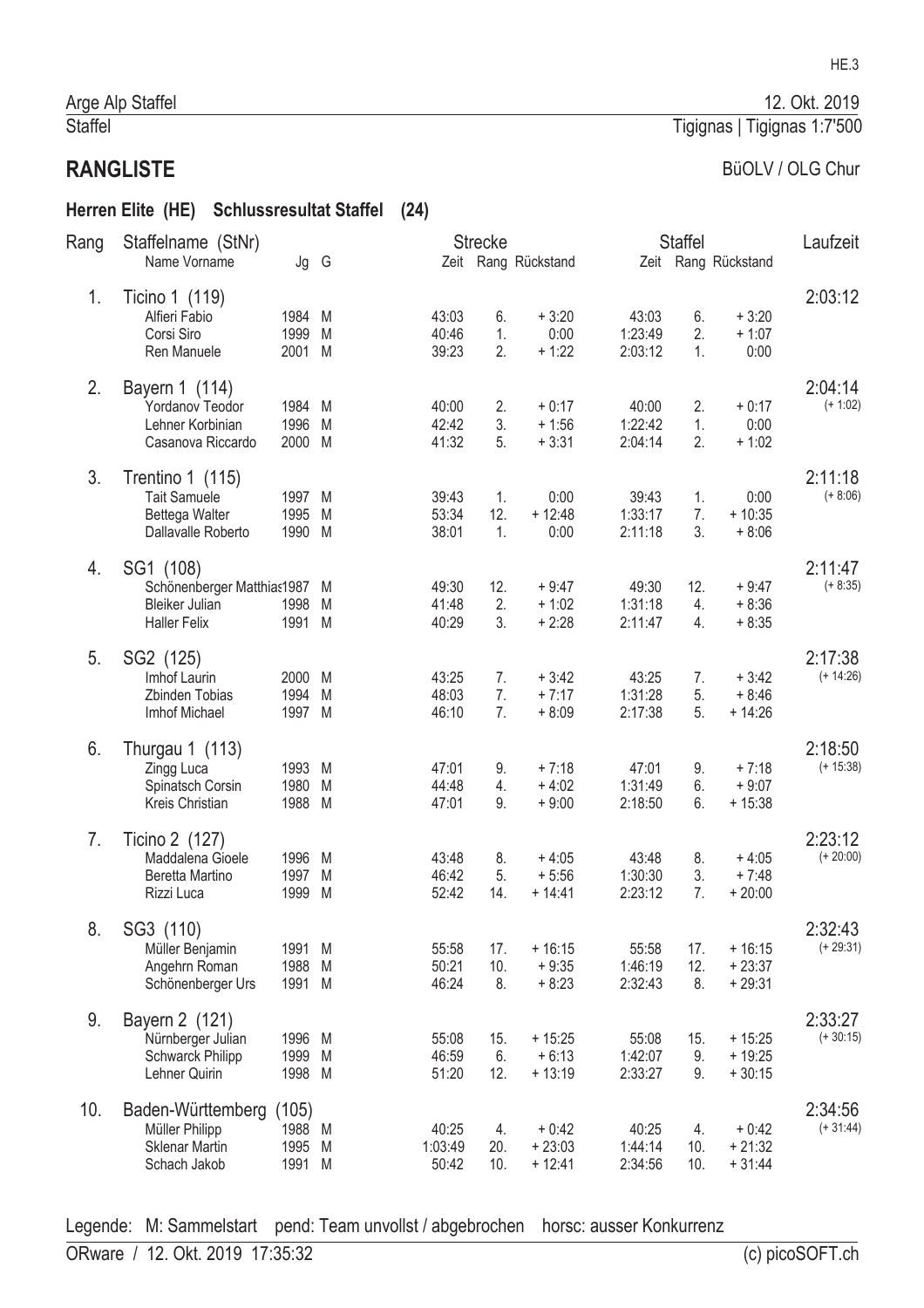#### Herren Elite (HE) Schlussresultat Staffel (24)

| Rang | Staffelname (StNr)                                                                        |                                   |        |                           | <b>Strecke</b>   |                                 |                             | <b>Staffel</b>   |                                  | Laufzeit               |
|------|-------------------------------------------------------------------------------------------|-----------------------------------|--------|---------------------------|------------------|---------------------------------|-----------------------------|------------------|----------------------------------|------------------------|
|      | Name Vorname                                                                              | Jg G                              |        |                           |                  | Zeit Rang Rückstand             |                             |                  | Zeit Rang Rückstand              |                        |
| 1.   | Ticino 1 (119)<br>Alfieri Fabio<br>Corsi Siro<br>Ren Manuele                              | 1984<br>1999<br>2001 M            | M<br>M | 43:03<br>40:46<br>39:23   | 6.<br>1.<br>2.   | $+3:20$<br>0:00<br>$+1:22$      | 43:03<br>1:23:49<br>2:03:12 | 6.<br>2.<br>1.   | $+3:20$<br>$+1:07$<br>0:00       | 2:03:12                |
| 2.   | Bayern 1 (114)<br>Yordanov Teodor<br>Lehner Korbinian<br>Casanova Riccardo                | 1984 M<br>1996 M<br>2000 M        |        | 40:00<br>42:42<br>41:32   | 2.<br>3.<br>5.   | $+0:17$<br>$+1:56$<br>$+3:31$   | 40:00<br>1:22:42<br>2:04:14 | 2.<br>1.<br>2.   | $+0:17$<br>0:00<br>$+1:02$       | 2:04:14<br>$(+ 1:02)$  |
| 3.   | Trentino 1 $(115)$<br><b>Tait Samuele</b><br>Bettega Walter<br>Dallavalle Roberto         | 1997 M<br>1995<br>1990 M          | - M    | 39:43<br>53:34<br>38:01   | 1.<br>12.<br>1.  | 0:00<br>$+12:48$<br>0:00        | 39:43<br>1:33:17<br>2:11:18 | 1.<br>7.<br>3.   | 0:00<br>$+10:35$<br>$+8:06$      | 2:11:18<br>$(+ 8:06)$  |
| 4.   | SG1 (108)<br>Schönenberger Matthias1987 M<br><b>Bleiker Julian</b><br><b>Haller Felix</b> | 1998<br>1991 M                    | M      | 49:30<br>41:48<br>40:29   | 12.<br>2.<br>3.  | $+9:47$<br>$+1:02$<br>$+2:28$   | 49:30<br>1:31:18<br>2:11:47 | 12.<br>4.<br>4.  | $+9:47$<br>$+8:36$<br>$+8:35$    | 2:11:47<br>$(+ 8:35)$  |
| 5.   | SG2 (125)<br>Imhof Laurin<br>Zbinden Tobias<br>Imhof Michael                              | 2000 M<br>1994<br>1997 M          | M      | 43:25<br>48:03<br>46:10   | 7.<br>7.<br>7.   | $+3:42$<br>$+7:17$<br>$+8:09$   | 43:25<br>1:31:28<br>2:17:38 | 7.<br>5.<br>5.   | $+3:42$<br>$+8:46$<br>$+14:26$   | 2:17:38<br>$(+ 14:26)$ |
| 6.   | Thurgau 1 (113)<br>Zingg Luca<br>Spinatsch Corsin<br>Kreis Christian                      | 1993 M<br>1980<br>1988 M          | M      | 47:01<br>44:48<br>47:01   | 9.<br>4.<br>9.   | $+7:18$<br>$+4:02$<br>$+9:00$   | 47:01<br>1:31:49<br>2:18:50 | 9.<br>6.<br>6.   | $+7:18$<br>$+9:07$<br>$+15:38$   | 2:18:50<br>$(+ 15:38)$ |
| 7.   | Ticino 2 (127)<br>Maddalena Gioele<br>Beretta Martino<br>Rizzi Luca                       | 1996 M<br>1997<br>1999            | M<br>M | 43:48<br>46:42<br>52:42   | 8.<br>5.<br>14.  | $+4:05$<br>$+5:56$<br>$+ 14:41$ | 43:48<br>1:30:30<br>2:23:12 | 8.<br>3.<br>7.   | $+4:05$<br>$+7:48$<br>$+20:00$   | 2:23:12<br>$(+ 20:00)$ |
| 8.   | SG3 (110)<br>Müller Benjamin<br>Angehrn Roman<br>Schönenberger Urs                        | 1991 M<br>1988<br>1991 M          | M      | 55:58<br>50:21<br>46:24   | 17.<br>10.<br>8. | $+16:15$<br>$+9:35$<br>$+8:23$  | 55:58<br>1:46:19<br>2:32:43 | 17.<br>12.<br>8. | $+16:15$<br>$+23:37$<br>$+29:31$ | 2:32:43<br>$(+ 29:31)$ |
| 9.   | Bayern 2 (121)<br>Nürnberger Julian<br>Schwarck Philipp<br>Lehner Quirin                  | 1996 M<br>1999<br>1998 M          | M      | 55:08<br>46:59<br>51:20   | 15.<br>6.<br>12. | $+15:25$<br>$+6:13$<br>$+13:19$ | 55:08<br>1:42:07<br>2:33:27 | 15.<br>9.<br>9.  | $+15:25$<br>$+19:25$<br>$+30:15$ | 2:33:27<br>$(+30:15)$  |
| 10.  | Baden-Württemberg<br>Müller Philipp<br><b>Sklenar Martin</b><br>Schach Jakob              | (105)<br>1988 M<br>1995<br>1991 M | M      | 40:25<br>1:03:49<br>50:42 | 4.<br>20.<br>10. | $+0:42$<br>$+23:03$<br>$+12:41$ | 40:25<br>1:44:14<br>2:34:56 | 4.<br>10.<br>10. | $+0:42$<br>$+21:32$<br>$+31:44$  | 2:34:56<br>$(+31:44)$  |

Legende: M: Sammelstart pend: Team unvollst / abgebrochen horsc: ausser Konkurrenz

12. Okt. 2019

BüOLV / OLG Chur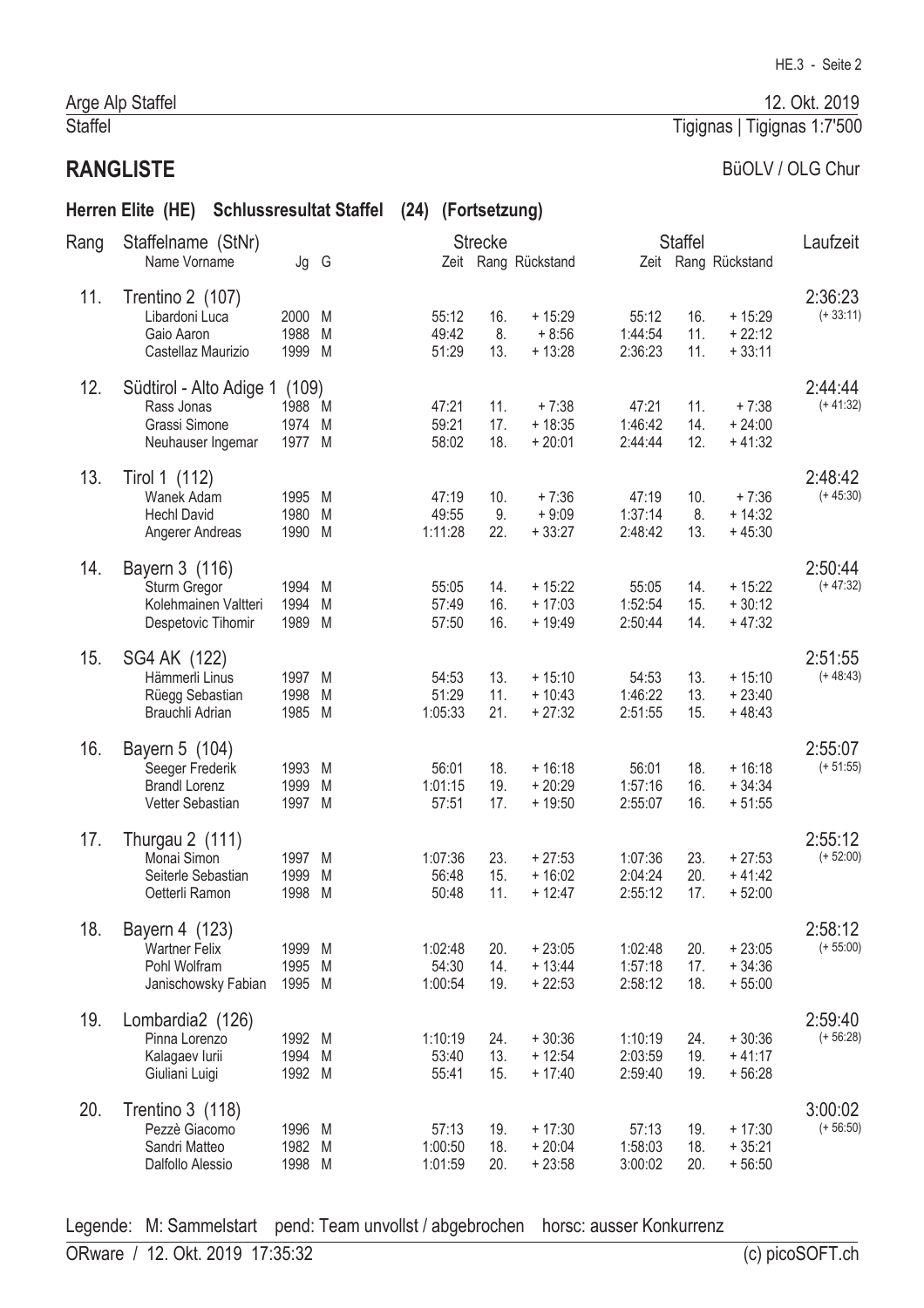#### Arge Alp Staffel Staffel

# **RANGLISTE**

# BüOLV / OLG Chur

# Herren Elite (HE) Schlussresultat Staffel (24) (Fortsetzung)

| Rang | Staffelname (StNr)                                                            |                                   |             |                             | <b>Strecke</b>    |                                   |                               | <b>Staffel</b>    |                                  | Laufzeit               |
|------|-------------------------------------------------------------------------------|-----------------------------------|-------------|-----------------------------|-------------------|-----------------------------------|-------------------------------|-------------------|----------------------------------|------------------------|
|      | Name Vorname                                                                  | Jg G                              |             |                             |                   | Zeit Rang Rückstand               |                               |                   | Zeit Rang Rückstand              |                        |
| 11.  | Trentino 2 (107)<br>Libardoni Luca<br>Gaio Aaron<br>Castellaz Maurizio        | 2000<br>1988<br>1999 M            | M<br>M      | 55:12<br>49:42<br>51:29     | 16.<br>8.<br>13.  | $+15:29$<br>$+8:56$<br>$+13:28$   | 55:12<br>1:44:54<br>2:36:23   | 16.<br>11.<br>11. | $+15:29$<br>$+22:12$<br>$+33:11$ | 2:36:23<br>$(+33:11)$  |
| 12.  | Südtirol - Alto Adige 1<br>Rass Jonas<br>Grassi Simone<br>Neuhauser Ingemar   | (109)<br>1988 M<br>1974<br>1977 M | M           | 47:21<br>59:21<br>58:02     | 11.<br>17.<br>18. | $+7:38$<br>$+18:35$<br>$+20:01$   | 47:21<br>1:46:42<br>2:44:44   | 11.<br>14.<br>12. | $+7:38$<br>$+24:00$<br>$+41:32$  | 2:44:44<br>$(+ 41:32)$ |
| 13.  | Tirol 1 (112)<br>Wanek Adam<br><b>Hechl David</b><br>Angerer Andreas          | 1995<br>1980<br>1990 M            | M<br>M      | 47:19<br>49:55<br>1:11:28   | 10.<br>9.<br>22.  | $+7:36$<br>$+9:09$<br>$+33:27$    | 47:19<br>1:37:14<br>2:48:42   | 10.<br>8.<br>13.  | $+7:36$<br>$+14:32$<br>$+45:30$  | 2:48:42<br>$(+45:30)$  |
| 14.  | Bayern 3 (116)<br>Sturm Gregor<br>Kolehmainen Valtteri<br>Despetovic Tihomir  | 1994 M<br>1994<br>1989            | M<br>M      | 55:05<br>57:49<br>57:50     | 14.<br>16.<br>16. | $+15:22$<br>$+17:03$<br>$+19:49$  | 55:05<br>1:52:54<br>2:50:44   | 14.<br>15.<br>14. | $+15:22$<br>$+30:12$<br>$+47:32$ | 2:50:44<br>$(+47:32)$  |
| 15.  | SG4 AK (122)<br>Hämmerli Linus<br>Rüegg Sebastian<br>Brauchli Adrian          | 1997 M<br>1998<br>1985 M          | M           | 54:53<br>51:29<br>1:05:33   | 13.<br>11.<br>21. | $+15:10$<br>$+10:43$<br>$+27:32$  | 54:53<br>1:46:22<br>2:51:55   | 13.<br>13.<br>15. | $+15:10$<br>$+23:40$<br>$+48:43$ | 2:51:55<br>$(+48:43)$  |
| 16.  | Bayern 5 (104)<br>Seeger Frederik<br><b>Brandl Lorenz</b><br>Vetter Sebastian | 1993<br>1999<br>1997 M            | M<br>M      | 56:01<br>1:01:15<br>57:51   | 18.<br>19.<br>17. | $+16:18$<br>$+20:29$<br>$+19:50$  | 56:01<br>1:57:16<br>2:55:07   | 18.<br>16.<br>16. | $+16:18$<br>$+34:34$<br>$+51:55$ | 2:55:07<br>$(+ 51:55)$ |
| 17.  | Thurgau 2 (111)<br>Monai Simon<br>Seiterle Sebastian<br>Oetterli Ramon        | 1997<br>1999<br>1998              | M<br>M<br>M | 1:07:36<br>56:48<br>50:48   | 23.<br>15.<br>11. | $+27:53$<br>$+16:02$<br>$+12:47$  | 1:07:36<br>2:04:24<br>2:55:12 | 23.<br>20.<br>17. | $+27:53$<br>$+41:42$<br>$+52:00$ | 2:55:12<br>$(+ 52:00)$ |
| 18.  | Bayern 4 (123)<br><b>Wartner Felix</b><br>Pohl Wolfram<br>Janischowsky Fabian | 1999 M<br>1995<br>1995 M          | M           | 1:02:48<br>54:30<br>1:00:54 | 20.<br>14.<br>19. | $+23:05$<br>$+ 13:44$<br>$+22:53$ | 1:02:48<br>1:57:18<br>2:58:12 | 20.<br>17.<br>18. | $+23:05$<br>$+34:36$<br>$+55:00$ | 2:58:12<br>$(+ 55:00)$ |
| 19.  | Lombardia2 (126)<br>Pinna Lorenzo<br>Kalagaev lurii<br>Giuliani Luigi         | 1992 M<br>1994 M<br>1992 M        |             | 1:10:19<br>53:40<br>55:41   | 24.<br>13.<br>15. | $+30:36$<br>$+12:54$<br>$+17:40$  | 1:10:19<br>2:03:59<br>2:59:40 | 24.<br>19.<br>19. | $+30:36$<br>$+41:17$<br>$+56:28$ | 2:59:40<br>$(+ 56:28)$ |
| 20.  | Trentino 3 (118)<br>Pezzè Giacomo<br>Sandri Matteo<br>Dalfollo Alessio        | 1996 M<br>1982 M<br>1998 M        |             | 57:13<br>1:00:50<br>1:01:59 | 19.<br>18.<br>20. | $+17:30$<br>$+20:04$<br>$+23:58$  | 57:13<br>1:58:03<br>3:00:02   | 19.<br>18.<br>20. | $+17:30$<br>$+35:21$<br>$+56:50$ | 3:00:02<br>$(+ 56:50)$ |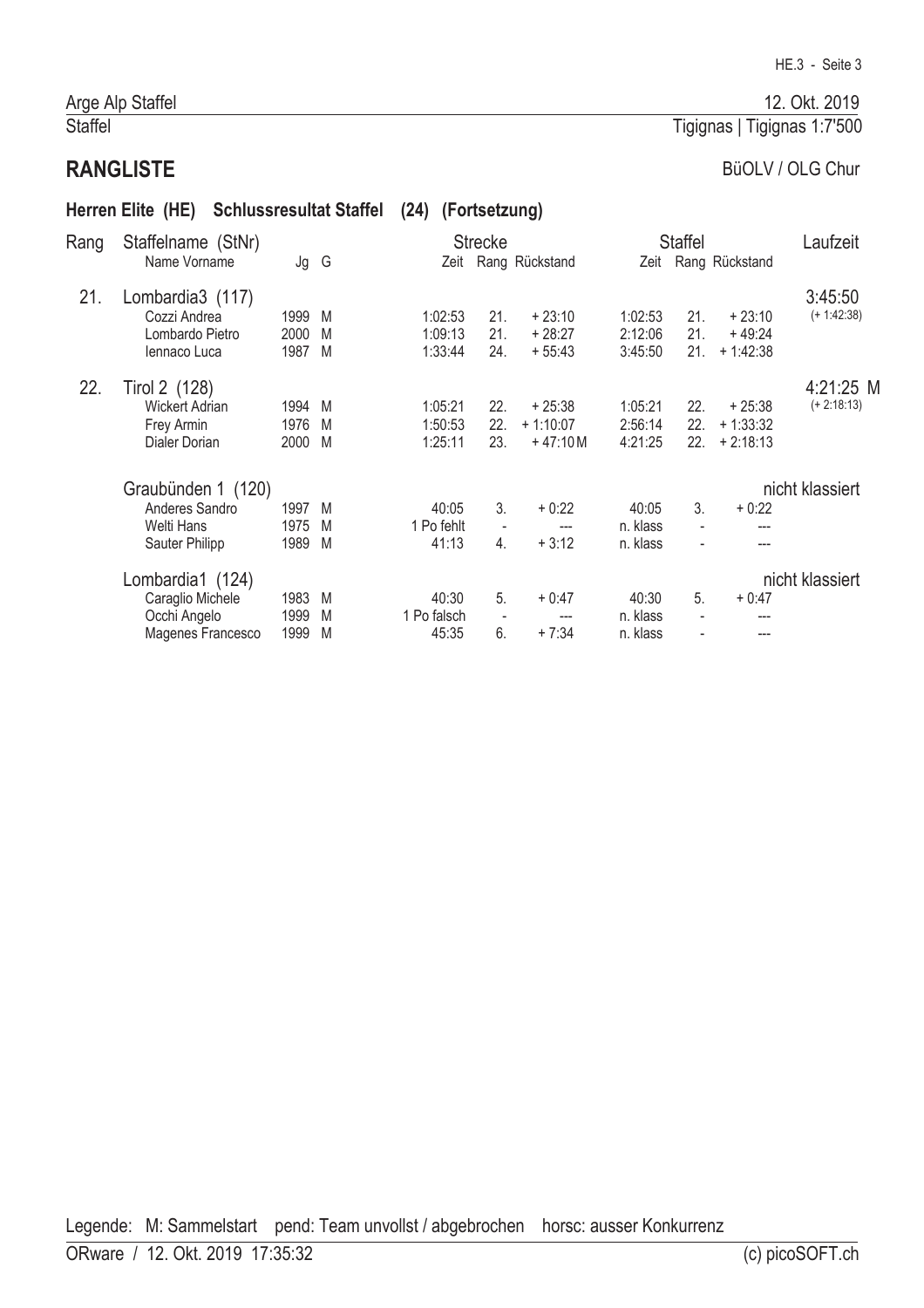# Arge Alp Staffel Staffel

# **RANGLISTE**

# BüOLV / OLG Chur

# Herren Elite (HE) Schlussresultat Staffel (24) (Fortsetzung)

| Rang | Staffelname (StNr)    |        |   |             | <b>Strecke</b>           |                     |          | <b>Staffel</b> |                     | Laufzeit        |
|------|-----------------------|--------|---|-------------|--------------------------|---------------------|----------|----------------|---------------------|-----------------|
|      | Name Vorname          | Jg G   |   |             |                          | Zeit Rang Rückstand |          |                | Zeit Rang Rückstand |                 |
| 21.  | Lombardia3 (117)      |        |   |             |                          |                     |          |                |                     | 3:45:50         |
|      | Cozzi Andrea          | 1999   | M | 1:02:53     | 21.                      | $+23:10$            | 1:02:53  | 21.            | $+23:10$            | $(+ 1:42:38)$   |
|      | Lombardo Pietro       | 2000   | M | 1:09:13     | 21.                      | $+28:27$            | 2:12:06  | 21.            | $+49:24$            |                 |
|      | Jennaco Luca          | 1987   | M | 1:33:44     | 24.                      | $+55:43$            | 3:45:50  | 21.            | $+1:42:38$          |                 |
| 22.  | Tirol 2 (128)         |        |   |             |                          |                     |          |                |                     | 4:21:25 M       |
|      | <b>Wickert Adrian</b> | 1994 M |   | 1:05:21     | 22.                      | $+25:38$            | 1:05:21  | 22.            | $+25:38$            | $(+ 2:18:13)$   |
|      | Frey Armin            | 1976   | M | 1:50:53     | 22.                      | $+1:10:07$          | 2:56:14  | 22.            | $+1:33:32$          |                 |
|      | Dialer Dorian         | 2000   | M | 1:25:11     | 23.                      | $+47:10 M$          | 4:21:25  | 22.            | $+2:18:13$          |                 |
|      | Graubünden 1 (120)    |        |   |             |                          |                     |          |                |                     | nicht klassiert |
|      | Anderes Sandro        | 1997   | M | 40:05       | 3.                       | $+0:22$             | 40:05    | 3.             | $+0.22$             |                 |
|      | Welti Hans            | 1975   | M | 1 Po fehlt  | $\blacksquare$           | ---                 | n. klass | $\blacksquare$ | ---                 |                 |
|      | Sauter Philipp        | 1989   | M | 41:13       | 4.                       | $+3:12$             | n. klass |                | ---                 |                 |
|      | Lombardia1 (124)      |        |   |             |                          |                     |          |                |                     | nicht klassiert |
|      | Caraglio Michele      | 1983   | M | 40:30       | 5.                       | $+0:47$             | 40:30    | 5.             | $+0:47$             |                 |
|      | Occhi Angelo          | 1999   | M | 1 Po falsch | $\overline{\phantom{a}}$ | ---                 | n. klass |                |                     |                 |
|      | Magenes Francesco     | 1999   | M | 45:35       | 6.                       | $+7:34$             | n. klass |                | ---                 |                 |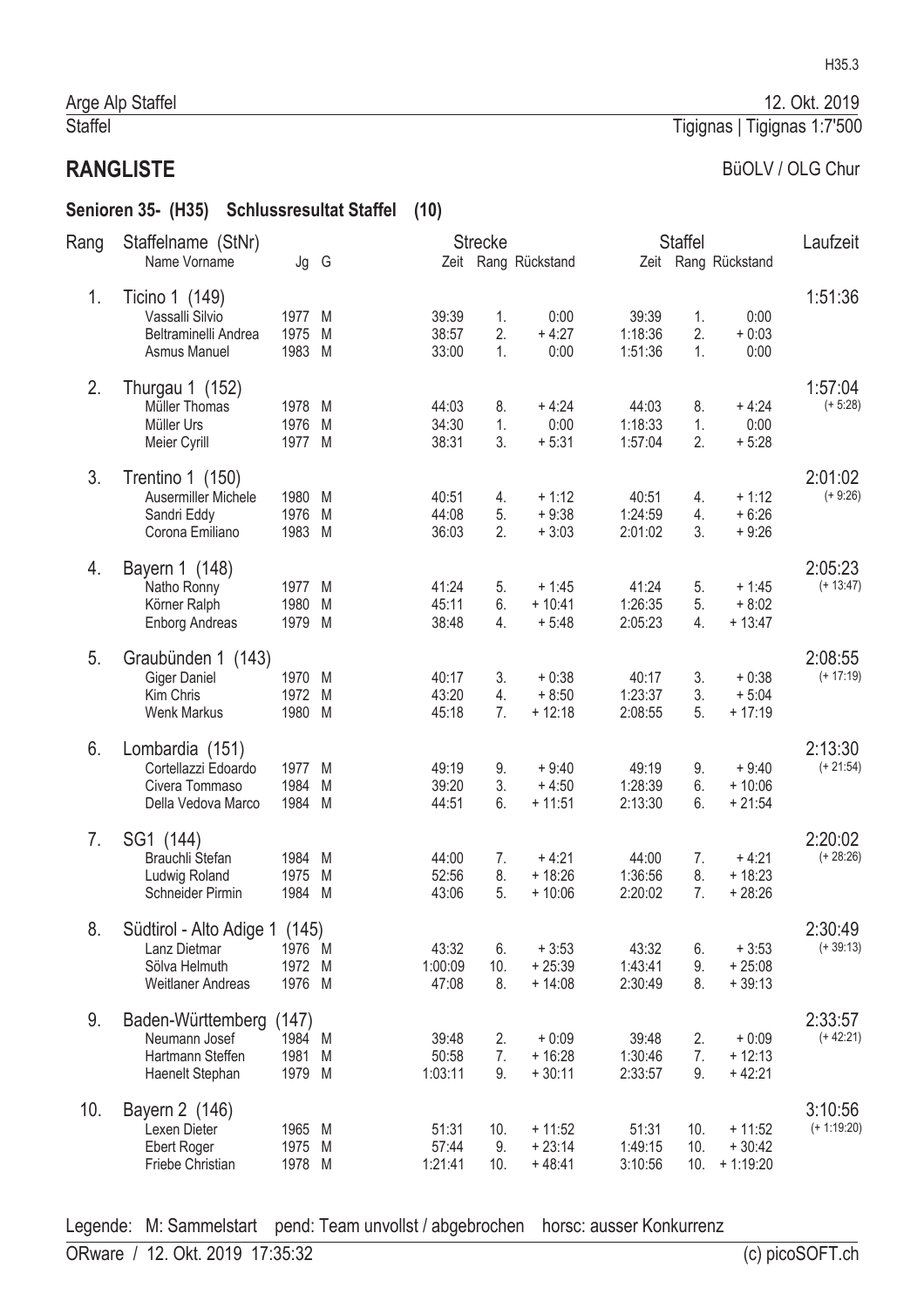#### Senioren 35- (H35) Schlussresultat Staffel (10)

| Rang | Staffelname (StNr)                                                                         |                                   |   |                           | <b>Strecke</b>   |                                  |                             | <b>Staffel</b>    |                                    | Laufzeit                 |
|------|--------------------------------------------------------------------------------------------|-----------------------------------|---|---------------------------|------------------|----------------------------------|-----------------------------|-------------------|------------------------------------|--------------------------|
|      | Name Vorname                                                                               | Jg G                              |   |                           |                  | Zeit Rang Rückstand              |                             |                   | Zeit Rang Rückstand                |                          |
| 1.   | Ticino 1 (149)<br>Vassalli Silvio<br>Beltraminelli Andrea<br>Asmus Manuel                  | 1977 M<br>1975<br>1983 M          | M | 39:39<br>38:57<br>33:00   | 1.<br>2.<br>1.   | 0:00<br>$+4:27$<br>0:00          | 39:39<br>1:18:36<br>1:51:36 | 1.<br>2.<br>1.    | 0:00<br>$+0:03$<br>0:00            | 1:51:36                  |
| 2.   | Thurgau 1 (152)<br>Müller Thomas<br>Müller Urs<br>Meier Cyrill                             | 1978 M<br>1976 M<br>1977 M        |   | 44:03<br>34:30<br>38:31   | 8.<br>1.<br>3.   | $+4:24$<br>0:00<br>$+5:31$       | 44:03<br>1:18:33<br>1:57:04 | 8.<br>1.<br>2.    | $+4:24$<br>0:00<br>$+5:28$         | 1:57:04<br>$(+ 5:28)$    |
| 3.   | Trentino 1 (150)<br>Ausermiller Michele<br>Sandri Eddy<br>Corona Emiliano                  | 1980 M<br>1976<br>1983 M          | M | 40:51<br>44:08<br>36:03   | 4.<br>5.<br>2.   | $+1:12$<br>$+9:38$<br>$+3:03$    | 40:51<br>1:24:59<br>2:01:02 | 4.<br>4.<br>3.    | $+1:12$<br>$+6:26$<br>$+9:26$      | 2:01:02<br>$(+ 9:26)$    |
| 4.   | Bayern 1 (148)<br>Natho Ronny<br>Körner Ralph<br><b>Enborg Andreas</b>                     | 1977 M<br>1980<br>1979 M          | M | 41:24<br>45:11<br>38:48   | 5.<br>6.<br>4.   | $+1:45$<br>$+10:41$<br>$+5:48$   | 41:24<br>1:26:35<br>2:05:23 | 5.<br>5.<br>4.    | $+1:45$<br>$+8:02$<br>$+13:47$     | 2:05:23<br>$(+ 13:47)$   |
| 5.   | Graubünden 1 (143)<br><b>Giger Daniel</b><br>Kim Chris<br><b>Wenk Markus</b>               | 1970 M<br>1972 M<br>1980 M        |   | 40:17<br>43:20<br>45:18   | 3.<br>4.<br>7.   | $+0:38$<br>$+8:50$<br>$+12:18$   | 40:17<br>1:23:37<br>2:08:55 | 3.<br>3.<br>5.    | $+0:38$<br>$+5:04$<br>$+17:19$     | 2:08:55<br>$(+ 17:19)$   |
| 6.   | Lombardia (151)<br>Cortellazzi Edoardo<br>Civera Tommaso<br>Della Vedova Marco             | 1977 M<br>1984<br>1984 M          | M | 49:19<br>39:20<br>44:51   | 9.<br>3.<br>6.   | $+9:40$<br>$+4:50$<br>$+11:51$   | 49:19<br>1:28:39<br>2:13:30 | 9.<br>6.<br>6.    | $+9:40$<br>$+10:06$<br>$+21:54$    | 2:13:30<br>$(+ 21:54)$   |
| 7.   | SG1 (144)<br>Brauchli Stefan<br>Ludwig Roland<br>Schneider Pirmin                          | 1984 M<br>1975<br>1984 M          | M | 44:00<br>52:56<br>43:06   | 7.<br>8.<br>5.   | $+4:21$<br>$+18:26$<br>$+10:06$  | 44:00<br>1:36:56<br>2:20:02 | 7.<br>8.<br>7.    | $+4:21$<br>$+18:23$<br>$+28:26$    | 2:20:02<br>$(+ 28:26)$   |
| 8.   | Südtirol - Alto Adige 1 (145)<br>Lanz Dietmar<br>Sölva Helmuth<br><b>Weitlaner Andreas</b> | 1976 M<br>1972 M<br>1976 M        |   | 43:32<br>1:00:09<br>47:08 | 6.<br>10.<br>8.  | $+3:53$<br>$+25:39$<br>$+14:08$  | 43:32<br>1:43:41<br>2:30:49 | 6.<br>9.<br>8.    | $+3:53$<br>$+25:08$<br>$+39:13$    | 2:30:49<br>$(+39:13)$    |
| 9.   | Baden-Württemberg<br>Neumann Josef<br>Hartmann Steffen<br>Haenelt Stephan                  | (147)<br>1984 M<br>1981<br>1979 M | M | 39:48<br>50:58<br>1:03:11 | 2.<br>7.<br>9.   | $+0:09$<br>$+16:28$<br>$+30:11$  | 39:48<br>1:30:46<br>2:33:57 | 2.<br>7.<br>9.    | $+0:09$<br>$+12:13$<br>$+42:21$    | 2:33:57<br>$(+42:21)$    |
| 10.  | Bayern 2 (146)<br>Lexen Dieter<br>Ebert Roger<br>Friebe Christian                          | 1965 M<br>1975 M<br>1978 M        |   | 51:31<br>57:44<br>1:21:41 | 10.<br>9.<br>10. | $+11:52$<br>$+23:14$<br>$+48:41$ | 51:31<br>1:49:15<br>3:10:56 | 10.<br>10.<br>10. | $+11:52$<br>$+30:42$<br>$+1:19:20$ | 3:10:56<br>$(+ 1:19:20)$ |

Legende: M: Sammelstart pend: Team unvollst / abgebrochen horsc: ausser Konkurrenz

12. Okt. 2019

BüOLV / OLG Chur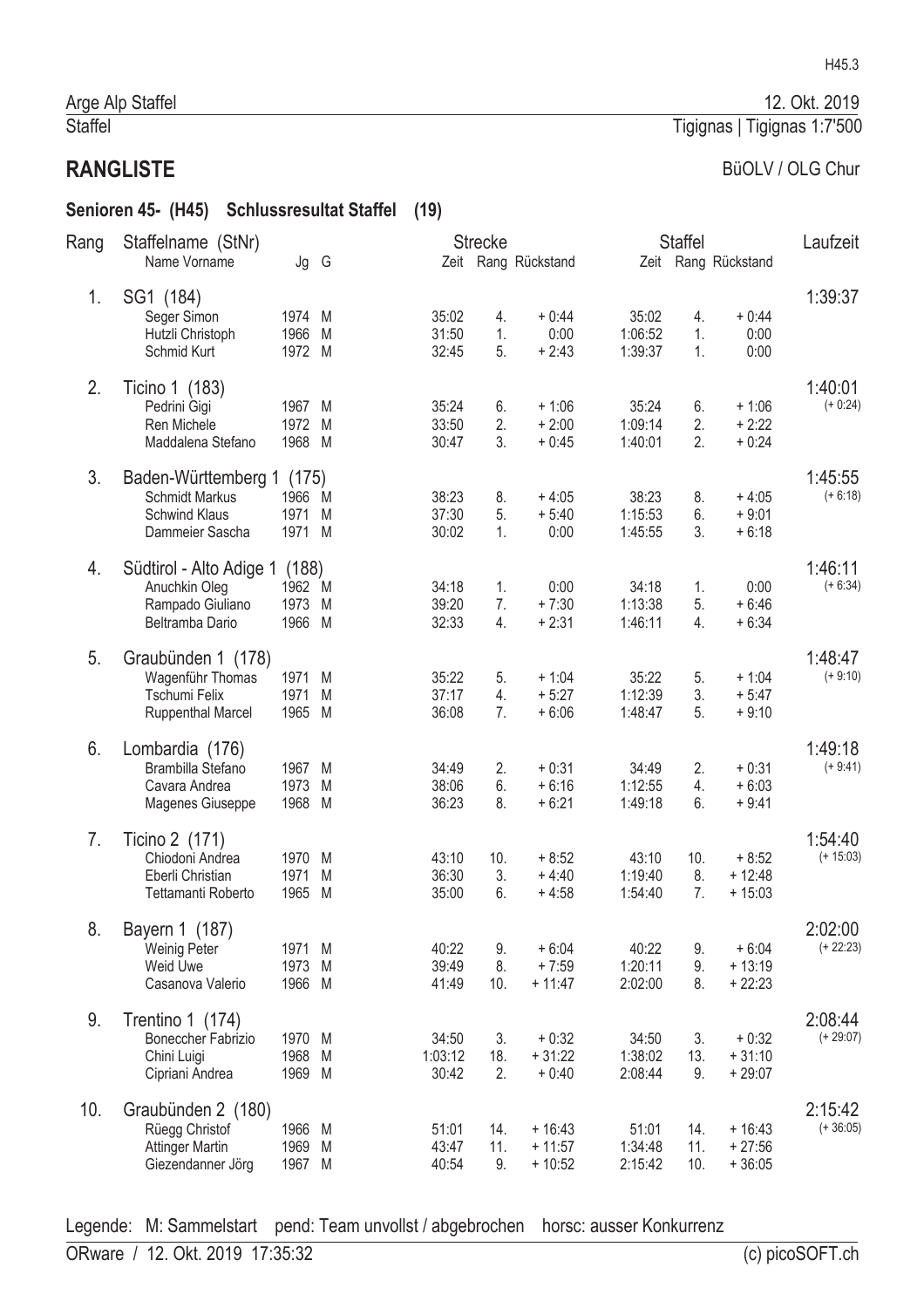#### Senioren 45- (H45) Schlussresultat Staffel (19)

| Rang | Staffelname (StNr)                                                                      |                                   |        |                           | <b>Strecke</b>   |                                  |                             | <b>Staffel</b>    |                                  | Laufzeit               |
|------|-----------------------------------------------------------------------------------------|-----------------------------------|--------|---------------------------|------------------|----------------------------------|-----------------------------|-------------------|----------------------------------|------------------------|
|      | Name Vorname                                                                            | Jg G                              |        |                           |                  | Zeit Rang Rückstand              |                             |                   | Zeit Rang Rückstand              |                        |
| 1.   | SG1 (184)<br>Seger Simon<br>Hutzli Christoph<br>Schmid Kurt                             | 1974 M<br>1966 M<br>1972 M        |        | 35:02<br>31:50<br>32:45   | 4.<br>1.<br>5.   | $+0:44$<br>0:00<br>$+2:43$       | 35:02<br>1:06:52<br>1:39:37 | 4.<br>1.<br>1.    | $+0:44$<br>0:00<br>0:00          | 1:39:37                |
| 2.   | Ticino 1 (183)<br>Pedrini Gigi<br>Ren Michele                                           | 1967 M<br>1972 M                  |        | 35:24<br>33:50            | 6.<br>2.         | $+1:06$<br>$+2:00$               | 35:24<br>1:09:14            | 6.<br>2.          | $+1:06$<br>$+2:22$               | 1:40:01<br>$(+ 0:24)$  |
|      | Maddalena Stefano                                                                       | 1968 M                            |        | 30:47                     | 3.               | $+0:45$                          | 1:40:01                     | 2.                | $+0:24$                          |                        |
| 3.   | Baden-Württemberg 1<br><b>Schmidt Markus</b><br><b>Schwind Klaus</b><br>Dammeier Sascha | (175)<br>1966 M<br>1971<br>1971 M | M      | 38:23<br>37:30<br>30:02   | 8.<br>5.<br>1.   | $+4:05$<br>$+5:40$<br>0:00       | 38:23<br>1:15:53<br>1:45:55 | 8.<br>6.<br>3.    | $+4:05$<br>$+9:01$<br>$+6:18$    | 1:45:55<br>$(+ 6:18)$  |
| 4.   | Südtirol - Alto Adige 1<br>Anuchkin Oleg<br>Rampado Giuliano<br>Beltramba Dario         | (188)<br>1962 M<br>1973<br>1966 M | M      | 34:18<br>39:20<br>32:33   | 1.<br>7.<br>4.   | 0:00<br>$+7:30$<br>$+2:31$       | 34:18<br>1:13:38<br>1:46:11 | 1.<br>5.<br>4.    | 0:00<br>$+6:46$<br>$+6:34$       | 1:46:11<br>$(+ 6:34)$  |
| 5.   | Graubünden 1 (178)<br>Wagenführ Thomas<br>Tschumi Felix<br><b>Ruppenthal Marcel</b>     | 1971 M<br>1971<br>1965 M          | M      | 35:22<br>37:17<br>36:08   | 5.<br>4.<br>7.   | $+1:04$<br>$+5:27$<br>$+6:06$    | 35:22<br>1:12:39<br>1:48:47 | 5.<br>3.<br>5.    | $+1:04$<br>$+5:47$<br>$+9:10$    | 1:48:47<br>$(+ 9:10)$  |
| 6.   | Lombardia (176)<br>Brambilla Stefano<br>Cavara Andrea<br>Magenes Giuseppe               | 1967 M<br>1973<br>1968 M          | M      | 34:49<br>38:06<br>36:23   | 2.<br>6.<br>8.   | $+0:31$<br>$+6:16$<br>$+6:21$    | 34:49<br>1:12:55<br>1:49:18 | 2.<br>4.<br>6.    | $+0:31$<br>$+6:03$<br>$+9:41$    | 1:49:18<br>$(+ 9:41)$  |
| 7.   | Ticino 2 (171)<br>Chiodoni Andrea<br>Eberli Christian<br>Tettamanti Roberto             | 1970 M<br>1971<br>1965            | M<br>M | 43:10<br>36:30<br>35:00   | 10.<br>3.<br>6.  | $+8:52$<br>$+4:40$<br>$+4:58$    | 43:10<br>1:19:40<br>1:54:40 | 10.<br>8.<br>7.   | $+8:52$<br>$+12:48$<br>$+15:03$  | 1:54:40<br>$(+ 15:03)$ |
| 8.   | Bayern 1 (187)<br>Weinig Peter<br>Weid Uwe<br>Casanova Valerio                          | 1971 M<br>1973 M<br>1966 M        |        | 40:22<br>39:49<br>41:49   | 9.<br>8.<br>10.  | $+6:04$<br>$+7:59$<br>$+11:47$   | 40:22<br>1:20:11<br>2:02:00 | 9.<br>9.<br>8.    | $+6:04$<br>$+13:19$<br>$+22:23$  | 2:02:00<br>$(+ 22:23)$ |
| 9.   | Trentino 1 (174)<br>Boneccher Fabrizio<br>Chini Luigi<br>Cipriani Andrea                | 1970 M<br>1968<br>1969 M          | M      | 34:50<br>1:03:12<br>30:42 | 3.<br>18.<br>2.  | $+0:32$<br>$+31:22$<br>$+0:40$   | 34:50<br>1:38:02<br>2:08:44 | 3.<br>13.<br>9.   | $+0:32$<br>$+31:10$<br>$+29:07$  | 2:08:44<br>$(+ 29:07)$ |
| 10.  | Graubünden 2 (180)<br>Rüegg Christof<br><b>Attinger Martin</b><br>Giezendanner Jörg     | 1966 M<br>1969<br>1967 M          | M      | 51:01<br>43:47<br>40:54   | 14.<br>11.<br>9. | $+16:43$<br>$+11:57$<br>$+10:52$ | 51:01<br>1:34:48<br>2:15:42 | 14.<br>11.<br>10. | $+16:43$<br>$+27:56$<br>$+36:05$ | 2:15:42<br>$(+36:05)$  |

Legende: M: Sammelstart pend: Team unvollst / abgebrochen horsc: ausser Konkurrenz

# H45.3

12. Okt. 2019

#### Tigignas | Tigignas 1:7'500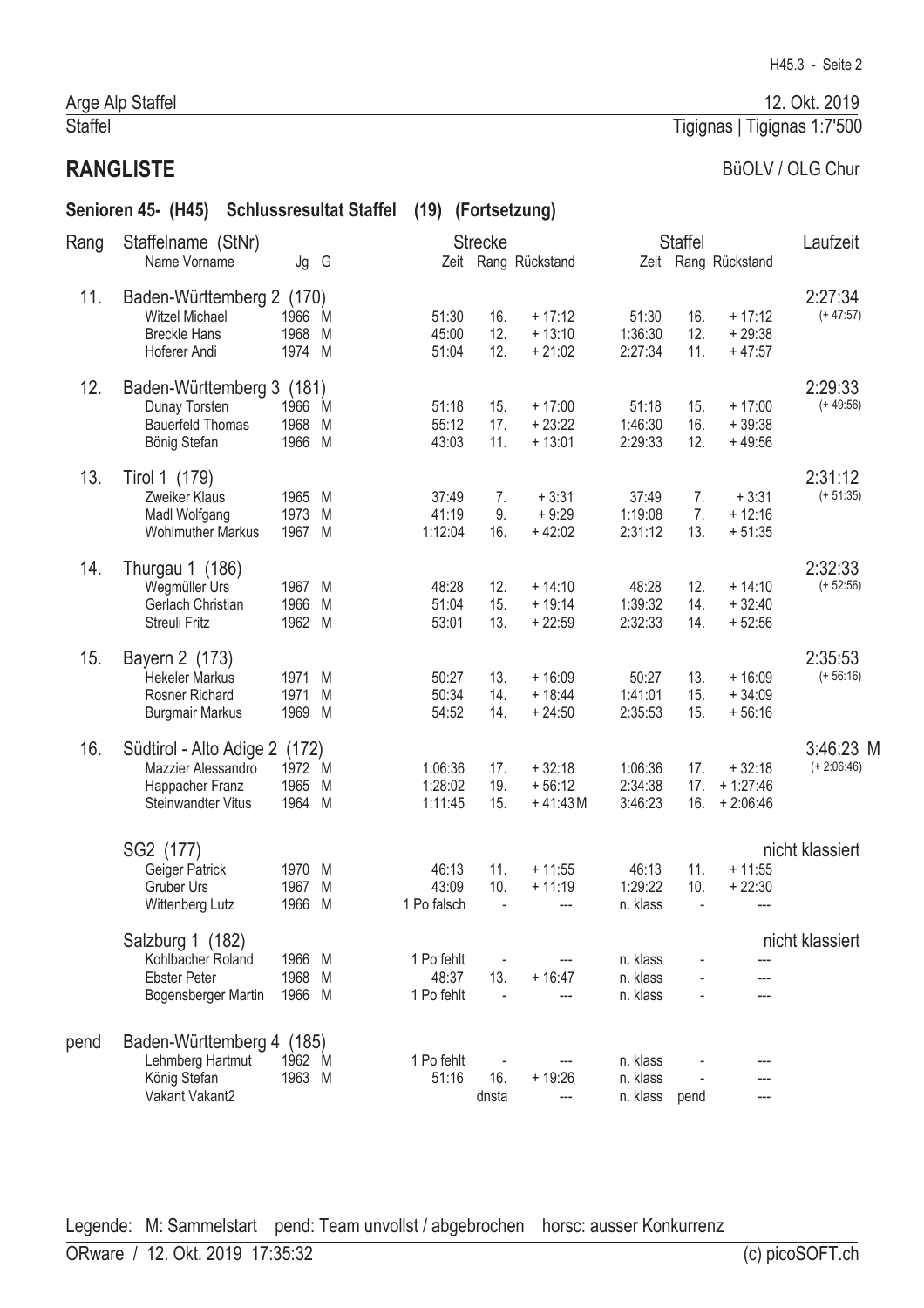# **RANGLISTE**

#### BüOLV / OLG Chur

Tigignas | Tigignas 1:7'500

|      | Senioren 45- (H45) Schlussresultat Staffel                                                    |                                   |   | (19) (Fortsetzung)                |                       |                                   |                                  |                   |                                      |                            |
|------|-----------------------------------------------------------------------------------------------|-----------------------------------|---|-----------------------------------|-----------------------|-----------------------------------|----------------------------------|-------------------|--------------------------------------|----------------------------|
| Rang | Staffelname (StNr)<br>Name Vorname                                                            | Jg G                              |   |                                   | <b>Strecke</b>        | Zeit Rang Rückstand               |                                  | Staffel           | Zeit Rang Rückstand                  | Laufzeit                   |
| 11.  | Baden-Württemberg 2 (170)<br><b>Witzel Michael</b><br><b>Breckle Hans</b><br>Hoferer Andi     | 1966 M<br>1968 M<br>1974 M        |   | 51:30<br>45:00<br>51:04           | 16.<br>12.<br>12.     | $+17:12$<br>$+13:10$<br>$+21:02$  | 51:30<br>1:36:30<br>2:27:34      | 16.<br>12.<br>11. | $+17:12$<br>$+29:38$<br>$+47:57$     | 2:27:34<br>$(+47:57)$      |
| 12.  | Baden-Württemberg 3 (181)<br>Dunay Torsten<br><b>Bauerfeld Thomas</b><br>Bönig Stefan         | 1966 M<br>1968<br>1966 M          | M | 51:18<br>55:12<br>43:03           | 15.<br>17.<br>11.     | $+17:00$<br>$+23:22$<br>$+13:01$  | 51:18<br>1:46:30<br>2:29:33      | 15.<br>16.<br>12. | $+17:00$<br>$+39:38$<br>$+49:56$     | 2:29:33<br>$(+49:56)$      |
| 13.  | Tirol 1 (179)<br>Zweiker Klaus<br>Madl Wolfgang<br><b>Wohlmuther Markus</b>                   | 1965 M<br>1973<br>1967 M          | M | 37:49<br>41:19<br>1:12:04         | 7.<br>9.<br>16.       | $+3:31$<br>$+9:29$<br>$+42:02$    | 37:49<br>1:19:08<br>2:31:12      | 7.<br>7.<br>13.   | $+3:31$<br>$+12:16$<br>$+51:35$      | 2:31:12<br>$(+ 51:35)$     |
| 14.  | Thurgau 1 (186)<br>Wegmüller Urs<br>Gerlach Christian<br>Streuli Fritz                        | 1967 M<br>1966<br>1962 M          | M | 48:28<br>51:04<br>53:01           | 12.<br>15.<br>13.     | $+14:10$<br>$+19:14$<br>$+22:59$  | 48:28<br>1:39:32<br>2:32:33      | 12.<br>14.<br>14. | $+14:10$<br>$+32:40$<br>$+52:56$     | 2:32:33<br>$(+ 52:56)$     |
| 15.  | Bayern 2 (173)<br><b>Hekeler Markus</b><br>Rosner Richard<br><b>Burgmair Markus</b>           | 1971 M<br>1971<br>1969 M          | M | 50:27<br>50:34<br>54:52           | 13.<br>14.<br>14.     | $+16:09$<br>$+18:44$<br>$+24:50$  | 50:27<br>1:41:01<br>2:35:53      | 13.<br>15.<br>15. | $+16:09$<br>$+34:09$<br>$+56:16$     | 2:35:53<br>$(+ 56:16)$     |
| 16.  | Südtirol - Alto Adige 2<br>Mazzier Alessandro<br>Happacher Franz<br><b>Steinwandter Vitus</b> | (172)<br>1972 M<br>1965<br>1964 M | M | 1:06:36<br>1:28:02<br>1:11:45     | 17.<br>19.<br>15.     | $+32:18$<br>$+56:12$<br>$+41:43M$ | 1:06:36<br>2:34:38<br>3:46:23    | 17.<br>17.<br>16. | $+32:18$<br>$+1:27:46$<br>$+2:06:46$ | 3:46:23 M<br>$(+ 2:06:46)$ |
|      | SG2 (177)<br>Geiger Patrick<br><b>Gruber Urs</b><br>Wittenberg Lutz                           | 1970 M<br>1967 M<br>1966 M        |   | 46:13<br>43:09<br>1 Po falsch     | 11.<br>10.            | $+11:55$<br>$+11:19$              | 46:13<br>1:29:22<br>n. klass     | 11.<br>10.        | $+11:55$<br>$+22:30$<br>---          | nicht klassiert            |
|      | Salzburg 1 (182)<br>Kohlbacher Roland<br><b>Ebster Peter</b><br>Bogensberger Martin           | 1966 M<br>1968 M<br>1966 M        |   | 1 Po fehlt<br>48:37<br>1 Po fehlt | 13.<br>$\blacksquare$ | $+16:47$                          | n. klass<br>n. klass<br>n. klass |                   |                                      | nicht klassiert            |
| pend | Baden-Württemberg 4<br>Lehmberg Hartmut<br>König Stefan<br>Vakant Vakant2                     | (185)<br>1962 M<br>1963 M         |   | 1 Po fehlt<br>51:16               | 16.<br>dnsta          | $+19:26$<br>---                   | n. klass<br>n. klass<br>n. klass | pend              | ---                                  |                            |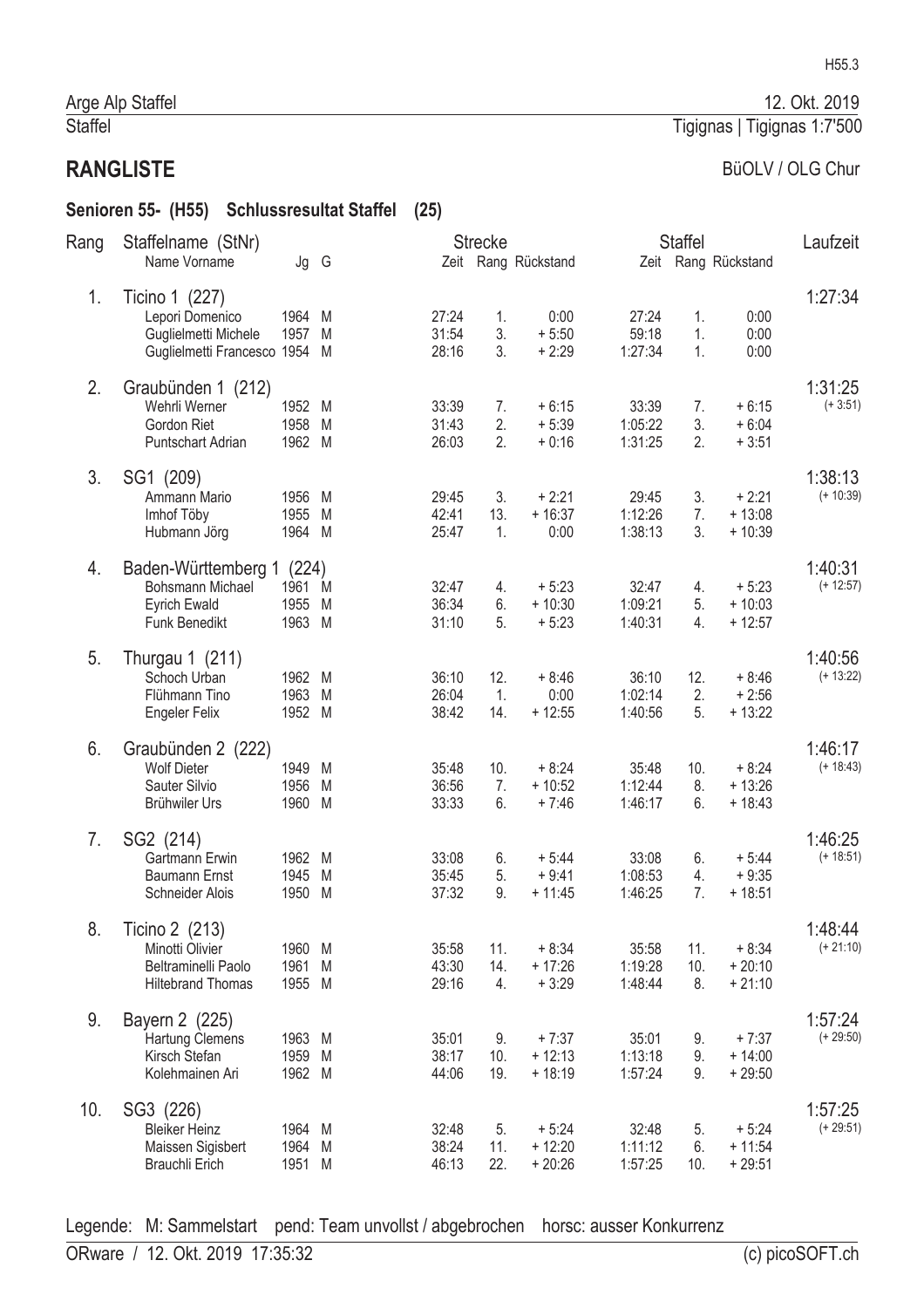#### Senioren 55- (H55) Schlussresultat Staffel (25)

| Rang | Staffelname (StNr)                                                                         |                                   |        |                         | <b>Strecke</b>   |                                 |                             | <b>Staffel</b>   |                                 | Laufzeit               |
|------|--------------------------------------------------------------------------------------------|-----------------------------------|--------|-------------------------|------------------|---------------------------------|-----------------------------|------------------|---------------------------------|------------------------|
|      | Name Vorname                                                                               | Jg G                              |        |                         |                  | Zeit Rang Rückstand             |                             |                  | Zeit Rang Rückstand             |                        |
| 1.   | Ticino 1 (227)<br>Lepori Domenico<br>Guglielmetti Michele<br>Guglielmetti Francesco 1954 M | 1964<br>1957 M                    | M      | 27:24<br>31:54<br>28:16 | 1.<br>3.<br>3.   | 0:00<br>$+5:50$<br>$+2:29$      | 27:24<br>59:18<br>1:27:34   | 1.<br>1.<br>1.   | 0:00<br>0:00<br>0:00            | 1:27:34                |
| 2.   | Graubünden 1 (212)<br>Wehrli Werner<br>Gordon Riet<br><b>Puntschart Adrian</b>             | 1952 M<br>1958 M<br>1962 M        |        | 33:39<br>31:43<br>26:03 | 7.<br>2.<br>2.   | $+6:15$<br>$+5:39$<br>$+0:16$   | 33:39<br>1:05:22<br>1:31:25 | 7.<br>3.<br>2.   | $+6:15$<br>$+6:04$<br>$+3:51$   | 1:31:25<br>$(+3:51)$   |
| 3.   | SG1 (209)<br>Ammann Mario<br>Imhof Töby<br>Hubmann Jörg                                    | 1956<br>1955<br>1964 M            | M<br>M | 29:45<br>42:41<br>25:47 | 3.<br>13.<br>1.  | $+2:21$<br>$+16:37$<br>0:00     | 29:45<br>1:12:26<br>1:38:13 | 3.<br>7.<br>3.   | $+2:21$<br>$+13:08$<br>$+10:39$ | 1:38:13<br>$(+ 10:39)$ |
| 4.   | Baden-Württemberg 1<br><b>Bohsmann Michael</b><br><b>Eyrich Ewald</b><br>Funk Benedikt     | (224)<br>1961 M<br>1955<br>1963 M | M      | 32:47<br>36:34<br>31:10 | 4.<br>6.<br>5.   | $+5:23$<br>$+10:30$<br>$+5:23$  | 32:47<br>1:09:21<br>1:40:31 | 4.<br>5.<br>4.   | $+5:23$<br>$+10:03$<br>$+12:57$ | 1:40:31<br>$(+ 12:57)$ |
| 5.   | Thurgau 1 (211)<br>Schoch Urban<br>Flühmann Tino<br><b>Engeler Felix</b>                   | 1962 M<br>1963 M<br>1952 M        |        | 36:10<br>26:04<br>38:42 | 12.<br>1.<br>14. | $+8:46$<br>0:00<br>$+12:55$     | 36:10<br>1:02:14<br>1:40:56 | 12.<br>2.<br>5.  | $+8:46$<br>$+2:56$<br>$+13:22$  | 1:40:56<br>$(+ 13:22)$ |
| 6.   | Graubünden 2 (222)<br><b>Wolf Dieter</b><br>Sauter Silvio<br>Brühwiler Urs                 | 1949 M<br>1956<br>1960 M          | M      | 35:48<br>36:56<br>33:33 | 10.<br>7.<br>6.  | $+8:24$<br>$+10:52$<br>$+7:46$  | 35:48<br>1:12:44<br>1:46:17 | 10.<br>8.<br>6.  | $+8:24$<br>$+13:26$<br>$+18:43$ | 1:46:17<br>$(+ 18:43)$ |
| 7.   | SG2 (214)<br>Gartmann Erwin<br><b>Baumann Ernst</b><br>Schneider Alois                     | 1962 M<br>1945<br>1950            | M<br>M | 33:08<br>35:45<br>37:32 | 6.<br>5.<br>9.   | $+5:44$<br>$+9:41$<br>$+11:45$  | 33:08<br>1:08:53<br>1:46:25 | 6.<br>4.<br>7.   | $+5:44$<br>$+9:35$<br>$+18:51$  | 1:46:25<br>$(+ 18:51)$ |
| 8.   | Ticino 2 (213)<br>Minotti Olivier<br>Beltraminelli Paolo<br><b>Hiltebrand Thomas</b>       | 1960 M<br>1961 M<br>1955 M        |        | 35:58<br>43:30<br>29:16 | 11.<br>14.<br>4. | $+8:34$<br>$+17:26$<br>$+3:29$  | 35:58<br>1:19:28<br>1:48:44 | 11.<br>10.<br>8. | $+8:34$<br>$+20:10$<br>$+21:10$ | 1:48:44<br>$(+ 21:10)$ |
| 9.   | Bayern 2 (225)<br><b>Hartung Clemens</b><br>Kirsch Stefan<br>Kolehmainen Ari               | 1963 M<br>1959 M<br>1962 M        |        | 35:01<br>38:17<br>44:06 | 9.<br>10.<br>19. | $+7:37$<br>$+12:13$<br>$+18:19$ | 35:01<br>1:13:18<br>1:57:24 | 9.<br>9.<br>9.   | $+7:37$<br>$+14:00$<br>$+29:50$ | 1:57:24<br>$(+ 29:50)$ |
| 10.  | SG3 (226)<br><b>Bleiker Heinz</b><br>Maissen Sigisbert<br><b>Brauchli Erich</b>            | 1964 M<br>1964<br>1951 M          | M      | 32:48<br>38:24<br>46:13 | 5.<br>11.<br>22. | $+5:24$<br>$+12:20$<br>$+20:26$ | 32:48<br>1:11:12<br>1:57:25 | 5.<br>6.<br>10.  | $+5:24$<br>$+11:54$<br>$+29:51$ | 1:57:25<br>$(+ 29:51)$ |

Legende: M: Sammelstart pend: Team unvollst / abgebrochen horsc: ausser Konkurrenz

12. Okt. 2019

BüOLV / OLG Chur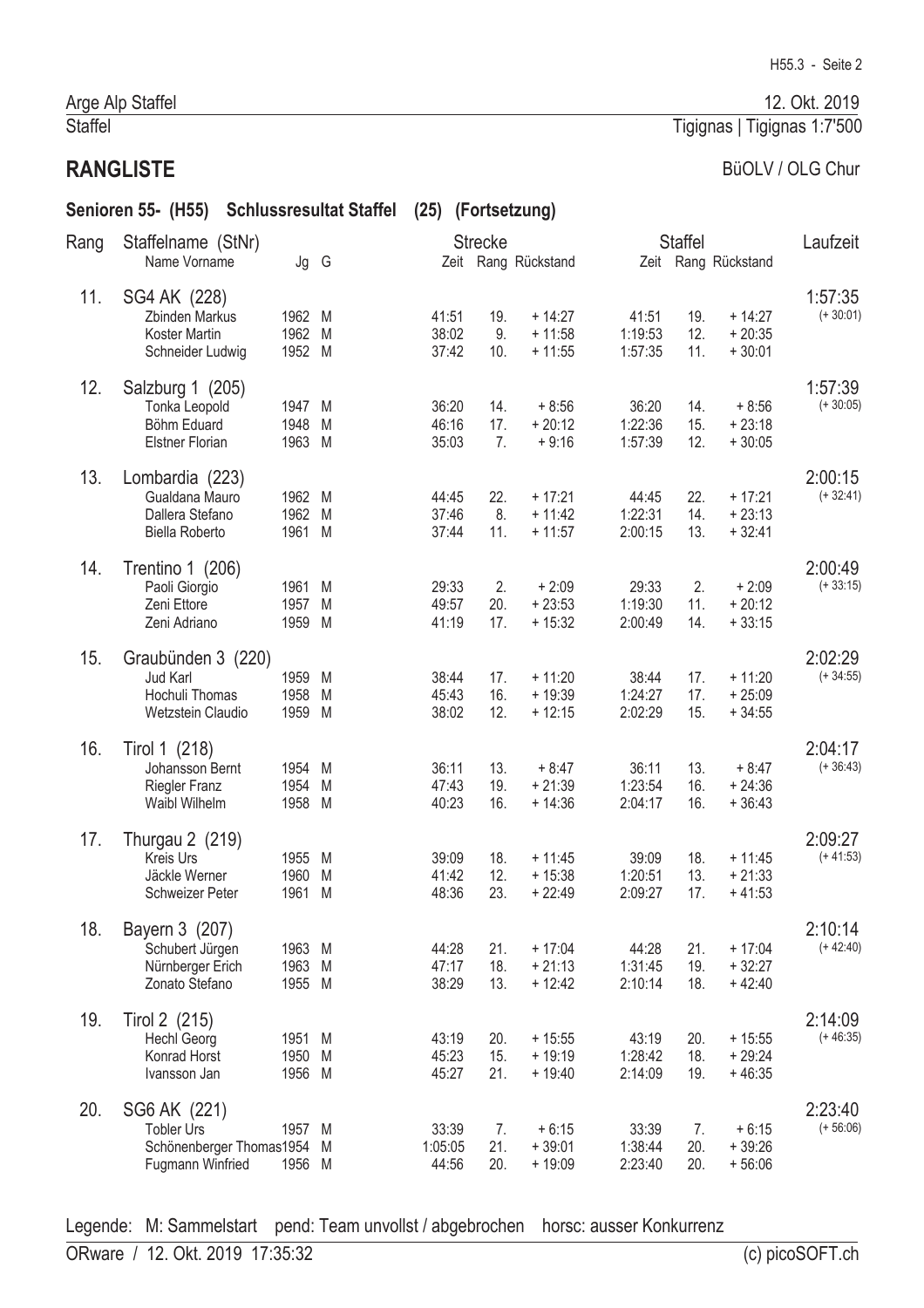# **RANGLISTE**

# BüOLV / OLG Chur

|      | Senioren 55- (H55) Schlussresultat Staffel                                        |                            |   | (25) (Fortsetzung)        |                   |                                  |                             |                   |                                  |                        |
|------|-----------------------------------------------------------------------------------|----------------------------|---|---------------------------|-------------------|----------------------------------|-----------------------------|-------------------|----------------------------------|------------------------|
| Rang | Staffelname (StNr)<br>Name Vorname                                                | Jg G                       |   |                           | <b>Strecke</b>    | Zeit Rang Rückstand              |                             | <b>Staffel</b>    | Zeit Rang Rückstand              | Laufzeit               |
| 11.  | SG4 AK (228)<br>Zbinden Markus<br>Koster Martin<br>Schneider Ludwig               | 1962 M<br>1962 M<br>1952 M |   | 41:51<br>38:02<br>37:42   | 19.<br>9.<br>10.  | $+14:27$<br>$+11:58$<br>$+11:55$ | 41:51<br>1:19:53<br>1:57:35 | 19.<br>12.<br>11. | $+14:27$<br>$+20:35$<br>$+30:01$ | 1:57:35<br>$(+30:01)$  |
| 12.  | Salzburg 1 (205)<br>Tonka Leopold<br>Böhm Eduard<br><b>Elstner Florian</b>        | 1947 M<br>1948<br>1963 M   | M | 36:20<br>46:16<br>35:03   | 14.<br>17.<br>7.  | $+8:56$<br>$+20:12$<br>$+9:16$   | 36:20<br>1:22:36<br>1:57:39 | 14.<br>15.<br>12. | $+8:56$<br>$+23:18$<br>$+30:05$  | 1:57:39<br>$(+30:05)$  |
| 13.  | Lombardia (223)<br>Gualdana Mauro<br>Dallera Stefano<br><b>Biella Roberto</b>     | 1962 M<br>1962 M<br>1961 M |   | 44:45<br>37:46<br>37:44   | 22.<br>8.<br>11.  | $+17:21$<br>$+11:42$<br>$+11:57$ | 44:45<br>1:22:31<br>2:00:15 | 22.<br>14.<br>13. | $+17:21$<br>$+23:13$<br>$+32:41$ | 2:00:15<br>$(+32:41)$  |
| 14.  | Trentino 1 (206)<br>Paoli Giorgio<br>Zeni Ettore<br>Zeni Adriano                  | 1961 M<br>1957 M<br>1959 M |   | 29:33<br>49:57<br>41:19   | 2.<br>20.<br>17.  | $+2:09$<br>$+23:53$<br>$+15:32$  | 29:33<br>1:19:30<br>2:00:49 | 2.<br>11.<br>14.  | $+2:09$<br>$+20:12$<br>$+33:15$  | 2:00:49<br>$(+33:15)$  |
| 15.  | Graubünden 3 (220)<br>Jud Karl<br>Hochuli Thomas<br>Wetzstein Claudio             | 1959 M<br>1958<br>1959 M   | M | 38:44<br>45:43<br>38:02   | 17.<br>16.<br>12. | $+11:20$<br>$+19:39$<br>$+12:15$ | 38:44<br>1:24:27<br>2:02:29 | 17.<br>17.<br>15. | $+11:20$<br>$+25:09$<br>$+34:55$ | 2:02:29<br>$(+34:55)$  |
| 16.  | Tirol 1 (218)<br>Johansson Bernt<br><b>Riegler Franz</b><br>Waibl Wilhelm         | 1954 M<br>1954<br>1958 M   | M | 36:11<br>47:43<br>40:23   | 13.<br>19.<br>16. | $+8:47$<br>$+21:39$<br>$+14:36$  | 36:11<br>1:23:54<br>2:04:17 | 13.<br>16.<br>16. | $+8:47$<br>$+24:36$<br>$+36:43$  | 2:04:17<br>$(+36:43)$  |
| 17.  | Thurgau 2 (219)<br><b>Kreis Urs</b><br>Jäckle Werner<br>Schweizer Peter           | 1955 M<br>1960 M<br>1961 M |   | 39:09<br>41:42<br>48:36   | 18.<br>12.<br>23. | $+11:45$<br>$+15:38$<br>$+22:49$ | 39:09<br>1:20:51<br>2:09:27 | 18.<br>13.<br>17. | $+11:45$<br>$+21:33$<br>$+41:53$ | 2:09:27<br>$(+41:53)$  |
| 18.  | Bayern 3 (207)<br>Schubert Jürgen<br>Nürnberger Erich<br>Zonato Stefano           | 1963 M<br>1963 M<br>1955 M |   | 44:28<br>47:17<br>38:29   | 21.<br>18.<br>13. | $+17:04$<br>$+21:13$<br>$+12:42$ | 44:28<br>1:31:45<br>2:10:14 | 21.<br>19.<br>18. | $+17:04$<br>$+32:27$<br>$+42:40$ | 2:10:14<br>$(+ 42:40)$ |
| 19.  | Tirol 2 (215)<br><b>Hechl Georg</b><br>Konrad Horst<br>Ivansson Jan               | 1951 M<br>1950 M<br>1956 M |   | 43:19<br>45:23<br>45:27   | 20.<br>15.<br>21. | $+15:55$<br>$+19:19$<br>$+19:40$ | 43:19<br>1:28:42<br>2:14:09 | 20.<br>18.<br>19. | $+15:55$<br>$+29:24$<br>$+46:35$ | 2:14:09<br>$(+46:35)$  |
| 20.  | SG6 AK (221)<br><b>Tobler Urs</b><br>Schönenberger Thomas1954<br>Fugmann Winfried | 1957 M<br>1956 M           | M | 33:39<br>1:05:05<br>44:56 | 7.<br>21.<br>20.  | $+6:15$<br>$+39:01$<br>$+19:09$  | 33:39<br>1:38:44<br>2:23:40 | 7.<br>20.<br>20.  | $+6:15$<br>$+39:26$<br>$+56:06$  | 2:23:40<br>$(+ 56:06)$ |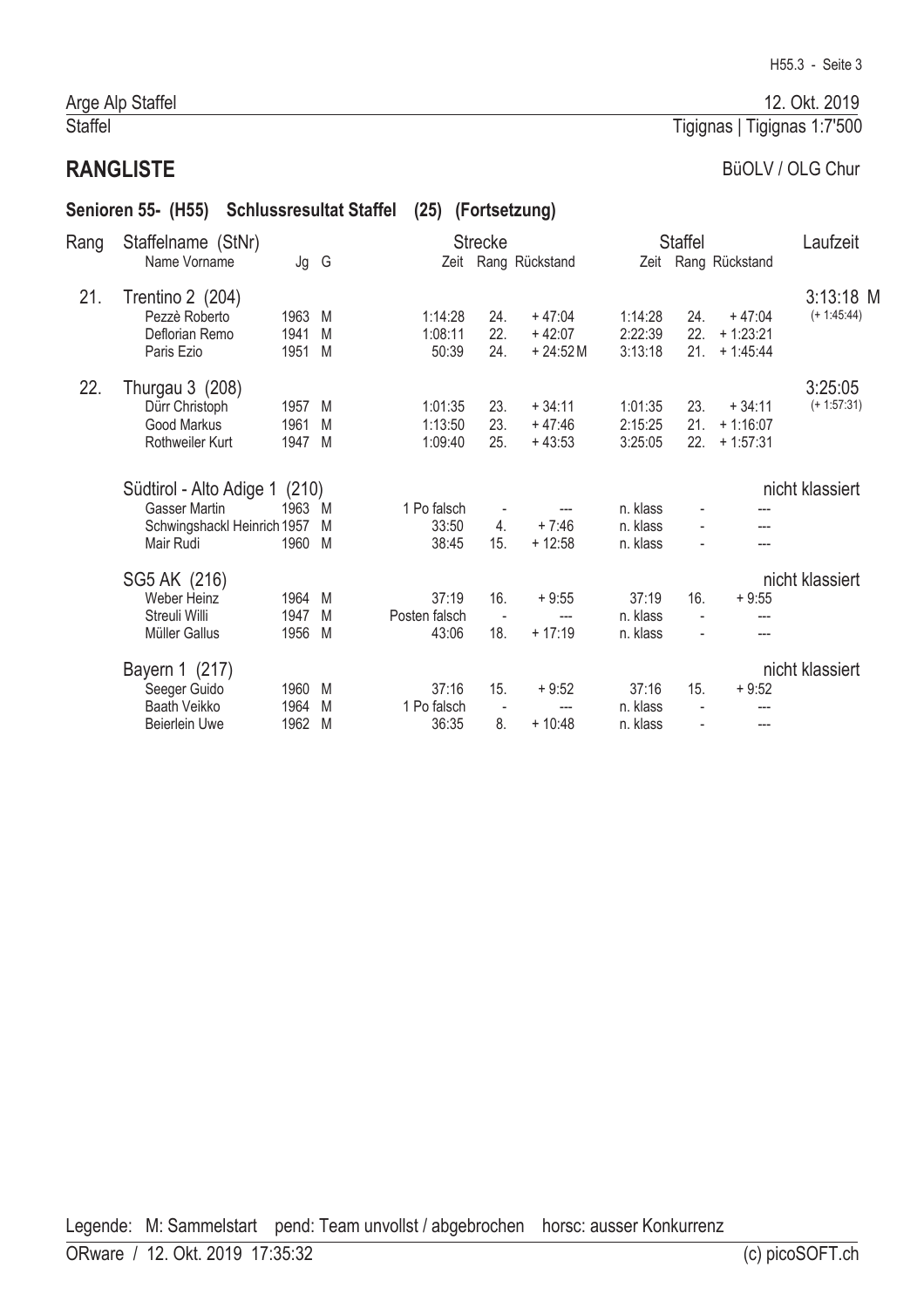#### Arge Alp Staffel Staffel

# **RANGLISTE**

# BüOLV / OLG Chur

|      | Senioren 55- (H55)                                                         |                      | <b>Schlussresultat Staffel</b> | (25)                            |                                                     | (Fortsetzung)                     |                                  |                                 |                                      |                              |  |
|------|----------------------------------------------------------------------------|----------------------|--------------------------------|---------------------------------|-----------------------------------------------------|-----------------------------------|----------------------------------|---------------------------------|--------------------------------------|------------------------------|--|
| Rang | Staffelname (StNr)<br>Name Vorname                                         | Jg G                 |                                |                                 | <b>Strecke</b>                                      | Zeit Rang Rückstand               |                                  | <b>Staffel</b>                  | Zeit Rang Rückstand                  | Laufzeit                     |  |
| 21.  | Trentino 2 (204)<br>Pezzè Roberto<br>Deflorian Remo<br>Paris Ezio          | 1963<br>1941<br>1951 | M<br>M<br>M                    | 1:14:28<br>1:08:11<br>50:39     | 24.<br>22.<br>24.                                   | $+47:04$<br>$+42:07$<br>$+24:52M$ | 1:14:28<br>2:22:39<br>3:13:18    | 24.<br>22.<br>21.               | $+47:04$<br>$+1:23:21$<br>$+1:45:44$ | $3:13:18$ M<br>$(+ 1:45:44)$ |  |
| 22.  | Thurgau 3 (208)<br>Dürr Christoph<br><b>Good Markus</b><br>Rothweiler Kurt | 1957<br>1961<br>1947 | M<br>M<br>M                    | 1:01:35<br>1:13:50<br>1:09:40   | 23.<br>23.<br>25.                                   | $+34:11$<br>$+47:46$<br>$+43:53$  | 1:01:35<br>2:15:25<br>3:25:05    | 23.<br>21.<br>22.               | $+34:11$<br>$+1:16:07$<br>$+1:57:31$ | 3:25:05<br>$(+ 1:57:31)$     |  |
|      | Südtirol - Alto Adige 1                                                    | (210)                |                                |                                 |                                                     |                                   |                                  |                                 |                                      | nicht klassiert              |  |
|      | <b>Gasser Martin</b><br>Schwingshackl Heinrich 1957<br>Mair Rudi           | 1963<br>1960 M       | M<br>M                         | 1 Po falsch<br>33:50<br>38:45   | $\overline{\phantom{a}}$<br>$\overline{4}$ .<br>15. | $+7:46$<br>$+12:58$               | n. klass<br>n. klass<br>n. klass | $\overline{\phantom{a}}$        | ---<br>---                           |                              |  |
|      | SG5 AK (216)<br><b>Weber Heinz</b><br>Streuli Willi<br>Müller Gallus       | 1964<br>1947<br>1956 | M<br>M<br>M                    | 37:19<br>Posten falsch<br>43:06 | 16.<br>$\sim$<br>18.                                | $+9:55$<br>---<br>$+17:19$        | 37:19<br>n. klass<br>n. klass    | 16.<br>$\blacksquare$           | $+9:55$                              | nicht klassiert              |  |
|      | Bayern 1 (217)<br>Seeger Guido<br>Baath Veikko<br><b>Beierlein Uwe</b>     | 1960<br>1964<br>1962 | M<br>M<br>M                    | 37:16<br>1 Po falsch<br>36:35   | 15.<br>$\overline{\phantom{a}}$<br>8.               | $+9:52$<br>$+10:48$               | 37:16<br>n. klass<br>n. klass    | 15.<br>$\overline{\phantom{a}}$ | $+9:52$<br>---                       | nicht klassiert              |  |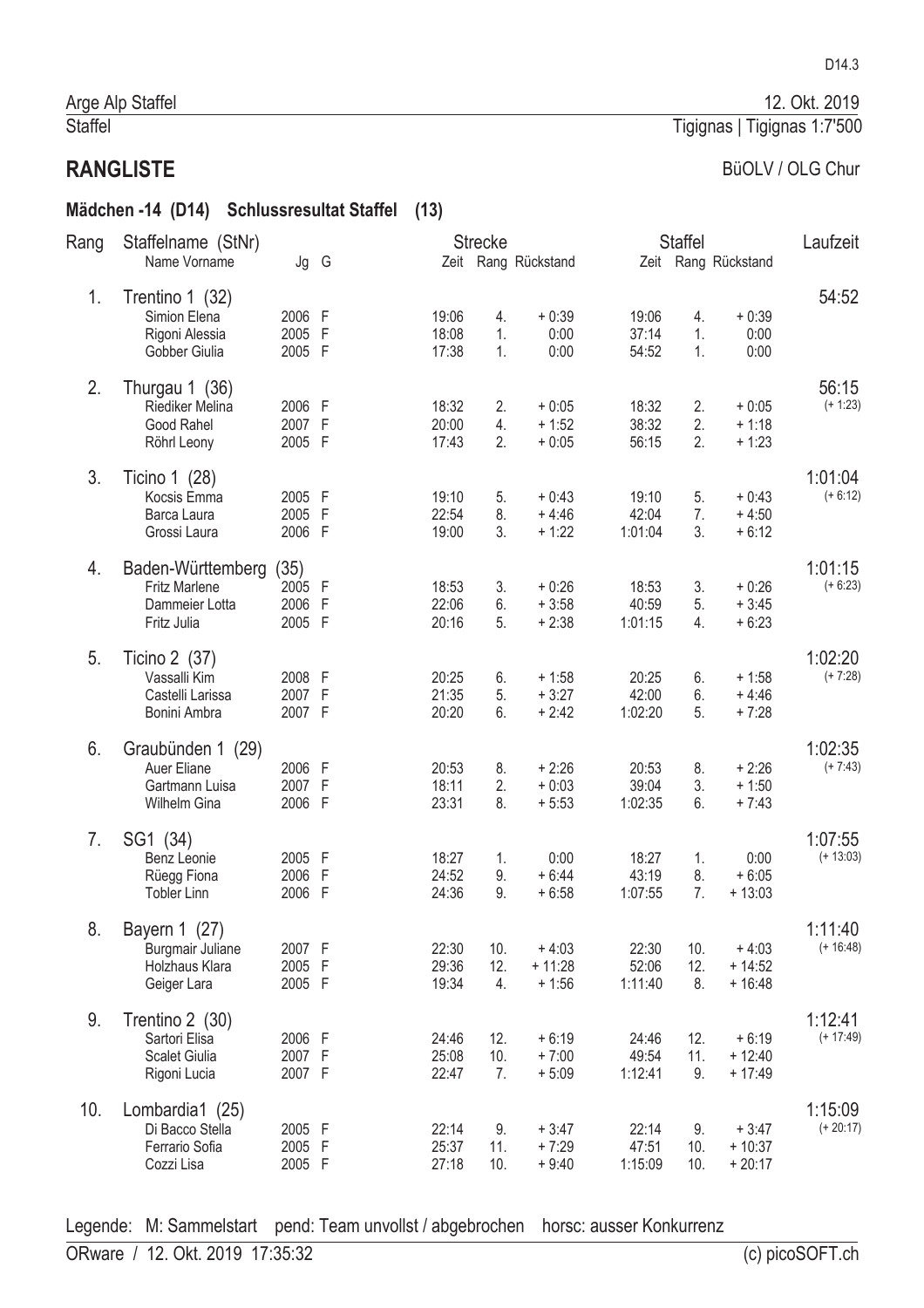#### Mädchen -14 (D14) Schlussresultat Staffel (13)

| Rang | Staffelname (StNr)                                                         |                                    |   |                         | <b>Strecke</b>   |                                |                           | <b>Staffel</b>   |                                 | Laufzeit               |
|------|----------------------------------------------------------------------------|------------------------------------|---|-------------------------|------------------|--------------------------------|---------------------------|------------------|---------------------------------|------------------------|
|      | Name Vorname                                                               | Jg G                               |   |                         |                  | Zeit Rang Rückstand            |                           |                  | Zeit Rang Rückstand             |                        |
| 1.   | Trentino 1 (32)<br>Simion Elena<br>Rigoni Alessia<br>Gobber Giulia         | 2006 F<br>2005 F<br>2005 F         |   | 19:06<br>18:08<br>17:38 | 4.<br>1.<br>1.   | $+0:39$<br>0:00<br>0:00        | 19:06<br>37:14<br>54:52   | 4.<br>1.<br>1.   | $+0:39$<br>0:00<br>0:00         | 54:52                  |
| 2.   | Thurgau 1 (36)<br>Riediker Melina<br>Good Rahel<br>Röhrl Leony             | 2006 F<br>2007 F<br>2005 F         |   | 18:32<br>20:00<br>17:43 | 2.<br>4.<br>2.   | $+0:05$<br>$+1:52$<br>$+0:05$  | 18:32<br>38:32<br>56:15   | 2.<br>2.<br>2.   | $+0:05$<br>$+1:18$<br>$+1:23$   | 56:15<br>$(+ 1:23)$    |
| 3.   | Ticino 1 (28)<br>Kocsis Emma<br>Barca Laura<br>Grossi Laura                | 2005 F<br>2005 F<br>2006 F         |   | 19:10<br>22:54<br>19:00 | 5.<br>8.<br>3.   | $+0:43$<br>$+4:46$<br>$+1:22$  | 19:10<br>42:04<br>1:01:04 | 5.<br>7.<br>3.   | $+0:43$<br>$+4:50$<br>$+6:12$   | 1:01:04<br>$(+ 6:12)$  |
| 4.   | Baden-Württemberg<br><b>Fritz Marlene</b><br>Dammeier Lotta<br>Fritz Julia | (35)<br>2005 F<br>2006 F<br>2005 F |   | 18:53<br>22:06<br>20:16 | 3.<br>6.<br>5.   | $+0:26$<br>$+3:58$<br>$+2:38$  | 18:53<br>40:59<br>1:01:15 | 3.<br>5.<br>4.   | $+0:26$<br>$+3:45$<br>$+6:23$   | 1:01:15<br>$(+ 6:23)$  |
| 5.   | Ticino 2 (37)<br>Vassalli Kim<br>Castelli Larissa<br>Bonini Ambra          | 2008 F<br>2007 F<br>2007 F         |   | 20:25<br>21:35<br>20:20 | 6.<br>5.<br>6.   | $+1:58$<br>$+3:27$<br>$+2:42$  | 20:25<br>42:00<br>1:02:20 | 6.<br>6.<br>5.   | $+1:58$<br>$+4:46$<br>$+7:28$   | 1:02:20<br>$(+7:28)$   |
| 6.   | Graubünden 1 (29)<br>Auer Eliane<br>Gartmann Luisa<br>Wilhelm Gina         | 2006 F<br>2007 F<br>2006 F         |   | 20:53<br>18:11<br>23:31 | 8.<br>2.<br>8.   | $+2:26$<br>$+0:03$<br>$+5:53$  | 20:53<br>39:04<br>1:02:35 | 8.<br>3.<br>6.   | $+2:26$<br>$+1:50$<br>$+7:43$   | 1:02:35<br>$(+7:43)$   |
| 7.   | SG1 (34)<br>Benz Leonie<br>Rüegg Fiona<br><b>Tobler Linn</b>               | 2005 F<br>2006<br>2006 F           | F | 18:27<br>24:52<br>24:36 | 1.<br>9.<br>9.   | 0:00<br>$+6:44$<br>$+6:58$     | 18:27<br>43:19<br>1:07:55 | 1.<br>8.<br>7.   | 0:00<br>$+6:05$<br>$+13:03$     | 1:07:55<br>$(+ 13:03)$ |
| 8.   | Bayern 1 (27)<br>Burgmair Juliane<br>Holzhaus Klara<br>Geiger Lara         | 2007 F<br>2005 F<br>2005 F         |   | 22:30<br>29:36<br>19:34 | 10.<br>12.<br>4. | $+4:03$<br>$+11:28$<br>$+1:56$ | 22:30<br>52:06<br>1:11:40 | 10.<br>12.<br>8. | $+4:03$<br>$+14:52$<br>$+16:48$ | 1:11:40<br>$(+ 16:48)$ |
| 9.   | Trentino 2 (30)<br>Sartori Elisa<br>Scalet Giulia<br>Rigoni Lucia          | 2006 F<br>2007 F<br>2007 F         |   | 24:46<br>25:08<br>22:47 | 12.<br>10.<br>7. | $+6:19$<br>$+7:00$<br>$+5:09$  | 24:46<br>49:54<br>1:12:41 | 12.<br>11.<br>9. | $+6:19$<br>$+12:40$<br>$+17:49$ | 1:12:41<br>$(+ 17:49)$ |
| 10.  | Lombardia1 (25)<br>Di Bacco Stella<br>Ferrario Sofia<br>Cozzi Lisa         | 2005 F<br>2005 F<br>2005 F         |   | 22:14<br>25:37<br>27:18 | 9.<br>11.<br>10. | $+3:47$<br>$+7:29$<br>$+9:40$  | 22:14<br>47:51<br>1:15:09 | 9.<br>10.<br>10. | $+3:47$<br>$+10:37$<br>$+20:17$ | 1:15:09<br>$(+ 20:17)$ |

Legende: M: Sammelstart pend: Team unvollst / abgebrochen horsc: ausser Konkurrenz

(c) picoSOFT.ch

# 12. Okt. 2019

D14.3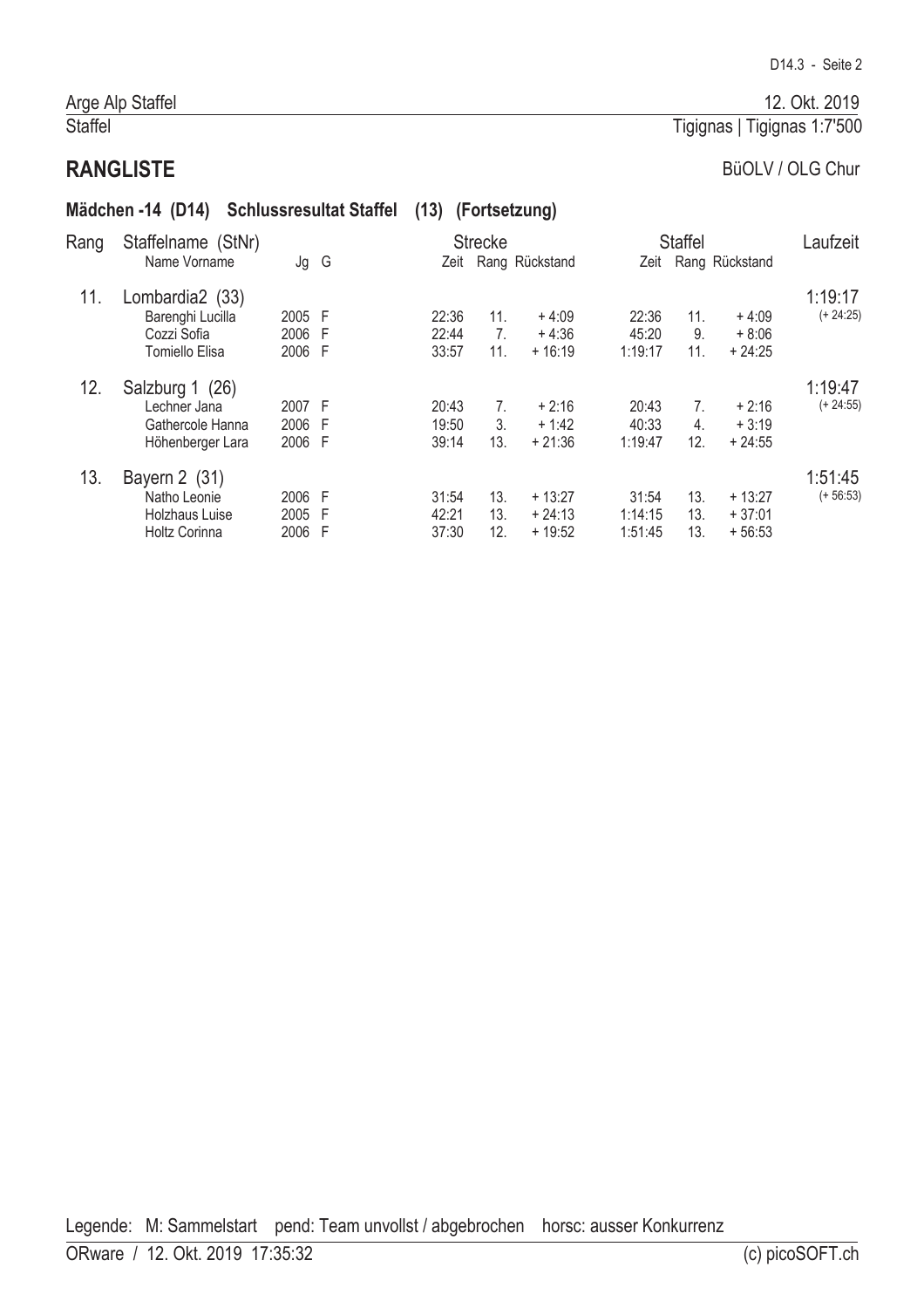# Tigignas | Tigignas 1:7'500

#### **RANGLISTE**

# BüOLV / OLG Chur

|      | Mädchen -14 (D14) Schlussresultat Staffel                               |                          |        | (13)                    |                                              | (Fortsetzung)                    |                             |                               |                                  |                        |
|------|-------------------------------------------------------------------------|--------------------------|--------|-------------------------|----------------------------------------------|----------------------------------|-----------------------------|-------------------------------|----------------------------------|------------------------|
| Rang | Staffelname (StNr)<br>Name Vorname                                      | Jg G                     |        | Zeit                    | <b>Strecke</b>                               | Rang Rückstand                   |                             | <b>Staffel</b>                | Zeit Rang Rückstand              | Laufzeit               |
| 11.  | Lombardia2 (33)<br>Barenghi Lucilla<br>Cozzi Sofia<br>Tomiello Elisa    | 2005 F<br>2006<br>2006 F | F      | 22:36<br>22:44<br>33:57 | 11 <sub>1</sub><br>7 <sub>1</sub><br>11.     | $+4:09$<br>$+4:36$<br>$+16:19$   | 22:36<br>45:20<br>1:19:17   | 11.<br>9.<br>11.              | $+4:09$<br>$+8:06$<br>$+24:25$   | 1:19:17<br>$(+ 24:25)$ |
| 12.  | Salzburg 1 (26)<br>Lechner Jana<br>Gathercole Hanna<br>Höhenberger Lara | 2007 F<br>2006<br>2006   | F<br>F | 20:43<br>19:50<br>39:14 | $7_{\scriptscriptstyle{\circ}}$<br>3.<br>13. | $+2:16$<br>$+1:42$<br>$+21:36$   | 20:43<br>40:33<br>1:19:47   | 7.<br>$\overline{4}$ .<br>12. | $+2:16$<br>$+3:19$<br>$+24:55$   | 1:19:47<br>$(+ 24:55)$ |
| 13.  | Bayern 2 (31)<br>Natho Leonie<br>Holzhaus Luise<br>Holtz Corinna        | 2006 F<br>2005<br>2006   | F<br>F | 31:54<br>42:21<br>37:30 | 13.<br>13.<br>12.                            | $+13:27$<br>$+24:13$<br>$+19:52$ | 31:54<br>1:14:15<br>1:51:45 | 13.<br>13.<br>13.             | $+13:27$<br>$+37:01$<br>$+56:53$ | 1:51:45<br>$(+ 56:53)$ |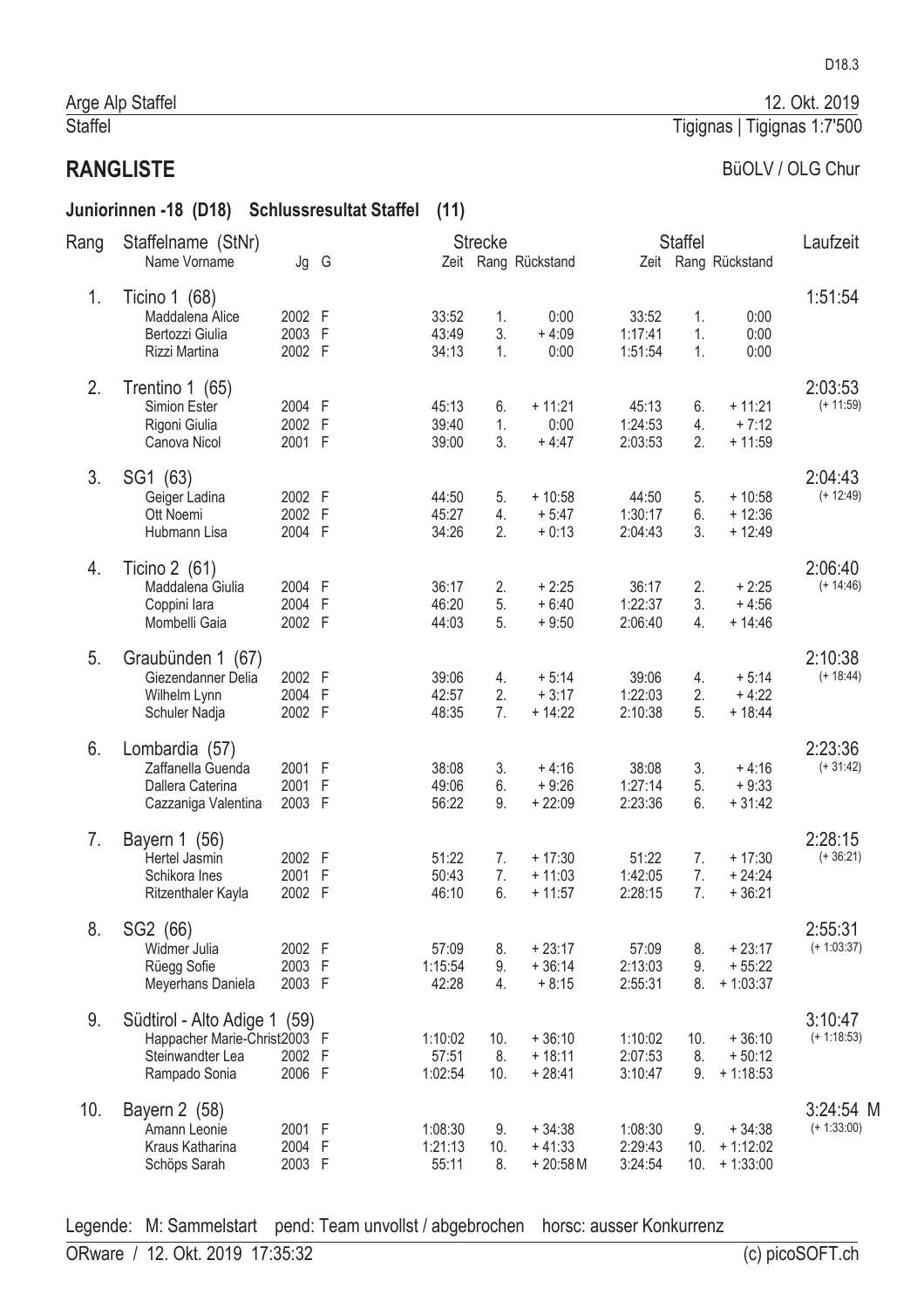#### Juniorinnen -18 (D18) Schlussresultat Staffel (11)

| Rang | Staffelname (StNr)<br>Name Vorname                                                                | Jg G                       |                |                             | <b>Strecke</b>   | Zeit Rang Rückstand               |                               | <b>Staffel</b>   | Zeit Rang Rückstand                  | Laufzeit                     |
|------|---------------------------------------------------------------------------------------------------|----------------------------|----------------|-----------------------------|------------------|-----------------------------------|-------------------------------|------------------|--------------------------------------|------------------------------|
|      |                                                                                                   |                            |                |                             |                  |                                   |                               |                  |                                      |                              |
| 1.   | Ticino 1 (68)<br>Maddalena Alice<br>Bertozzi Giulia<br>Rizzi Martina                              | 2002 F<br>2003 F<br>2002 F |                | 33:52<br>43:49<br>34:13     | 1.<br>3.<br>1.   | 0:00<br>$+4:09$<br>0:00           | 33:52<br>1:17:41<br>1:51:54   | 1.<br>1.<br>1.   | 0:00<br>0:00<br>0:00                 | 1:51:54                      |
| 2.   | Trentino 1 (65)<br>Simion Ester<br>Rigoni Giulia<br>Canova Nicol                                  | 2004 F<br>2002 F<br>2001 F |                | 45:13<br>39:40<br>39:00     | 6.<br>1.<br>3.   | $+11:21$<br>0:00<br>$+4:47$       | 45:13<br>1:24:53<br>2:03:53   | 6.<br>4.<br>2.   | $+11:21$<br>$+7:12$<br>$+11:59$      | 2:03:53<br>$(+ 11:59)$       |
| 3.   | SG1 (63)<br>Geiger Ladina<br>Ott Noemi<br>Hubmann Lisa                                            | 2002 F<br>2002<br>2004 F   | $\overline{F}$ | 44:50<br>45:27<br>34:26     | 5.<br>4.<br>2.   | $+10:58$<br>$+5:47$<br>$+0:13$    | 44:50<br>1:30:17<br>2:04:43   | 5.<br>6.<br>3.   | $+10:58$<br>$+12:36$<br>$+12:49$     | 2:04:43<br>$(+ 12:49)$       |
| 4.   | Ticino $2(61)$<br>Maddalena Giulia<br>Coppini lara<br>Mombelli Gaia                               | 2004 F<br>2004 F<br>2002 F |                | 36:17<br>46:20<br>44:03     | 2.<br>5.<br>5.   | $+2:25$<br>$+6:40$<br>$+9:50$     | 36:17<br>1:22:37<br>2:06:40   | 2.<br>3.<br>4.   | $+2:25$<br>$+4:56$<br>$+14:46$       | 2:06:40<br>$(+ 14:46)$       |
| 5.   | Graubünden 1 (67)<br>Giezendanner Delia<br>Wilhelm Lynn<br>Schuler Nadja                          | 2002 F<br>2004<br>2002 F   | F              | 39:06<br>42:57<br>48:35     | 4.<br>2.<br>7.   | $+5:14$<br>$+3:17$<br>$+14:22$    | 39:06<br>1:22:03<br>2:10:38   | 4.<br>2.<br>5.   | $+5:14$<br>$+4:22$<br>$+18:44$       | 2:10:38<br>$(+ 18:44)$       |
| 6.   | Lombardia (57)<br>Zaffanella Guenda<br>Dallera Caterina<br>Cazzaniga Valentina                    | 2001 F<br>2001<br>2003 F   | $\mathsf{F}$   | 38:08<br>49:06<br>56:22     | 3.<br>6.<br>9.   | $+4:16$<br>$+9:26$<br>$+22:09$    | 38:08<br>1:27:14<br>2:23:36   | 3.<br>5.<br>6.   | $+4:16$<br>$+9:33$<br>$+31:42$       | 2:23:36<br>$(+31:42)$        |
| 7.   | Bayern 1 (56)<br>Hertel Jasmin<br>Schikora Ines<br>Ritzenthaler Kayla                             | 2002 F<br>2001 F<br>2002 F |                | 51:22<br>50:43<br>46:10     | 7.<br>7.<br>6.   | $+17:30$<br>$+11:03$<br>$+11:57$  | 51:22<br>1:42:05<br>2:28:15   | 7.<br>7.<br>7.   | $+17:30$<br>$+24:24$<br>$+36:21$     | 2:28:15<br>$(+36:21)$        |
| 8.   | SG2 (66)<br>Widmer Julia<br>Rüegg Sofie<br>Meyerhans Daniela                                      | 2002 F<br>2003 F<br>2003 F |                | 57:09<br>1:15:54<br>42:28   | 8.<br>9.<br>4.   | $+23:17$<br>$+36:14$<br>$+8:15$   | 57:09<br>2:13:03<br>2:55:31   | 8.<br>9.<br>8.   | $+23:17$<br>$+55:22$<br>$+1:03:37$   | 2:55:31<br>$(+ 1:03:37)$     |
| 9.   | Südtirol - Alto Adige 1 (59)<br>Happacher Marie-Christ2003 F<br>Steinwandter Lea<br>Rampado Sonia | 2002 F<br>2006 F           |                | 1:10:02<br>57:51<br>1:02:54 | 10.<br>8.<br>10. | $+36:10$<br>$+18:11$<br>$+28:41$  | 1:10:02<br>2:07:53<br>3:10:47 | 10.<br>8.<br>9.  | $+36:10$<br>$+50:12$<br>$+1:18:53$   | 3:10:47<br>$(+ 1:18:53)$     |
| 10.  | Bayern 2 (58)<br>Amann Leonie<br>Kraus Katharina<br>Schöps Sarah                                  | 2001 F<br>2004 F<br>2003 F |                | 1:08:30<br>1:21:13<br>55:11 | 9.<br>10.<br>8.  | $+34:38$<br>$+41:33$<br>$+20:58M$ | 1:08:30<br>2:29:43<br>3:24:54 | 9.<br>10.<br>10. | $+34:38$<br>$+1:12:02$<br>$+1:33:00$ | $3:24:54$ M<br>$(+ 1:33:00)$ |

Legende: M: Sammelstart pend: Team unvollst / abgebrochen horsc: ausser Konkurrenz

12. Okt. 2019

BüOLV / OLG Chur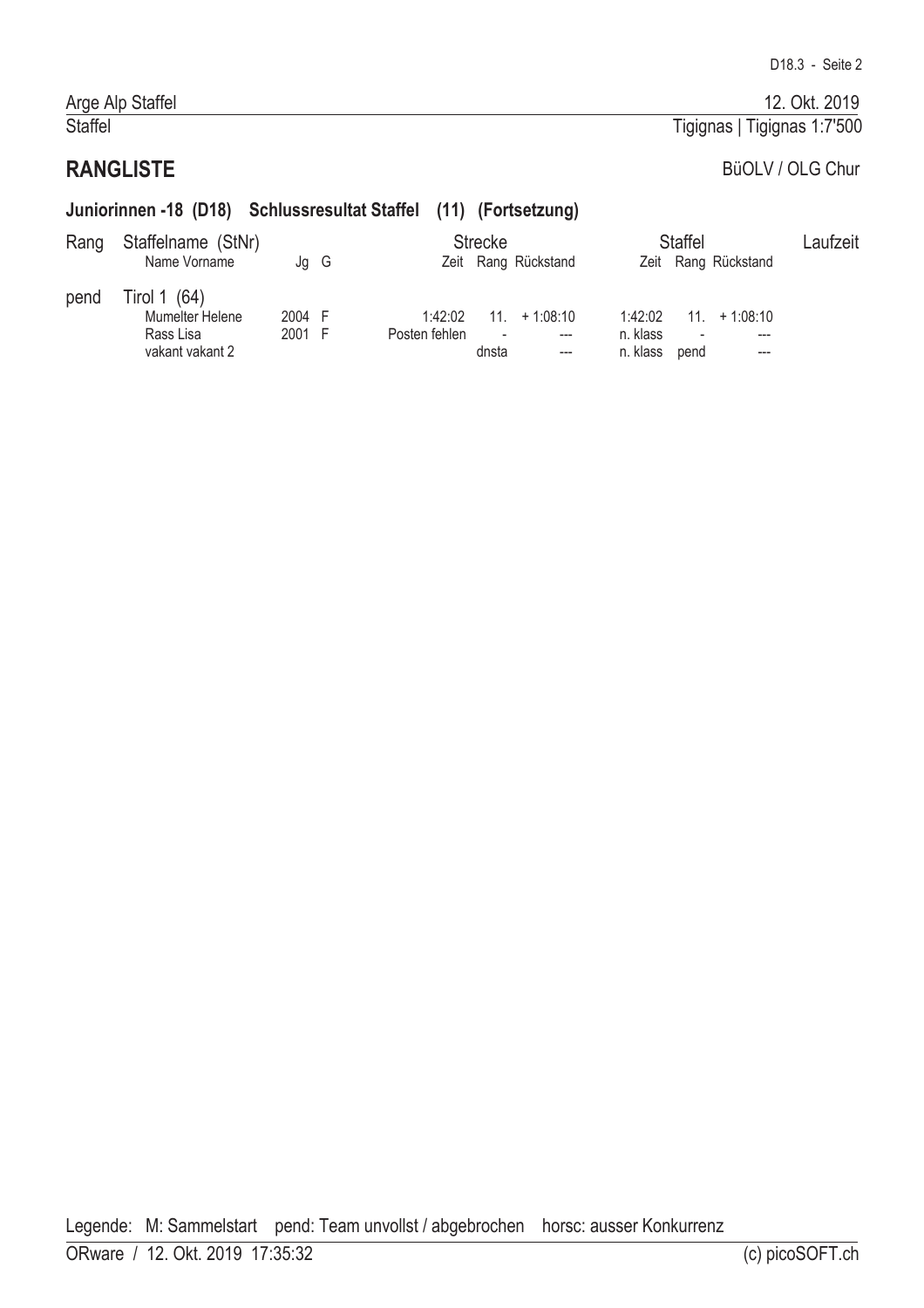Tigignas | Tigignas 1:7'500

#### Arge Alp Staffel Staffel

# **RANGLISTE**

# BüOLV / OLG Chur

#### Juniorinnen -18 (D18) Schlussresultat Staffel (11) (Fortsetzung)

| Rang | Staffelname (StNr)<br>Name Vorname                              | Jg G             |                          | <b>Strecke</b>                    | Zeit Rang Rückstand   |                                 | <b>Staffel</b>          | Zeit Rang Rückstand | Laufzeit |
|------|-----------------------------------------------------------------|------------------|--------------------------|-----------------------------------|-----------------------|---------------------------------|-------------------------|---------------------|----------|
| pend | Tirol 1 (64)<br>Mumelter Helene<br>Rass Lisa<br>vakant vakant 2 | 2004 F<br>2001 F | 1:42:02<br>Posten fehlen | $\overline{\phantom{a}}$<br>dnsta | $11 + 1.08:10$<br>--- | 1:42:02<br>n. klass<br>n. klass | 11 <sup>1</sup><br>pend | $+1:08:10$<br>---   |          |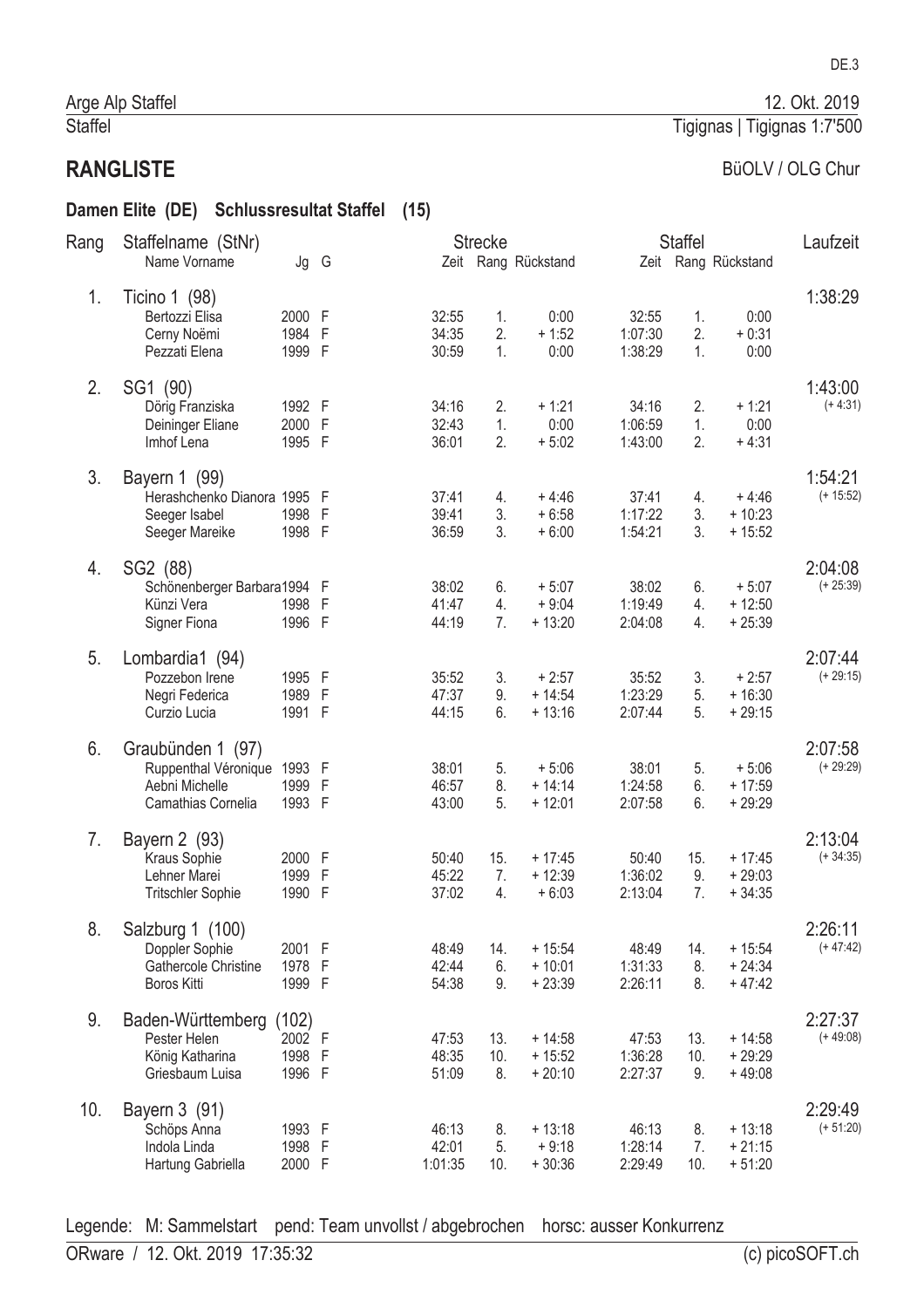#### Damen Elite (DE) Schlussresultat Staffel (15)

| Rang | Staffelname (StNr)          |        |                |         | <b>Strecke</b> |                     |         | <b>Staffel</b> |                     | Laufzeit    |
|------|-----------------------------|--------|----------------|---------|----------------|---------------------|---------|----------------|---------------------|-------------|
|      | Name Vorname                | Jg G   |                |         |                | Zeit Rang Rückstand |         |                | Zeit Rang Rückstand |             |
| 1.   | Ticino 1 (98)               |        |                |         |                |                     |         |                |                     | 1:38:29     |
|      | Bertozzi Elisa              | 2000 F |                | 32:55   | 1.             | 0:00                | 32:55   | 1.             | 0:00                |             |
|      | Cerny Noëmi                 | 1984   | $\overline{F}$ | 34:35   | 2.             | $+1:52$             | 1:07:30 | 2.             | $+0:31$             |             |
|      | Pezzati Elena               | 1999 F |                | 30:59   | 1.             | 0:00                | 1:38:29 | 1.             | 0:00                |             |
| 2.   | SG1 (90)                    |        |                |         |                |                     |         |                |                     | 1:43:00     |
|      | Dörig Franziska             | 1992 F |                | 34:16   | 2.             | $+1:21$             | 34:16   | 2.             | $+1:21$             | $(+ 4:31)$  |
|      | Deininger Eliane            | 2000 F |                | 32:43   | 1.             | 0:00                | 1:06:59 | 1.             | 0:00                |             |
|      | Imhof Lena                  | 1995 F |                | 36:01   | 2.             | $+5:02$             | 1:43:00 | 2.             | $+4:31$             |             |
| 3.   | Bayern 1 (99)               |        |                |         |                |                     |         |                |                     | 1:54:21     |
|      | Herashchenko Dianora 1995 F |        |                | 37:41   | 4.             | $+4:46$             | 37:41   | 4.             | $+4:46$             | $(+ 15:52)$ |
|      | Seeger Isabel               | 1998 F |                | 39:41   | 3.             | $+6:58$             | 1:17:22 | 3.             | $+10:23$            |             |
|      | Seeger Mareike              | 1998 F |                | 36:59   | 3.             | $+6:00$             | 1:54:21 | 3.             | $+15:52$            |             |
| 4.   | SG2 (88)                    |        |                |         |                |                     |         |                |                     | 2:04:08     |
|      | Schönenberger Barbara1994 F |        |                | 38:02   | 6.             | $+5:07$             | 38:02   | 6.             | $+5:07$             | $(+ 25:39)$ |
|      | Künzi Vera                  | 1998 F |                | 41:47   | 4.             | $+9:04$             | 1:19:49 | 4.             | $+12:50$            |             |
|      | Signer Fiona                | 1996 F |                | 44:19   | 7.             | $+13:20$            | 2:04:08 | 4.             | $+25:39$            |             |
| 5.   | Lombardia1 (94)             |        |                |         |                |                     |         |                |                     | 2:07:44     |
|      | Pozzebon Irene              | 1995 F |                | 35:52   | 3.             | $+2:57$             | 35:52   | 3.             | $+2:57$             | $(+ 29:15)$ |
|      | Negri Federica              | 1989 F |                | 47:37   | 9.             | $+14:54$            | 1:23:29 | 5.             | $+16:30$            |             |
|      | Curzio Lucia                | 1991 F |                | 44:15   | 6.             | $+13:16$            | 2:07:44 | 5.             | $+29:15$            |             |
| 6.   | Graubünden 1 (97)           |        |                |         |                |                     |         |                |                     | 2:07:58     |
|      | Ruppenthal Véronique        | 1993 F |                | 38:01   | 5.             | $+5:06$             | 38:01   | 5.             | $+5:06$             | $(+ 29:29)$ |
|      | Aebni Michelle              | 1999   | $\mathsf{F}$   | 46:57   | 8.             | $+ 14:14$           | 1:24:58 | 6.             | $+17:59$            |             |
|      | Camathias Cornelia          | 1993 F |                | 43:00   | 5.             | $+12:01$            | 2:07:58 | 6.             | $+29:29$            |             |
| 7.   | Bayern 2 (93)               |        |                |         |                |                     |         |                |                     | 2:13:04     |
|      | Kraus Sophie                | 2000 F |                | 50:40   | 15.            | $+17:45$            | 50:40   | 15.            | $+17:45$            | $(+34:35)$  |
|      | Lehner Marei                | 1999   | F              | 45:22   | 7.             | $+12:39$            | 1:36:02 | 9.             | $+29:03$            |             |
|      | <b>Tritschler Sophie</b>    | 1990   | $\overline{F}$ | 37:02   | 4.             | $+6:03$             | 2:13:04 | 7.             | $+34:35$            |             |
| 8.   | Salzburg 1 (100)            |        |                |         |                |                     |         |                |                     | 2:26:11     |
|      | Doppler Sophie              | 2001 F |                | 48:49   | 14.            | $+15:54$            | 48:49   | 14.            | $+15:54$            | $(+47:42)$  |
|      | Gathercole Christine        | 1978 F |                | 42:44   | 6.             | $+10:01$            | 1:31:33 | 8.             | $+24:34$            |             |
|      | <b>Boros Kitti</b>          | 1999 F |                | 54:38   | 9.             | $+23:39$            | 2:26:11 | 8.             | $+47:42$            |             |
| 9.   | Baden-Württemberg           | (102)  |                |         |                |                     |         |                |                     | 2:27:37     |
|      | Pester Helen                | 2002 F |                | 47:53   | 13.            | $+14:58$            | 47:53   | 13.            | $+14:58$            | $(+49:08)$  |
|      | König Katharina             | 1998 F |                | 48:35   | 10.            | $+15:52$            | 1:36:28 | 10.            | $+29:29$            |             |
|      | Griesbaum Luisa             | 1996 F |                | 51:09   | 8.             | $+20:10$            | 2:27:37 | 9.             | $+49:08$            |             |
| 10.  | Bayern 3 (91)               |        |                |         |                |                     |         |                |                     | 2:29:49     |
|      | Schöps Anna                 | 1993 F |                | 46:13   | 8.             | $+13:18$            | 46:13   | 8.             | $+13:18$            | $(+ 51:20)$ |
|      | Indola Linda                | 1998 F |                | 42:01   | 5.             | $+9:18$             | 1:28:14 | 7.             | $+21:15$            |             |
|      | Hartung Gabriella           | 2000 F |                | 1:01:35 | 10.            | $+30:36$            | 2:29:49 | 10.            | $+51:20$            |             |

Legende: M: Sammelstart pend: Team unvollst / abgebrochen horsc: ausser Konkurrenz

#### DE.3

12. Okt. 2019

#### Tigignas | Tigignas 1:7'500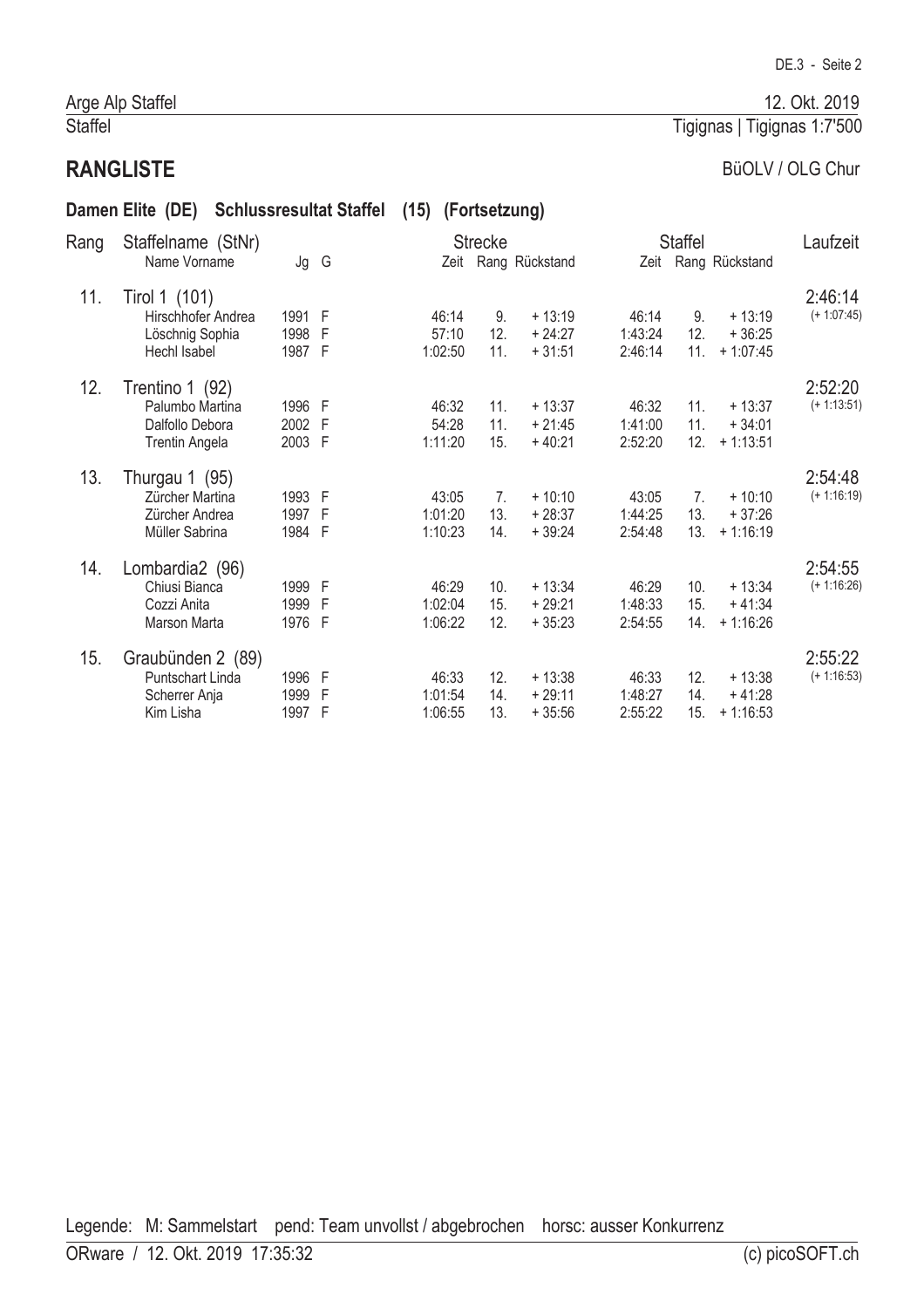#### Arge Alp Staffel Staffel

# **RANGLISTE**

# BüOLV / OLG Chur

|      | Damen Elite (DE)      |        | <b>Schlussresultat Staffel</b> | (15) (Fortsetzung) |                |                |         |                 |                     |               |
|------|-----------------------|--------|--------------------------------|--------------------|----------------|----------------|---------|-----------------|---------------------|---------------|
| Rang | Staffelname (StNr)    |        |                                |                    | <b>Strecke</b> |                |         | <b>Staffel</b>  |                     | Laufzeit      |
|      | Name Vorname          | Jg G   |                                | Zeit               |                | Rang Rückstand |         |                 | Zeit Rang Rückstand |               |
| 11.  | Tirol 1 (101)         |        |                                |                    |                |                |         |                 |                     | 2:46:14       |
|      | Hirschhofer Andrea    | 1991 F |                                | 46:14              | 9.             | $+13:19$       | 46:14   | 9.              | $+13:19$            | $(+ 1:07:45)$ |
|      | Löschnig Sophia       | 1998 F |                                | 57:10              | 12.            | $+24:27$       | 1:43:24 | 12.             | $+36:25$            |               |
|      | Hechl Isabel          | 1987 F |                                | 1:02:50            | 11.            | $+31:51$       | 2:46:14 | 11.             | $+1:07:45$          |               |
| 12.  | Trentino 1 (92)       |        |                                |                    |                |                |         |                 |                     | 2:52:20       |
|      | Palumbo Martina       | 1996 F |                                | 46:32              | 11.            | $+13:37$       | 46:32   | 11.             | $+13:37$            | $(+ 1:13:51)$ |
|      | Dalfollo Debora       | 2002 F |                                | 54:28              | 11.            | $+21:45$       | 1:41:00 | 11.             | $+34:01$            |               |
|      | <b>Trentin Angela</b> | 2003 F |                                | 1:11:20            | 15.            | $+40:21$       | 2:52:20 | 12.             | $+1:13:51$          |               |
| 13.  | Thurgau 1 (95)        |        |                                |                    |                |                |         |                 |                     | 2:54:48       |
|      | Zürcher Martina       | 1993 F |                                | 43:05              | 7.             | $+10:10$       | 43:05   | 7 <sub>1</sub>  | $+10:10$            | $(+ 1:16:19)$ |
|      | Zürcher Andrea        | 1997 F |                                | 1:01:20            | 13.            | $+28:37$       | 1:44:25 | 13.             | $+37:26$            |               |
|      | Müller Sabrina        | 1984 F |                                | 1:10:23            | 14.            | $+39:24$       | 2:54:48 | 13.             | $+1:16:19$          |               |
| 14.  | Lombardia2 (96)       |        |                                |                    |                |                |         |                 |                     | 2:54:55       |
|      | Chiusi Bianca         | 1999 F |                                | 46:29              | 10.            | $+13:34$       | 46:29   | 10 <sub>1</sub> | $+13:34$            | $(+ 1:16:26)$ |
|      | Cozzi Anita           | 1999 F |                                | 1:02:04            | 15.            | $+29:21$       | 1:48:33 | 15.             | $+41:34$            |               |
|      | Marson Marta          | 1976 F |                                | 1:06:22            | 12.            | $+35:23$       | 2:54:55 | 14.             | $+1:16:26$          |               |
| 15.  | Graubünden 2 (89)     |        |                                |                    |                |                |         |                 |                     | 2:55:22       |
|      | Puntschart Linda      | 1996 F |                                | 46:33              | 12.            | $+13:38$       | 46:33   | 12.             | $+13:38$            | $(+ 1:16:53)$ |
|      | Scherrer Anja         | 1999   | F                              | 1:01:54            | 14.            | $+29:11$       | 1:48:27 | 14.             | $+41:28$            |               |
|      | Kim Lisha             | 1997   | $\mathsf F$                    | 1:06:55            | 13.            | $+35:56$       | 2:55:22 | 15.             | $+1:16:53$          |               |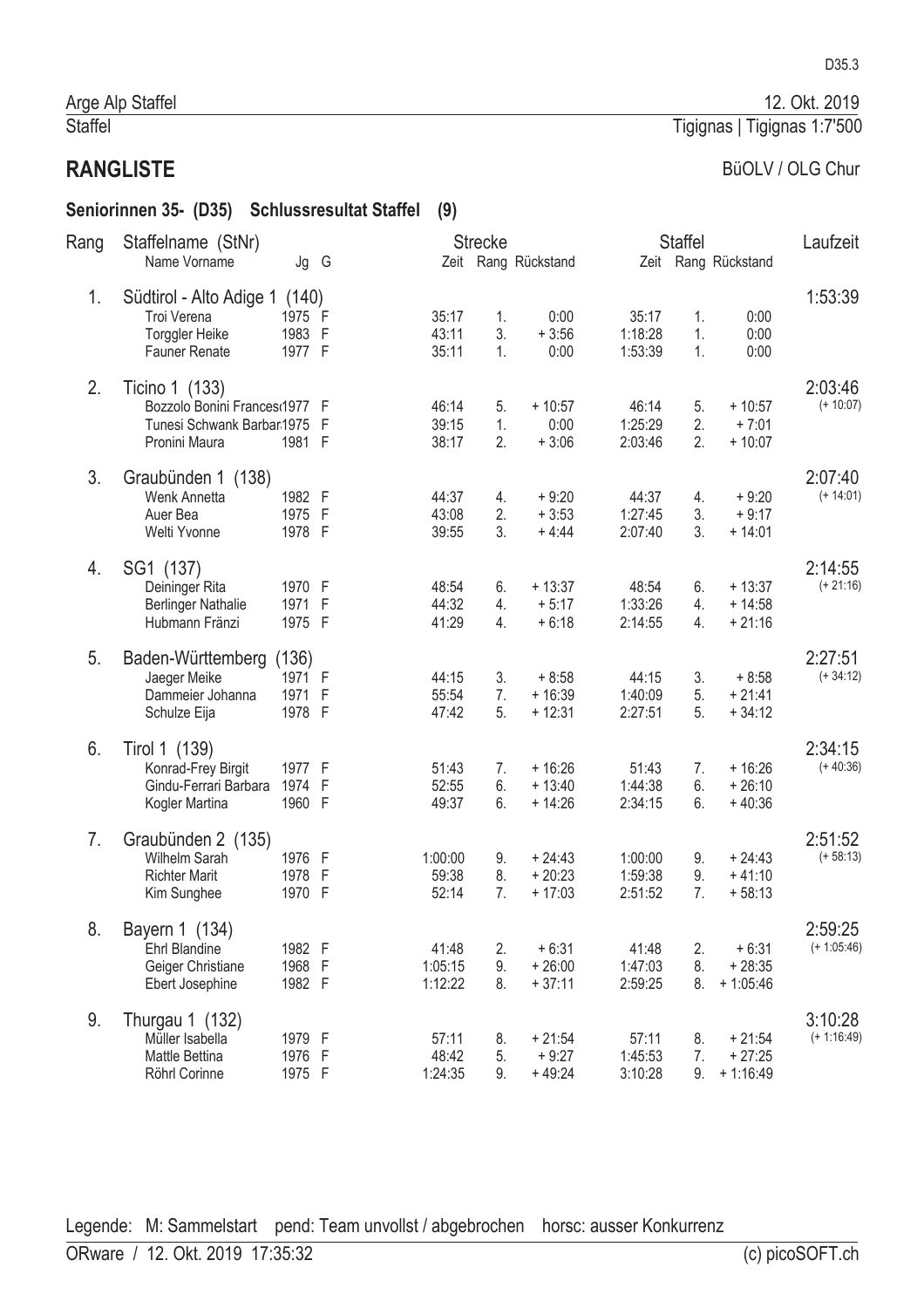#### BüOLV / OLG Chur

Tigignas | Tigignas 1:7'500

# Seniorinnen 35- (D35) Schlussresultat Staffel (9)

| Rang | Staffelname (StNr)                                                                            |                                   |                   |                             | <b>Strecke</b> |                                  |                               | <b>Staffel</b> |                                    | Laufzeit                 |
|------|-----------------------------------------------------------------------------------------------|-----------------------------------|-------------------|-----------------------------|----------------|----------------------------------|-------------------------------|----------------|------------------------------------|--------------------------|
|      | Name Vorname                                                                                  | Jg G                              |                   |                             |                | Zeit Rang Rückstand              |                               |                | Zeit Rang Rückstand                |                          |
| 1.   | Südtirol - Alto Adige 1 (140)<br>Troi Verena<br>Torggler Heike<br><b>Fauner Renate</b>        | 1975 F<br>1983 F<br>1977 F        |                   | 35:17<br>43:11<br>35:11     | 1.<br>3.<br>1. | 0:00<br>$+3:56$<br>0:00          | 35:17<br>1:18:28<br>1:53:39   | 1.<br>1.<br>1. | 0:00<br>0:00<br>0:00               | 1:53:39                  |
| 2.   | Ticino 1 (133)<br>Bozzolo Bonini Frances(1977 F<br>Tunesi Schwank Barbar1975<br>Pronini Maura | 1981 F                            | F                 | 46:14<br>39:15<br>38:17     | 5.<br>1.<br>2. | $+10:57$<br>0:00<br>$+3:06$      | 46:14<br>1:25:29<br>2:03:46   | 5.<br>2.<br>2. | $+10:57$<br>$+7:01$<br>$+10:07$    | 2:03:46<br>$(+ 10:07)$   |
| 3.   | Graubünden 1 (138)<br>Wenk Annetta<br>Auer Bea<br>Welti Yvonne                                | 1982 F<br>1975 F<br>1978 F        |                   | 44:37<br>43:08<br>39:55     | 4.<br>2.<br>3. | $+9:20$<br>$+3:53$<br>$+4:44$    | 44:37<br>1:27:45<br>2:07:40   | 4.<br>3.<br>3. | $+9:20$<br>$+9:17$<br>$+14:01$     | 2:07:40<br>$(+ 14:01)$   |
| 4.   | SG1 (137)<br>Deininger Rita<br><b>Berlinger Nathalie</b><br>Hubmann Fränzi                    | 1970 F<br>1971<br>1975 F          | $\mathsf{F}$      | 48:54<br>44:32<br>41:29     | 6.<br>4.<br>4. | $+13:37$<br>$+5:17$<br>$+6:18$   | 48:54<br>1:33:26<br>2:14:55   | 6.<br>4.<br>4. | $+13:37$<br>$+14:58$<br>$+21:16$   | 2:14:55<br>$(+ 21:16)$   |
| 5.   | Baden-Württemberg<br>Jaeger Meike<br>Dammeier Johanna<br>Schulze Eija                         | (136)<br>1971 F<br>1971<br>1978 F | - F               | 44:15<br>55:54<br>47:42     | 3.<br>7.<br>5. | $+8:58$<br>$+16:39$<br>$+12:31$  | 44:15<br>1:40:09<br>2:27:51   | 3.<br>5.<br>5. | $+8:58$<br>$+21:41$<br>$+34:12$    | 2:27:51<br>$(+34:12)$    |
| 6.   | Tirol 1 (139)<br>Konrad-Frey Birgit<br>Gindu-Ferrari Barbara<br>Kogler Martina                | 1977 F<br>1974<br>1960 F          | $\mathsf F$       | 51:43<br>52:55<br>49:37     | 7.<br>6.<br>6. | $+16:26$<br>$+13:40$<br>$+14:26$ | 51:43<br>1:44:38<br>2:34:15   | 7.<br>6.<br>6. | $+16:26$<br>$+26:10$<br>$+40:36$   | 2:34:15<br>$(+40:36)$    |
| 7.   | Graubünden 2 (135)<br>Wilhelm Sarah<br><b>Richter Marit</b><br>Kim Sunghee                    | 1976 F<br>1978<br>1970            | F<br>$\mathsf{F}$ | 1:00:00<br>59:38<br>52:14   | 9.<br>8.<br>7. | $+24:43$<br>$+20:23$<br>$+17:03$ | 1:00:00<br>1:59:38<br>2:51:52 | 9.<br>9.<br>7. | $+24:43$<br>$+41:10$<br>$+58:13$   | 2:51:52<br>$(+ 58:13)$   |
| 8.   | Bayern 1 (134)<br>Ehrl Blandine<br>Geiger Christiane<br>Ebert Josephine                       | 1982 F<br>1968 F<br>1982 F        |                   | 41:48<br>1:05:15<br>1:12:22 | 2.<br>9.<br>8. | $+6:31$<br>$+26:00$<br>$+37:11$  | 41:48<br>1:47:03<br>2:59:25   | 2.<br>8.<br>8. | $+6:31$<br>$+28:35$<br>$+1:05:46$  | 2:59:25<br>$(+ 1:05:46)$ |
| 9.   | Thurgau 1 (132)<br>Müller Isabella<br>Mattle Bettina<br>Röhrl Corinne                         | 1979 F<br>1976 F<br>1975 F        |                   | 57:11<br>48:42<br>1:24:35   | 8.<br>5.<br>9. | $+21:54$<br>$+9:27$<br>$+49:24$  | 57:11<br>1:45:53<br>3:10:28   | 8.<br>7.<br>9. | $+21:54$<br>$+27:25$<br>$+1:16:49$ | 3:10:28<br>$(+ 1:16:49)$ |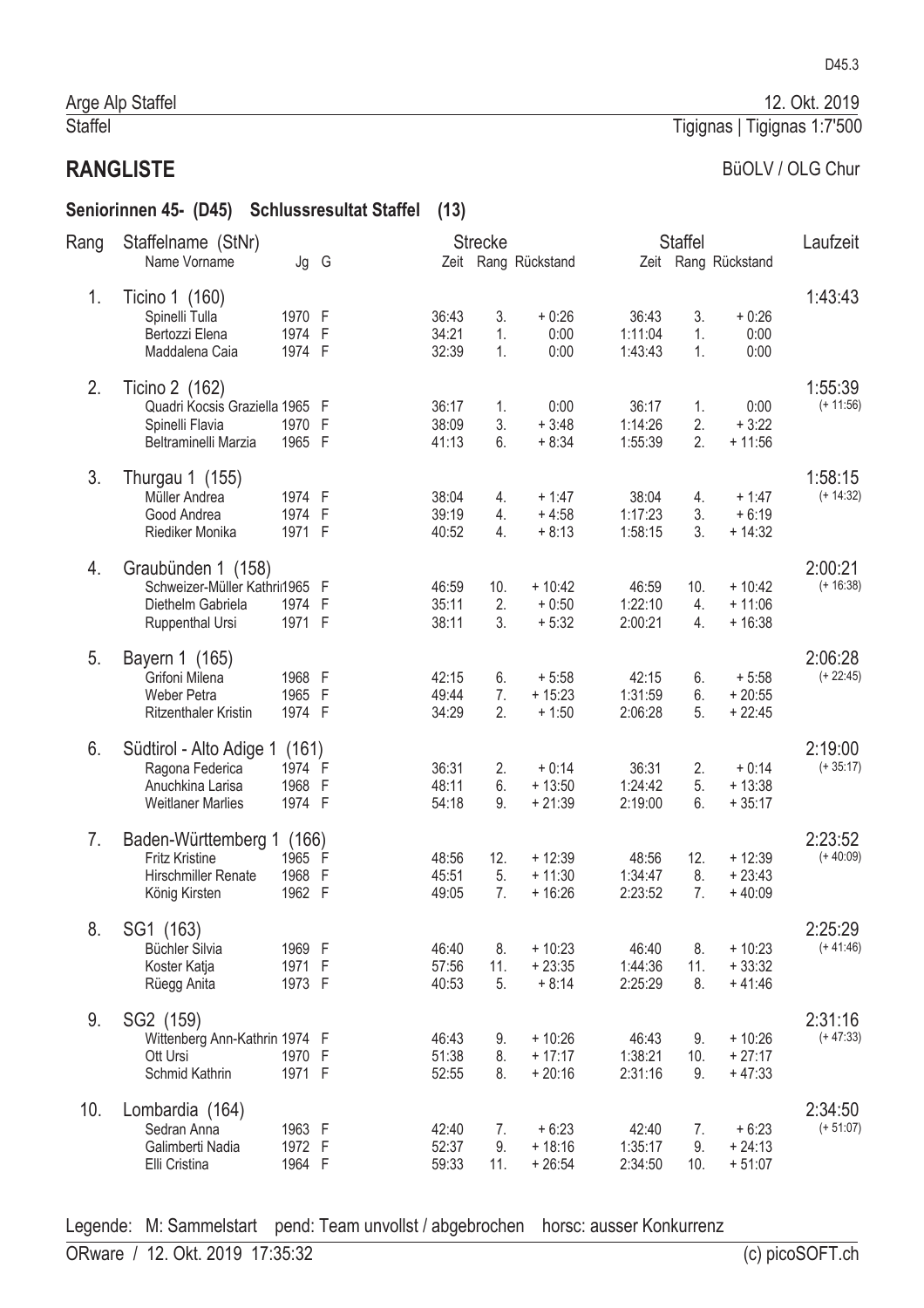#### Seniorinnen 45- (D45) Schlussresultat Staffel (13)

| Rang | Staffelname (StNr)             |        |      |       | <b>Strecke</b> |                     |         | <b>Staffel</b> |                     | Laufzeit    |
|------|--------------------------------|--------|------|-------|----------------|---------------------|---------|----------------|---------------------|-------------|
|      | Name Vorname                   |        | Jg G |       |                | Zeit Rang Rückstand |         |                | Zeit Rang Rückstand |             |
| 1.   | Ticino 1 (160)                 |        |      |       |                |                     |         |                |                     | 1:43:43     |
|      | Spinelli Tulla                 | 1970 F |      | 36:43 | 3.             | $+0:26$             | 36:43   | 3.             | $+0:26$             |             |
|      | Bertozzi Elena                 | 1974 F |      | 34:21 | 1.             | 0:00                | 1:11:04 | 1.             | 0:00                |             |
|      | Maddalena Caia                 | 1974 F |      | 32:39 | 1.             | 0:00                | 1:43:43 | 1.             | 0:00                |             |
| 2.   | Ticino 2 (162)                 |        |      |       |                |                     |         |                |                     | 1:55:39     |
|      | Quadri Kocsis Graziella 1965 F |        |      | 36:17 | 1.             | 0:00                | 36:17   | 1.             | 0:00                | $(+ 11:56)$ |
|      | Spinelli Flavia                | 1970 F |      | 38:09 | 3.             | $+3:48$             | 1:14:26 | 2.             | $+3:22$             |             |
|      | Beltraminelli Marzia           | 1965 F |      | 41:13 | 6.             | $+8:34$             | 1:55:39 | 2.             | $+11:56$            |             |
| 3.   | Thurgau 1 (155)                |        |      |       |                |                     |         |                |                     | 1:58:15     |
|      | Müller Andrea                  | 1974 F |      | 38:04 | 4.             | $+1:47$             | 38:04   | 4.             | $+1:47$             | $(+ 14:32)$ |
|      | Good Andrea                    | 1974 F |      | 39:19 | 4.             | $+4:58$             | 1:17:23 | 3.             | $+6:19$             |             |
|      | Riediker Monika                | 1971 F |      | 40:52 | 4.             | $+8:13$             | 1:58:15 | 3.             | $+14:32$            |             |
| 4.   | Graubünden 1 (158)             |        |      |       |                |                     |         |                |                     | 2:00:21     |
|      | Schweizer-Müller Kathrii1965 F |        |      | 46:59 | 10.            | $+10:42$            | 46:59   | 10.            | $+10:42$            | $(+ 16:38)$ |
|      | Diethelm Gabriela              | 1974 F |      | 35:11 | 2.             | $+0:50$             | 1:22:10 | 4.             | $+11:06$            |             |
|      | Ruppenthal Ursi                | 1971 F |      | 38:11 | 3.             | $+5:32$             | 2:00:21 | 4.             | $+16:38$            |             |
| 5.   | Bayern 1 (165)                 |        |      |       |                |                     |         |                |                     | 2:06:28     |
|      | Grifoni Milena                 | 1968 F |      | 42:15 | 6.             | $+5:58$             | 42:15   | 6.             | $+5:58$             | $(+ 22:45)$ |
|      | Weber Petra                    | 1965 F |      | 49:44 | 7.             | $+15:23$            | 1:31:59 | 6.             | $+20:55$            |             |
|      | Ritzenthaler Kristin           | 1974 F |      | 34:29 | 2.             | $+1:50$             | 2:06:28 | 5.             | $+22:45$            |             |
| 6.   | Südtirol - Alto Adige 1        | (161)  |      |       |                |                     |         |                |                     | 2:19:00     |
|      | Ragona Federica                | 1974 F |      | 36:31 | 2.             | $+0:14$             | 36:31   | 2.             | $+0:14$             | $(+35:17)$  |
|      | Anuchkina Larisa               | 1968 F |      | 48:11 | 6.             | $+13:50$            | 1:24:42 | 5.             | $+13:38$            |             |
|      | <b>Weitlaner Marlies</b>       | 1974 F |      | 54:18 | 9.             | $+21:39$            | 2:19:00 | 6.             | $+35:17$            |             |
| 7.   | Baden-Württemberg 1            | (166)  |      |       |                |                     |         |                |                     | 2:23:52     |
|      | <b>Fritz Kristine</b>          | 1965 F |      | 48:56 | 12.            | $+12:39$            | 48:56   | 12.            | $+12:39$            | $(+40:09)$  |
|      | Hirschmiller Renate            | 1968 F |      | 45:51 | 5.             | $+11:30$            | 1:34:47 | 8.             | $+23:43$            |             |
|      | König Kirsten                  | 1962 F |      | 49:05 | 7.             | $+16:26$            | 2:23:52 | 7.             | $+40:09$            |             |
| 8.   | SG1 (163)                      |        |      |       |                |                     |         |                |                     | 2:25:29     |
|      | Büchler Silvia                 | 1969 F |      | 46:40 | 8.             | $+10:23$            | 46:40   | 8.             | $+10:23$            | $(+41:46)$  |
|      | Koster Katja                   | 1971 F |      | 57:56 | 11.            | $+23:35$            | 1:44:36 | 11.            | $+33:32$            |             |
|      | Rüegg Anita                    | 1973 F |      | 40:53 | 5.             | $+8:14$             | 2:25:29 | 8.             | $+41:46$            |             |
| 9.   | SG2 (159)                      |        |      |       |                |                     |         |                |                     | 2:31:16     |
|      | Wittenberg Ann-Kathrin 1974 F  |        |      | 46:43 | 9.             | $+10:26$            | 46:43   | 9.             | $+10:26$            | $(+47:33)$  |
|      | Ott Ursi                       | 1970 F |      | 51:38 | 8.             | $+17:17$            | 1:38:21 | 10.            | $+27:17$            |             |
|      | Schmid Kathrin                 | 1971 F |      | 52:55 | 8.             | $+20:16$            | 2:31:16 | 9.             | $+47:33$            |             |
| 10.  | Lombardia (164)                |        |      |       |                |                     |         |                |                     | 2:34:50     |
|      | Sedran Anna                    | 1963 F |      | 42:40 | 7.             | $+6:23$             | 42:40   | 7.             | $+6:23$             | $(+ 51:07)$ |
|      | Galimberti Nadia               | 1972 F |      | 52:37 | 9.             | $+18:16$            | 1:35:17 | 9.             | $+24:13$            |             |
|      | Elli Cristina                  | 1964 F |      | 59:33 | 11.            | $+26:54$            | 2:34:50 | 10.            | $+51:07$            |             |

Legende: M: Sammelstart pend: Team unvollst / abgebrochen horsc: ausser Konkurrenz

12. Okt. 2019

BüOLV / OLG Chur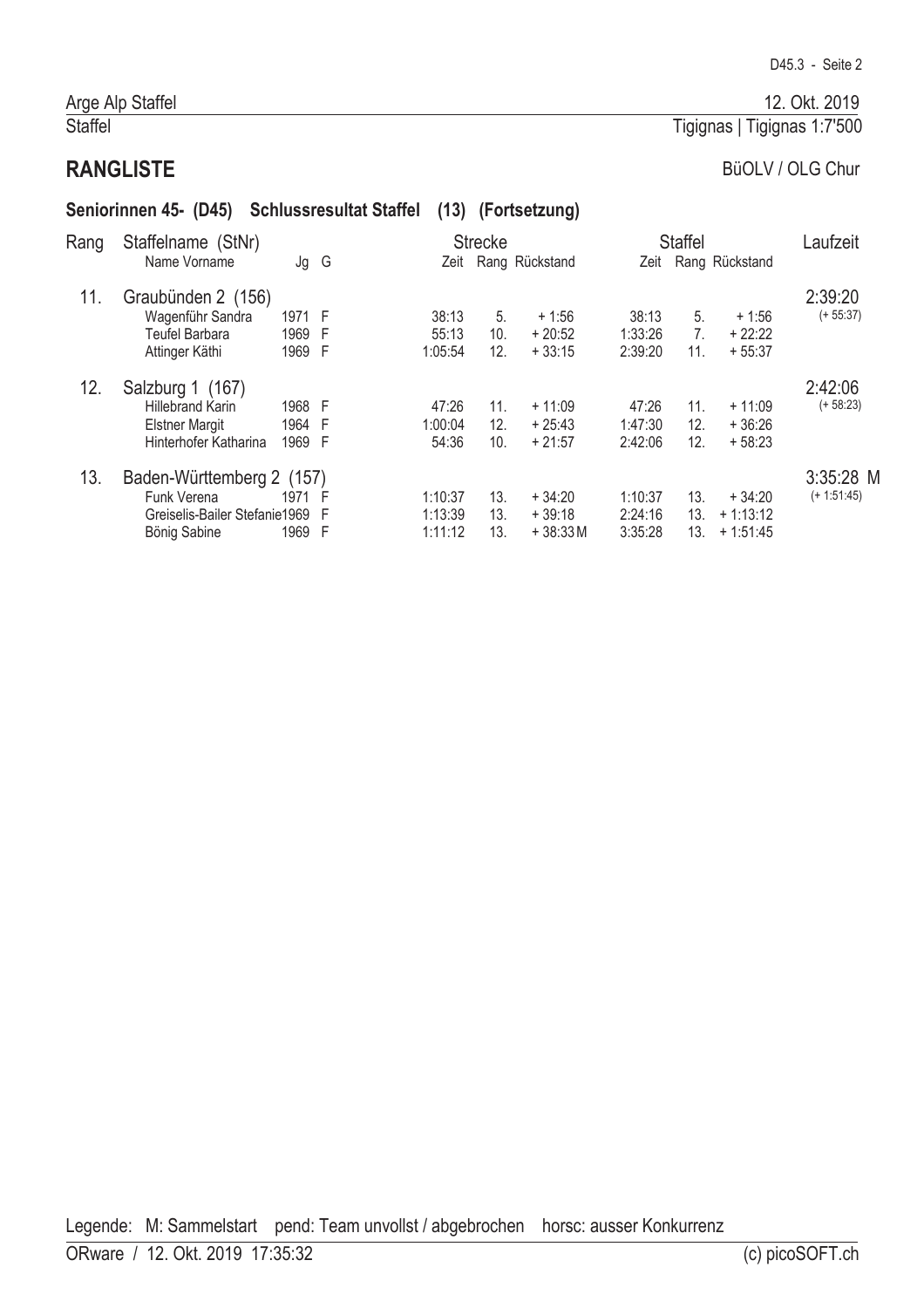#### Staffel

# BüOLV / OLG Chur

Tigignas | Tigignas 1:7'500

# **RANGLISTE** Seniorinnen 45- (D45) Schlussresultat Staffel (13) (Fortsetzung)

| Rang | Staffelname (StNr)<br>Name Vorname                                                            | Jg G                     |     | Zeit                          | <b>Strecke</b>    | Rang Rückstand                    |                               | <b>Staffel</b>              | Zeit Rang Rückstand                  | Laufzeit                   |
|------|-----------------------------------------------------------------------------------------------|--------------------------|-----|-------------------------------|-------------------|-----------------------------------|-------------------------------|-----------------------------|--------------------------------------|----------------------------|
| 11.  | Graubünden 2 (156)<br>Wagenführ Sandra<br><b>Teufel Barbara</b><br>Attinger Käthi             | 1971 F<br>1969<br>1969 F | -F  | 38:13<br>55:13<br>1:05:54     | 5.<br>10.<br>12.  | $+1:56$<br>$+20:52$<br>$+33:15$   | 38:13<br>1:33:26<br>2:39:20   | 5.<br>7 <sub>1</sub><br>11. | $+1:56$<br>$+22:22$<br>$+55:37$      | 2:39:20<br>$(+ 55:37)$     |
| 12.  | Salzburg 1 (167)<br><b>Hillebrand Karin</b><br><b>Elstner Margit</b><br>Hinterhofer Katharina | 1968 F<br>1964 F<br>1969 | - F | 47:26<br>1:00:04<br>54:36     | 11.<br>12.<br>10. | $+11:09$<br>$+25:43$<br>$+21:57$  | 47:26<br>1:47:30<br>2:42:06   | 11.<br>12.<br>12.           | $+11:09$<br>$+36:26$<br>$+58:23$     | 2:42:06<br>$(+ 58:23)$     |
| 13.  | Baden-Württemberg 2 (157)<br>Funk Verena<br>Greiselis-Bailer Stefanie1969 F<br>Bönig Sabine   | 1971<br>1969 F           | - F | 1:10:37<br>1:13:39<br>1:11:12 | 13.<br>13.<br>13. | $+34:20$<br>$+39:18$<br>$+38:33M$ | 1:10:37<br>2:24:16<br>3:35:28 | 13.<br>13.<br>13.           | $+34:20$<br>$+1:13:12$<br>$+1:51:45$ | 3:35:28 M<br>$(+ 1:51:45)$ |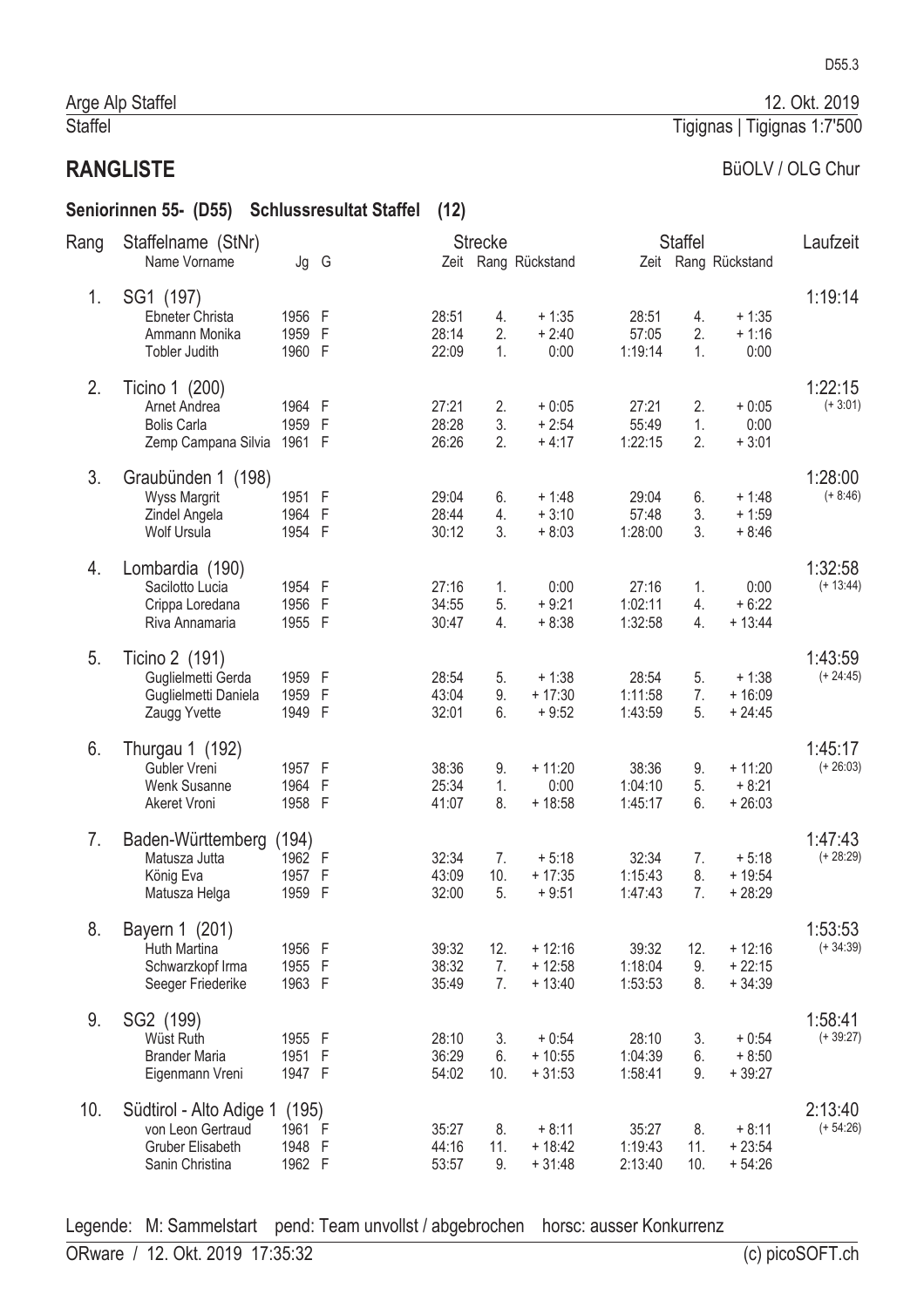#### Seniorinnen 55- (D55) Schlussresultat Staffel (12)

| Rang | Staffelname (StNr)                                                                         |                                     |   |                         | <b>Strecke</b>  |                                  |                             | <b>Staffel</b>   |                                  | Laufzeit               |
|------|--------------------------------------------------------------------------------------------|-------------------------------------|---|-------------------------|-----------------|----------------------------------|-----------------------------|------------------|----------------------------------|------------------------|
|      | Name Vorname                                                                               | Jg G                                |   |                         |                 | Zeit Rang Rückstand              |                             |                  | Zeit Rang Rückstand              |                        |
| 1.   | SG1 (197)<br>Ebneter Christa<br>Ammann Monika<br>Tobler Judith                             | 1956 F<br>1959 F<br>1960 F          |   | 28:51<br>28:14<br>22:09 | 4.<br>2.<br>1.  | $+1:35$<br>$+2:40$<br>0:00       | 28:51<br>57:05<br>1:19:14   | 4.<br>2.<br>1.   | $+1:35$<br>$+1:16$<br>0:00       | 1:19:14                |
| 2.   | Ticino 1 (200)<br>Arnet Andrea<br><b>Bolis Carla</b><br>Zemp Campana Silvia                | 1964 F<br>1959 F<br>1961 F          |   | 27:21<br>28:28<br>26:26 | 2.<br>3.<br>2.  | $+0:05$<br>$+2:54$<br>$+4:17$    | 27:21<br>55:49<br>1:22:15   | 2.<br>1.<br>2.   | $+0:05$<br>0:00<br>$+3:01$       | 1:22:15<br>$(+3:01)$   |
| 3.   | Graubünden 1 (198)<br><b>Wyss Margrit</b><br>Zindel Angela<br>Wolf Ursula                  | 1951 F<br>1964 F<br>1954 F          |   | 29:04<br>28:44<br>30:12 | 6.<br>4.<br>3.  | $+1:48$<br>$+3:10$<br>$+8:03$    | 29:04<br>57:48<br>1:28:00   | 6.<br>3.<br>3.   | $+1:48$<br>$+1:59$<br>$+8:46$    | 1:28:00<br>$(+ 8:46)$  |
| 4.   | Lombardia (190)<br>Sacilotto Lucia<br>Crippa Loredana<br>Riva Annamaria                    | 1954 F<br>1956 F<br>1955 F          |   | 27:16<br>34:55<br>30:47 | 1.<br>5.<br>4.  | 0:00<br>$+9:21$<br>$+8:38$       | 27:16<br>1:02:11<br>1:32:58 | 1.<br>4.<br>4.   | 0:00<br>$+6:22$<br>$+ 13:44$     | 1:32:58<br>$(+ 13:44)$ |
| 5.   | Ticino 2 (191)<br>Guglielmetti Gerda<br>Guglielmetti Daniela<br>Zaugg Yvette               | 1959 F<br>1959<br>1949 F            | F | 28:54<br>43:04<br>32:01 | 5.<br>9.<br>6.  | $+1:38$<br>$+17:30$<br>$+9:52$   | 28:54<br>1:11:58<br>1:43:59 | 5.<br>7.<br>5.   | $+1:38$<br>$+16:09$<br>$+24:45$  | 1:43:59<br>$(+ 24:45)$ |
| 6.   | Thurgau 1 (192)<br>Gubler Vreni<br>Wenk Susanne<br><b>Akeret Vroni</b>                     | 1957 F<br>1964 F<br>1958 F          |   | 38:36<br>25:34<br>41:07 | 9.<br>1.<br>8.  | $+11:20$<br>0:00<br>$+18:58$     | 38:36<br>1:04:10<br>1:45:17 | 9.<br>5.<br>6.   | $+11:20$<br>$+8:21$<br>$+26:03$  | 1:45:17<br>$(+ 26:03)$ |
| 7.   | Baden-Württemberg<br>Matusza Jutta<br>König Eva<br>Matusza Helga                           | (194)<br>1962 F<br>1957<br>1959 F   | F | 32:34<br>43:09<br>32:00 | 7.<br>10.<br>5. | $+5:18$<br>$+17:35$<br>$+9:51$   | 32:34<br>1:15:43<br>1:47:43 | 7.<br>8.<br>7.   | $+5:18$<br>$+19:54$<br>$+28:29$  | 1:47:43<br>$(+ 28:29)$ |
| 8.   | Bayern 1 (201)<br>Huth Martina<br>Schwarzkopf Irma<br>Seeger Friederike                    | 1956 F<br>1955 F<br>1963 F          |   | 39:32<br>38:32<br>35:49 | 12.<br>7.<br>7. | $+12:16$<br>$+12:58$<br>$+13:40$ | 39:32<br>1:18:04<br>1:53:53 | 12.<br>9.<br>8.  | $+12:16$<br>$+22:15$<br>$+34:39$ | 1:53:53<br>$(+34:39)$  |
| 9.   | SG2 (199)<br>Wüst Ruth<br><b>Brander Maria</b><br>Eigenmann Vreni                          | 1955 F<br>1951 F<br>1947 F          |   | 28:10<br>36:29<br>54:02 | 3.<br>6.<br>10. | $+0:54$<br>$+10:55$<br>$+31:53$  | 28:10<br>1:04:39<br>1:58:41 | 3.<br>6.<br>9.   | $+0:54$<br>$+8:50$<br>$+39:27$   | 1:58:41<br>$(+39:27)$  |
| 10.  | Südtirol - Alto Adige 1<br>von Leon Gertraud<br><b>Gruber Elisabeth</b><br>Sanin Christina | (195)<br>1961 F<br>1948 F<br>1962 F |   | 35:27<br>44:16<br>53:57 | 8.<br>11.<br>9. | $+8:11$<br>$+18:42$<br>$+31:48$  | 35:27<br>1:19:43<br>2:13:40 | 8.<br>11.<br>10. | $+8:11$<br>$+23:54$<br>$+54:26$  | 2:13:40<br>$(+ 54:26)$ |

Legende: M: Sammelstart pend: Team unvollst / abgebrochen horsc: ausser Konkurrenz

12. Okt. 2019

#### Tigignas | Tigignas 1:7'500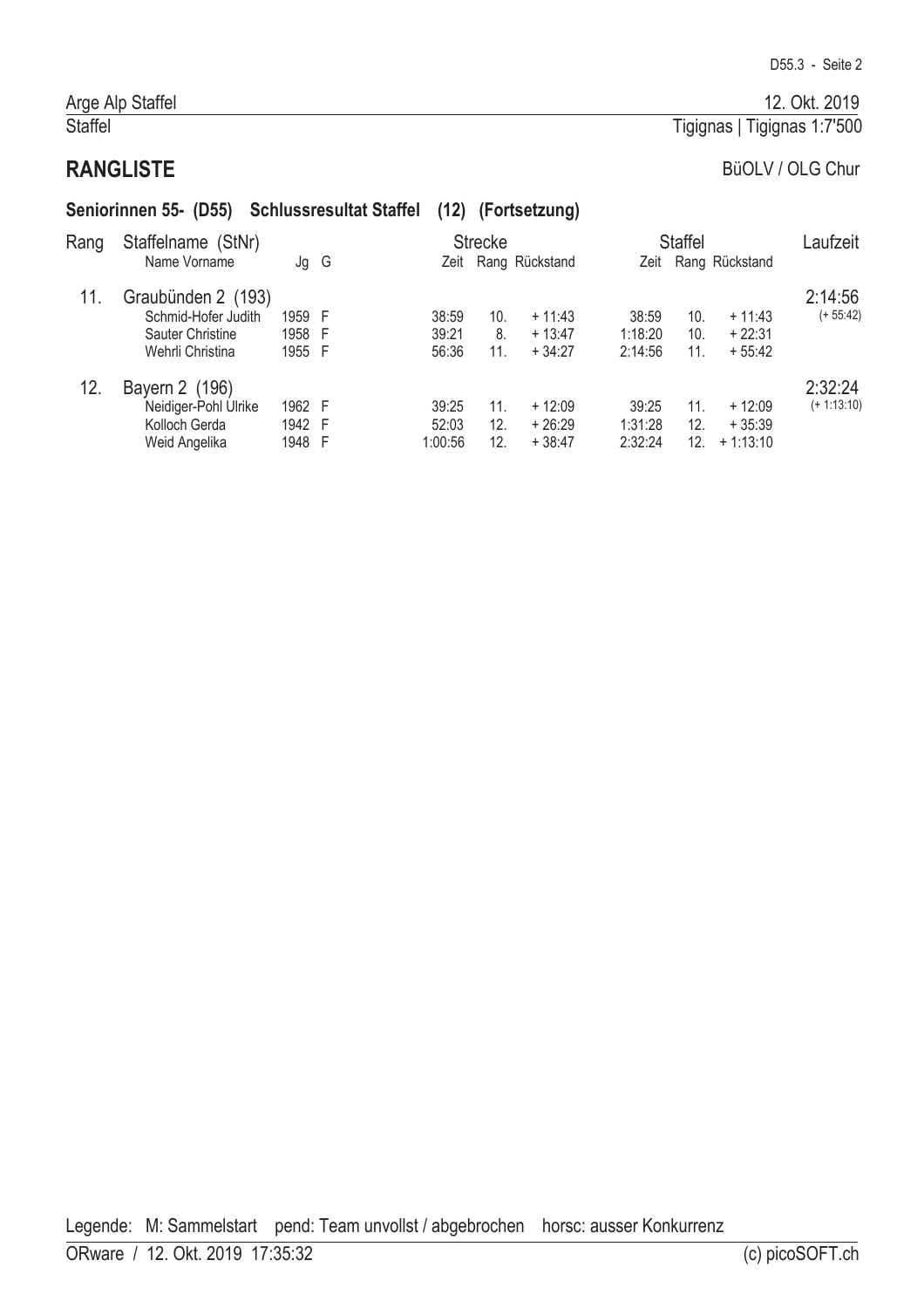#### Staffel

# Tigignas | Tigignas 1:7'500

# **RANGLISTE**

|      | Seniorinnen 55- (D55) Schlussresultat Staffel                                     |                            |   |                           |                   | (12) (Fortsetzung)               |                             |                   |                                    |                          |
|------|-----------------------------------------------------------------------------------|----------------------------|---|---------------------------|-------------------|----------------------------------|-----------------------------|-------------------|------------------------------------|--------------------------|
| Rang | Staffelname (StNr)<br>Name Vorname                                                | Jg                         | G | Zeit                      | <b>Strecke</b>    | Rang Rückstand                   |                             | <b>Staffel</b>    | Zeit Rang Rückstand                | Laufzeit                 |
| 11.  | Graubünden 2 (193)<br>Schmid-Hofer Judith<br>Sauter Christine<br>Wehrli Christina | 1959 F<br>1958 F<br>1955 F |   | 38:59<br>39:21<br>56:36   | 10.<br>8.<br>11.  | $+11:43$<br>$+13:47$<br>$+34:27$ | 38:59<br>1:18:20<br>2:14:56 | 10.<br>10.<br>11. | $+11:43$<br>$+22:31$<br>$+55:42$   | 2:14:56<br>$(+ 55:42)$   |
| 12.  | Bayern 2 (196)<br>Neidiger-Pohl Ulrike<br>Kolloch Gerda<br>Weid Angelika          | 1962 F<br>1942 F<br>1948 F |   | 39:25<br>52:03<br>1:00:56 | 11.<br>12.<br>12. | $+12:09$<br>$+26:29$<br>$+38:47$ | 39:25<br>1:31:28<br>2:32:24 | 11.<br>12.<br>12. | $+12:09$<br>$+35:39$<br>$+1:13:10$ | 2:32:24<br>$(+ 1:13:10)$ |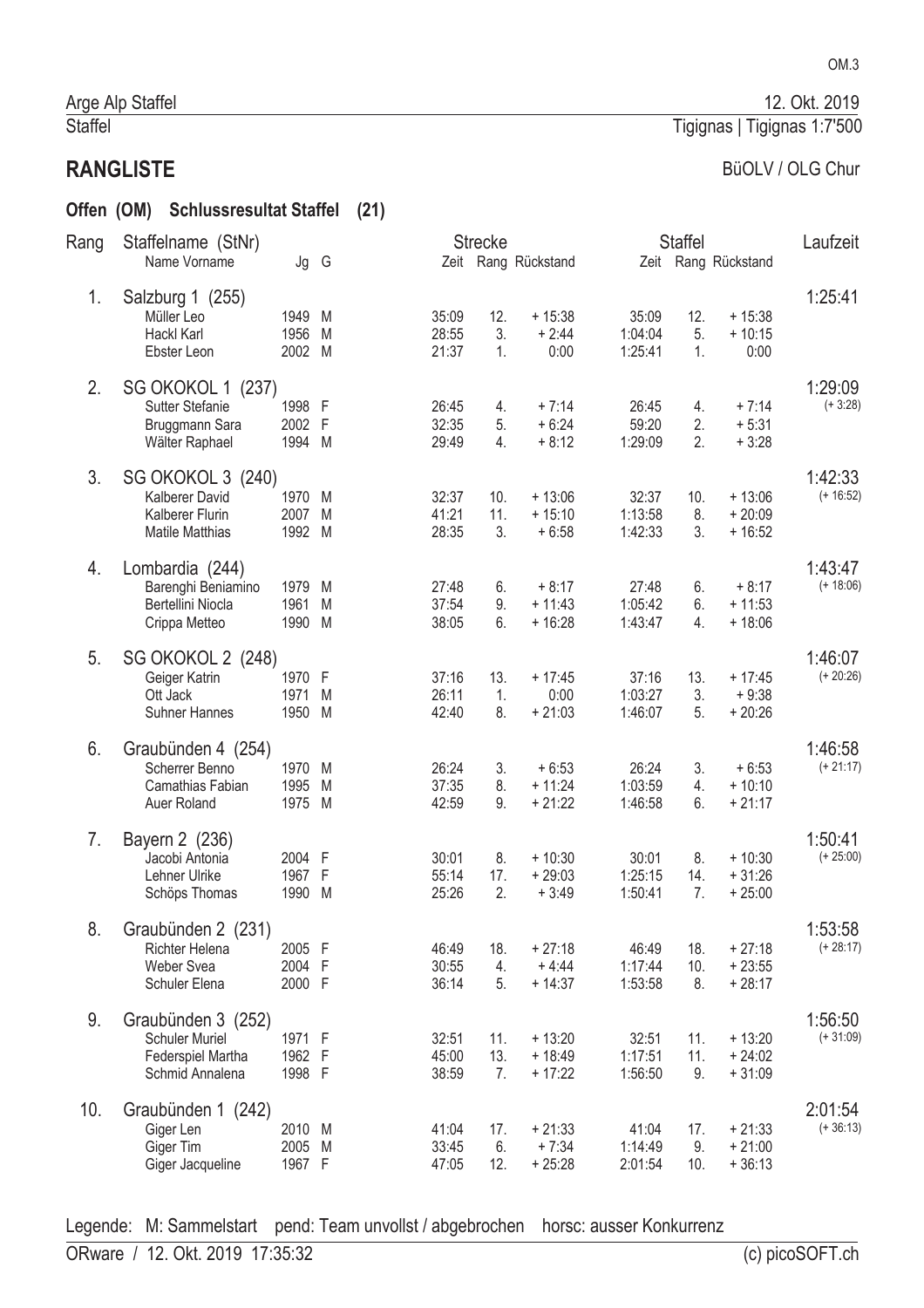Offen (OM) Schlussresultat Staffel (21)

OM.3

#### Tigignas | Tigignas 1:7'500

# BüOLV / OLG Chur

| Rang | Staffelname (StNr)<br>Name Vorname                                                  | Jg G                       |             |                         | <b>Strecke</b>   | Zeit Rang Rückstand              |                             | <b>Staffel</b>   | Zeit Rang Rückstand              | Laufzeit               |
|------|-------------------------------------------------------------------------------------|----------------------------|-------------|-------------------------|------------------|----------------------------------|-----------------------------|------------------|----------------------------------|------------------------|
| 1.   | Salzburg 1 (255)<br>Müller Leo<br>Hackl Karl<br>Ebster Leon                         | 1949 M<br>1956<br>2002 M   | M           | 35:09<br>28:55<br>21:37 | 12.<br>3.<br>1.  | $+15:38$<br>$+2:44$<br>0:00      | 35:09<br>1:04:04<br>1:25:41 | 12.<br>5.<br>1.  | $+15:38$<br>$+10:15$<br>0:00     | 1:25:41                |
| 2.   | SG OKOKOL 1 (237)<br><b>Sutter Stefanie</b><br>Bruggmann Sara<br>Wälter Raphael     | 1998 F<br>2002<br>1994 M   | -F          | 26:45<br>32:35<br>29:49 | 4.<br>5.<br>4.   | $+7:14$<br>$+6:24$<br>$+8:12$    | 26:45<br>59:20<br>1:29:09   | 4.<br>2.<br>2.   | $+7:14$<br>$+5:31$<br>$+3:28$    | 1:29:09<br>$(+3:28)$   |
| 3.   | SG OKOKOL 3 (240)<br>Kalberer David<br>Kalberer Flurin<br><b>Matile Matthias</b>    | 1970 M<br>2007<br>1992 M   | M           | 32:37<br>41:21<br>28:35 | 10.<br>11.<br>3. | $+13:06$<br>$+15:10$<br>$+6:58$  | 32:37<br>1:13:58<br>1:42:33 | 10.<br>8.<br>3.  | $+13:06$<br>$+20:09$<br>$+16:52$ | 1:42:33<br>$(+ 16:52)$ |
| 4.   | Lombardia (244)<br>Barenghi Beniamino<br>Bertellini Niocla<br>Crippa Metteo         | 1979<br>1961<br>1990       | M<br>M<br>M | 27:48<br>37:54<br>38:05 | 6.<br>9.<br>6.   | $+8:17$<br>$+11:43$<br>$+16:28$  | 27:48<br>1:05:42<br>1:43:47 | 6.<br>6.<br>4.   | $+8:17$<br>$+11:53$<br>$+18:06$  | 1:43:47<br>$(+ 18:06)$ |
| 5.   | SG OKOKOL 2 (248)<br>Geiger Katrin<br>Ott Jack<br><b>Suhner Hannes</b>              | 1970 F<br>1971<br>1950     | M<br>M      | 37:16<br>26:11<br>42:40 | 13.<br>1.<br>8.  | $+17:45$<br>0:00<br>$+21:03$     | 37:16<br>1:03:27<br>1:46:07 | 13.<br>3.<br>5.  | $+17:45$<br>$+9:38$<br>$+20:26$  | 1:46:07<br>$(+ 20:26)$ |
| 6.   | Graubünden 4 (254)<br>Scherrer Benno<br>Camathias Fabian<br>Auer Roland             | 1970<br>1995<br>1975 M     | M<br>M      | 26:24<br>37:35<br>42:59 | 3.<br>8.<br>9.   | $+6:53$<br>$+11:24$<br>$+21:22$  | 26:24<br>1:03:59<br>1:46:58 | 3.<br>4.<br>6.   | $+6:53$<br>$+10:10$<br>$+21:17$  | 1:46:58<br>$(+ 21:17)$ |
| 7.   | Bayern 2 (236)<br>Jacobi Antonia<br>Lehner Ulrike<br>Schöps Thomas                  | 2004 F<br>1967<br>1990     | -F<br>M     | 30:01<br>55:14<br>25:26 | 8.<br>17.<br>2.  | $+10:30$<br>$+29:03$<br>$+3:49$  | 30:01<br>1:25:15<br>1:50:41 | 8.<br>14.<br>7.  | $+10:30$<br>$+31:26$<br>$+25:00$ | 1:50:41<br>$(+ 25:00)$ |
| 8.   | Graubünden 2 (231)<br>Richter Helena<br>Weber Svea<br>Schuler Elena                 | 2005 F<br>2004 F<br>2000 F |             | 46:49<br>30:55<br>36:14 | 18.<br>4.<br>5.  | $+27:18$<br>$+4:44$<br>$+14:37$  | 46:49<br>1:17:44<br>1:53:58 | 18.<br>10.<br>8. | $+27:18$<br>$+23:55$<br>$+28:17$ | 1:53:58<br>$(+ 28:17)$ |
| 9.   | Graubünden 3 (252)<br><b>Schuler Muriel</b><br>Federspiel Martha<br>Schmid Annalena | 1971 F<br>1962 F<br>1998 F |             | 32:51<br>45:00<br>38:59 | 11.<br>13.<br>7. | $+13:20$<br>$+18:49$<br>$+17:22$ | 32:51<br>1:17:51<br>1:56:50 | 11.<br>11.<br>9. | $+13:20$<br>$+24:02$<br>$+31:09$ | 1:56:50<br>$(+31:09)$  |
| 10.  | Graubünden 1 (242)<br>Giger Len<br>Giger Tim<br>Giger Jacqueline                    | 2010 M<br>2005<br>1967 F   | M           | 41:04<br>33:45<br>47:05 | 17.<br>6.<br>12. | $+21:33$<br>$+7:34$<br>$+25:28$  | 41:04<br>1:14:49<br>2:01:54 | 17.<br>9.<br>10. | $+21:33$<br>$+21:00$<br>$+36:13$ | 2:01:54<br>$(+36:13)$  |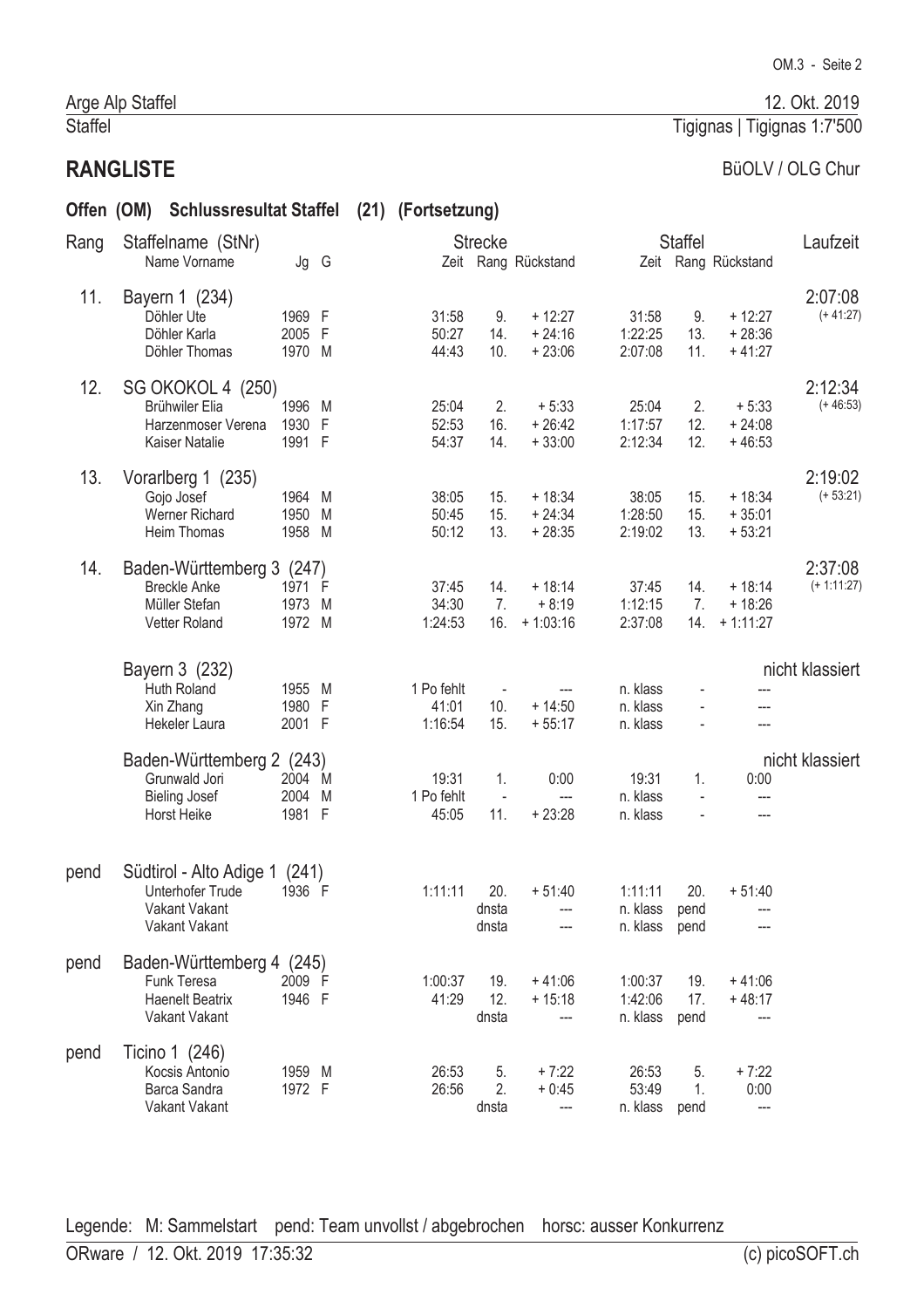# Offen (OM) Schlussresultat Staffel (21) (Fortsetzung)

| Rang | Staffelname (StNr)                                                                  |                            |        | <b>Strecke</b>            |                              |                                                |                                      | <b>Staffel</b>       |                                    | Laufzeit                 |
|------|-------------------------------------------------------------------------------------|----------------------------|--------|---------------------------|------------------------------|------------------------------------------------|--------------------------------------|----------------------|------------------------------------|--------------------------|
|      | Name Vorname                                                                        | Jg G                       |        |                           |                              | Zeit Rang Rückstand                            |                                      |                      | Zeit Rang Rückstand                |                          |
| 11.  | Bayern 1 (234)<br>Döhler Ute<br>Döhler Karla<br>Döhler Thomas                       | 1969 F<br>2005 F<br>1970 M |        | 31:58<br>50:27<br>44:43   | 9.<br>14.<br>10.             | $+12:27$<br>$+24:16$<br>$+23:06$               | 31:58<br>1:22:25<br>2:07:08          | 9.<br>13.<br>11.     | $+12:27$<br>$+28:36$<br>$+41:27$   | 2:07:08<br>$(+41:27)$    |
| 12.  | SG OKOKOL 4 (250)<br>Brühwiler Elia<br>Harzenmoser Verena<br>Kaiser Natalie         | 1996<br>1930<br>1991 F     | M<br>F | 25:04<br>52:53<br>54:37   | 2.<br>16.<br>14.             | $+5:33$<br>$+26:42$<br>$+33:00$                | 25:04<br>1:17:57<br>2:12:34          | 2.<br>12.<br>12.     | $+5:33$<br>$+24:08$<br>$+46:53$    | 2:12:34<br>$(+46:53)$    |
| 13.  | Vorarlberg 1 (235)<br>Gojo Josef<br>Werner Richard<br>Heim Thomas                   | 1964 M<br>1950<br>1958 M   | M      | 38:05<br>50:45<br>50:12   | 15.<br>15.<br>13.            | $+18:34$<br>$+24:34$<br>$+28:35$               | 38:05<br>1:28:50<br>2:19:02          | 15.<br>15.<br>13.    | $+18:34$<br>$+35:01$<br>$+53:21$   | 2:19:02<br>$(+ 53:21)$   |
| 14.  | Baden-Württemberg 3 (247)<br><b>Breckle Anke</b><br>Müller Stefan<br>Vetter Roland  | 1971 F<br>1973<br>1972 M   | M      | 37:45<br>34:30<br>1:24:53 | 14.<br>7 <sub>1</sub><br>16. | $+18:14$<br>$+8:19$<br>$+1:03:16$              | 37:45<br>1:12:15<br>2:37:08          | 14.<br>7.<br>14.     | $+18:14$<br>$+18:26$<br>$+1:11:27$ | 2:37:08<br>$(+ 1:11:27)$ |
|      | Bayern 3 (232)<br>Huth Roland                                                       | 1955 M                     |        | 1 Po fehlt                | $\overline{\phantom{a}}$     |                                                | n. klass                             |                      | ---                                | nicht klassiert          |
|      | Xin Zhang<br>Hekeler Laura                                                          | 1980<br>2001 F             | - F    | 41:01<br>1:16:54          | 10.<br>15.                   | $+14:50$<br>$+55:17$                           | n. klass<br>n. klass                 |                      | ---                                |                          |
|      | Baden-Württemberg 2 (243)<br>Grunwald Jori                                          | 2004                       | M      | 19:31                     | 1.                           | 0:00                                           | 19:31                                | 1.                   | 0:00                               | nicht klassiert          |
|      | <b>Bieling Josef</b><br>Horst Heike                                                 | 2004<br>1981 F             | M      | 1 Po fehlt<br>45:05       | $\blacksquare$<br>11.        | ---<br>$+23:28$                                | n. klass<br>n. klass                 |                      | ---<br>---                         |                          |
| pend | Südtirol - Alto Adige 1<br>Unterhofer Trude<br>Vakant Vakant<br>Vakant Vakant       | (241)<br>1936 F            |        | 1:11:11                   | 20.<br>dnsta<br>dnsta        | $+51:40$<br>---                                | 1:11:11<br>n. klass<br>n. klass pend | 20.<br>pend          | $+51:40$<br>---                    |                          |
| pend | Baden-Württemberg 4 (245)<br>Funk Teresa<br><b>Haenelt Beatrix</b><br>Vakant Vakant | 2009 F<br>1946 F           |        | 1:00:37<br>41:29          | 19.<br>12.<br>dnsta          | $+41:06$<br>$+15:18$<br>---                    | 1:00:37<br>1:42:06<br>n. klass       | 19.<br>17.<br>pend   | $+41:06$<br>$+48:17$<br>---        |                          |
| pend | Ticino 1 (246)<br>Kocsis Antonio<br>Barca Sandra<br>Vakant Vakant                   | 1959 M<br>1972 F           |        | 26:53<br>26:56            | 5.<br>2.<br>dnsta            | $+7:22$<br>$+0:45$<br>$\hspace{0.05cm} \ldots$ | 26:53<br>53:49<br>n. klass pend      | 5.<br>$\mathbf{1}$ . | $+7:22$<br>0:00<br>$\overline{a}$  |                          |

Legende: M: Sammelstart pend: Team unvollst / abgebrochen horsc: ausser Konkurrenz

12. Okt. 2019

# Tigignas | Tigignas 1:7'500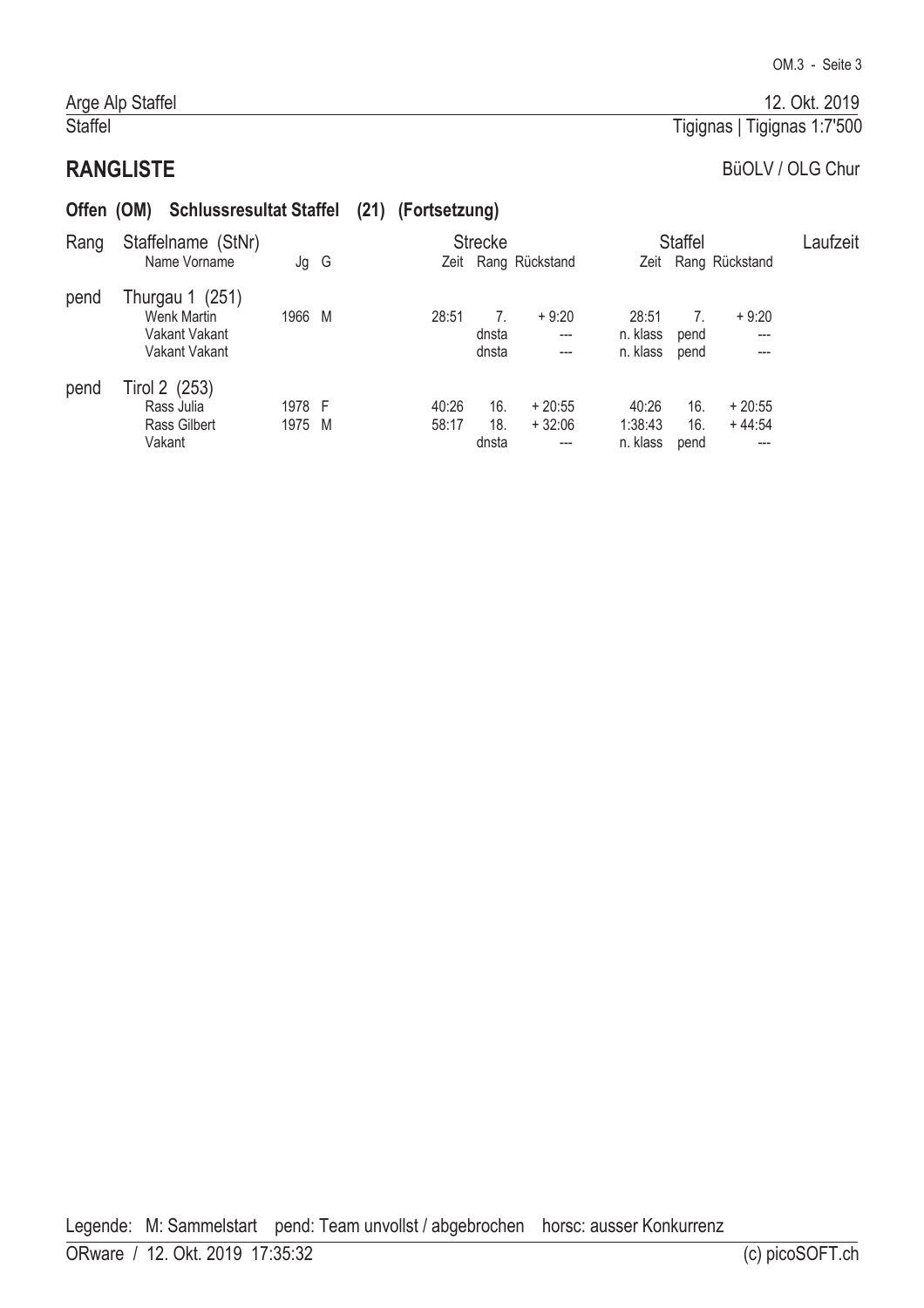# **RANGLISTE**

Arge Alp Staffel

Staffel

#### BüOLV / OLG Chur

# Offen (OM) Schlussresultat Staffel (21) (Fortsetzung)

| Rang | Staffelname (StNr)                                               |                  |  |                | <b>Strecke</b>      |                             |                               | <b>Staffel</b>     | Laufzeit              |  |
|------|------------------------------------------------------------------|------------------|--|----------------|---------------------|-----------------------------|-------------------------------|--------------------|-----------------------|--|
|      | Name Vorname                                                     | Jg G             |  |                |                     | Zeit Rang Rückstand         |                               |                    | Zeit Rang Rückstand   |  |
| pend | Thurgau 1 (251)<br>Wenk Martin<br>Vakant Vakant<br>Vakant Vakant | 1966 M           |  | 28:51          | dnsta<br>dnsta      | $+9:20$<br>$---$<br>$---$   | 28:51<br>n. klass<br>n. klass | pend<br>pend       | $+9:20$<br>---<br>--- |  |
| pend | Tirol 2 (253)<br>Rass Julia<br><b>Rass Gilbert</b><br>Vakant     | 1978 F<br>1975 M |  | 40:26<br>58:17 | 16.<br>18.<br>dnsta | $+20:55$<br>$+32:06$<br>--- | 40:26<br>1:38:43<br>n. klass  | 16.<br>16.<br>pend | $+20:55$<br>$+44:54$  |  |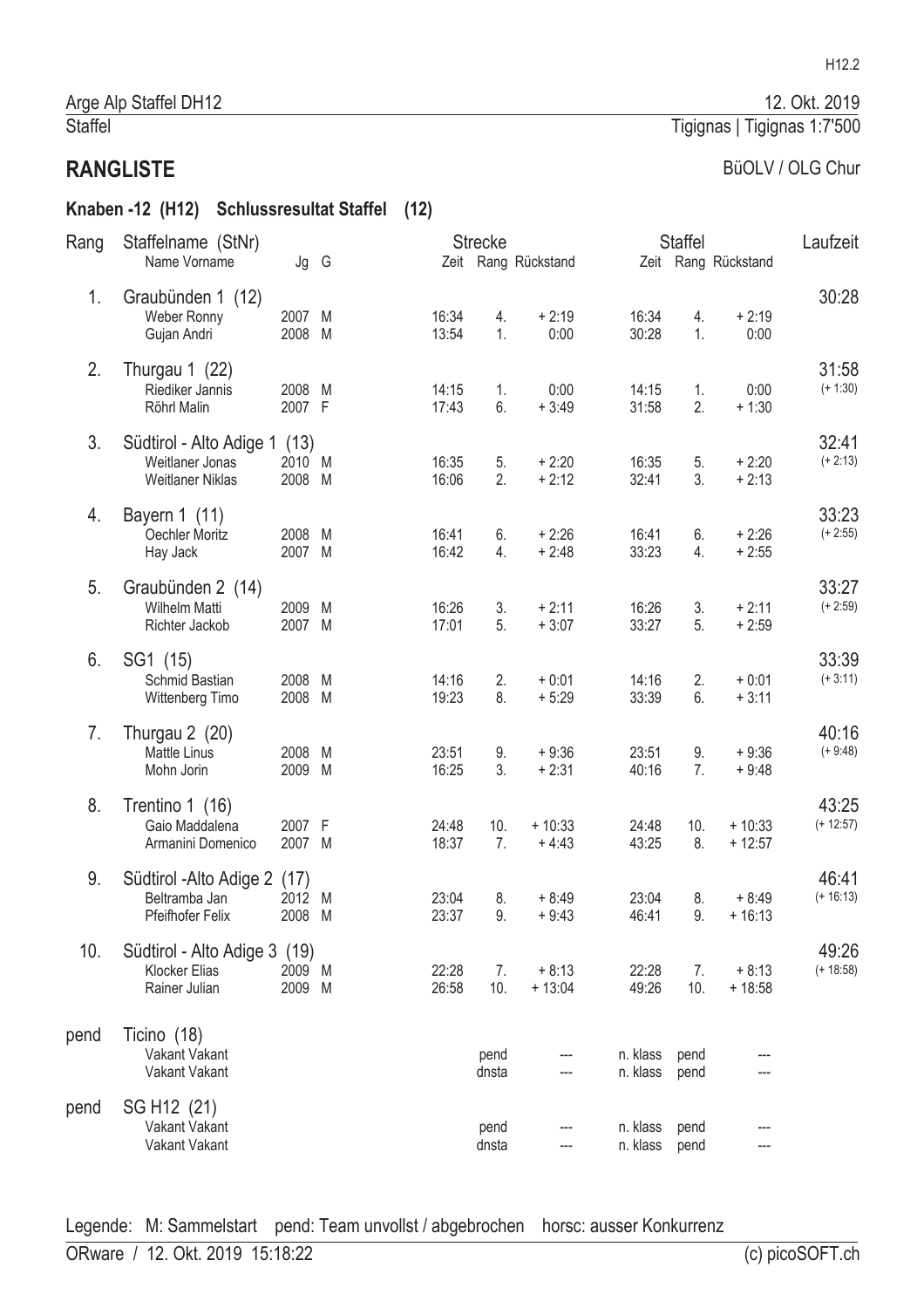#### BüOLV / OLG Chur

Tigignas | Tigignas 1:7'500

12. Okt. 2019

# Knaben -12 (H12) Schlussresultat Staffel (12)

| Rang | Staffelname (StNr)                                                         |                  |        |                | <b>Strecke</b> |                     |                      | <b>Staffel</b> |                      |                      |
|------|----------------------------------------------------------------------------|------------------|--------|----------------|----------------|---------------------|----------------------|----------------|----------------------|----------------------|
|      | Name Vorname                                                               | Jg G             |        |                |                | Zeit Rang Rückstand |                      |                | Zeit Rang Rückstand  | Laufzeit             |
| 1.   | Graubünden 1 (12)<br>Weber Ronny<br>Gujan Andri                            | 2007 M<br>2008   | M      | 16:34<br>13:54 | 4.<br>1.       | $+2:19$<br>0:00     | 16:34<br>30:28       | 4.<br>1.       | $+2:19$<br>0:00      | 30:28                |
| 2.   | Thurgau 1 (22)<br>Riediker Jannis<br>Röhrl Malin                           | 2008 M<br>2007 F |        | 14:15<br>17:43 | 1.<br>6.       | 0:00<br>$+3:49$     | 14:15<br>31:58       | 1.<br>2.       | 0:00<br>$+1:30$      | 31:58<br>$(+ 1:30)$  |
| 3.   | Südtirol - Alto Adige 1 (13)<br>Weitlaner Jonas<br><b>Weitlaner Niklas</b> | 2010<br>2008     | M<br>M | 16:35<br>16:06 | 5.<br>2.       | $+2:20$<br>$+2:12$  | 16:35<br>32:41       | 5.<br>3.       | $+2:20$<br>$+2:13$   | 32:41<br>$(+ 2:13)$  |
| 4.   | Bayern 1 (11)<br>Oechler Moritz<br>Hay Jack                                | 2008<br>2007 M   | M      | 16:41<br>16:42 | 6.<br>4.       | $+2:26$<br>$+2:48$  | 16:41<br>33:23       | 6.<br>4.       | $+2:26$<br>$+2:55$   | 33:23<br>$(+ 2:55)$  |
| 5.   | Graubünden 2 (14)<br>Wilhelm Matti<br>Richter Jackob                       | 2009<br>2007 M   | M      | 16:26<br>17:01 | 3.<br>5.       | $+2:11$<br>$+3:07$  | 16:26<br>33:27       | 3.<br>5.       | $+2:11$<br>$+2:59$   | 33:27<br>$(+ 2:59)$  |
| 6.   | SG1 (15)<br>Schmid Bastian<br>Wittenberg Timo                              | 2008<br>2008     | M<br>M | 14:16<br>19:23 | 2.<br>8.       | $+0:01$<br>$+5:29$  | 14:16<br>33:39       | 2.<br>6.       | $+0:01$<br>$+3:11$   | 33:39<br>$(+3:11)$   |
| 7.   | Thurgau 2 (20)<br><b>Mattle Linus</b><br>Mohn Jorin                        | 2008<br>2009     | M<br>M | 23:51<br>16:25 | 9.<br>3.       | $+9:36$<br>$+2:31$  | 23:51<br>40:16       | 9.<br>7.       | $+9:36$<br>$+9:48$   | 40:16<br>$(+ 9:48)$  |
| 8.   | Trentino 1 (16)<br>Gaio Maddalena<br>Armanini Domenico                     | 2007 F<br>2007 M |        | 24:48<br>18:37 | 10.<br>7.      | $+10:33$<br>$+4:43$ | 24:48<br>43:25       | 10.<br>8.      | $+10:33$<br>$+12:57$ | 43:25<br>$(+ 12:57)$ |
| 9.   | Südtirol - Alto Adige 2 (17)<br>Beltramba Jan<br>Pfeifhofer Felix          | 2012<br>2008     | M<br>M | 23:04<br>23:37 | 8.<br>9.       | $+8:49$<br>$+9:43$  | 23:04<br>46:41       | 8.<br>9.       | $+8:49$<br>$+16:13$  | 46:41<br>$(+ 16:13)$ |
| 10.  | Südtirol - Alto Adige 3 (19)<br>Klocker Elias<br>Rainer Julian             | 2009 M<br>2009   | M      | 22:28<br>26:58 | 7.<br>10.      | $+8:13$<br>$+13:04$ | 22:28<br>49:26       | 7.<br>10.      | $+8:13$<br>$+18:58$  | 49:26<br>$(+ 18:58)$ |
| pend | Ticino (18)<br>Vakant Vakant<br>Vakant Vakant                              |                  |        |                | pend<br>dnsta  |                     | n. klass<br>n. klass | pend<br>pend   |                      |                      |
| pend | SG H <sub>12</sub> (21)<br>Vakant Vakant<br>Vakant Vakant                  |                  |        |                | pend<br>dnsta  |                     | n. klass<br>n. klass | pend<br>pend   |                      |                      |